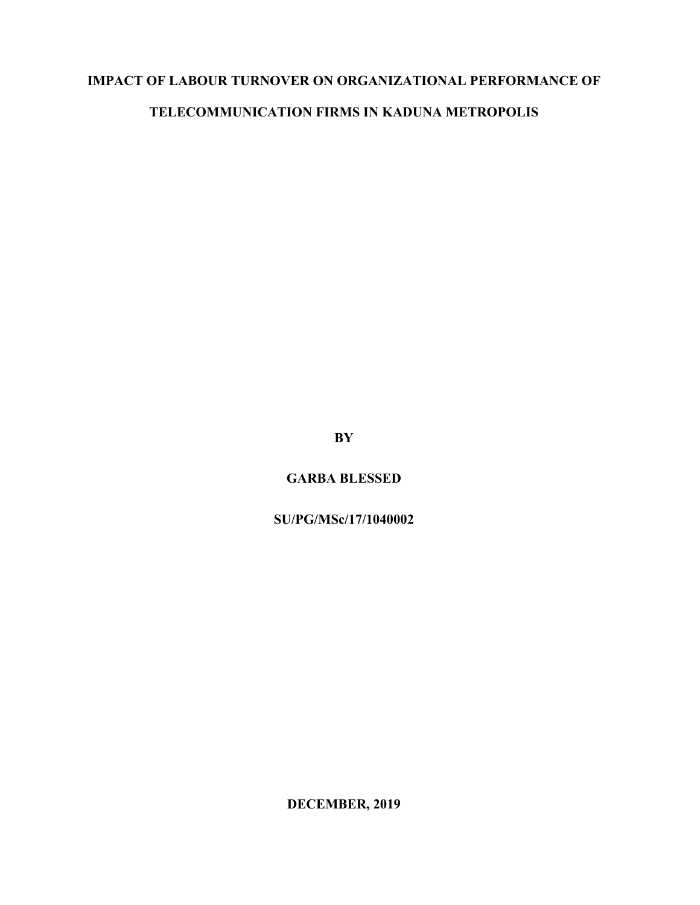# **IMPACT OF LABOUR TURNOVER ON ORGANIZATIONAL PERFORMANCE OF**

# **TELECOMMUNICATION FIRMS IN KADUNA METROPOLIS**

**BY** 

**GARBA BLESSED**

**SU/PG/MSc/17/1040002**

**DECEMBER, 2019**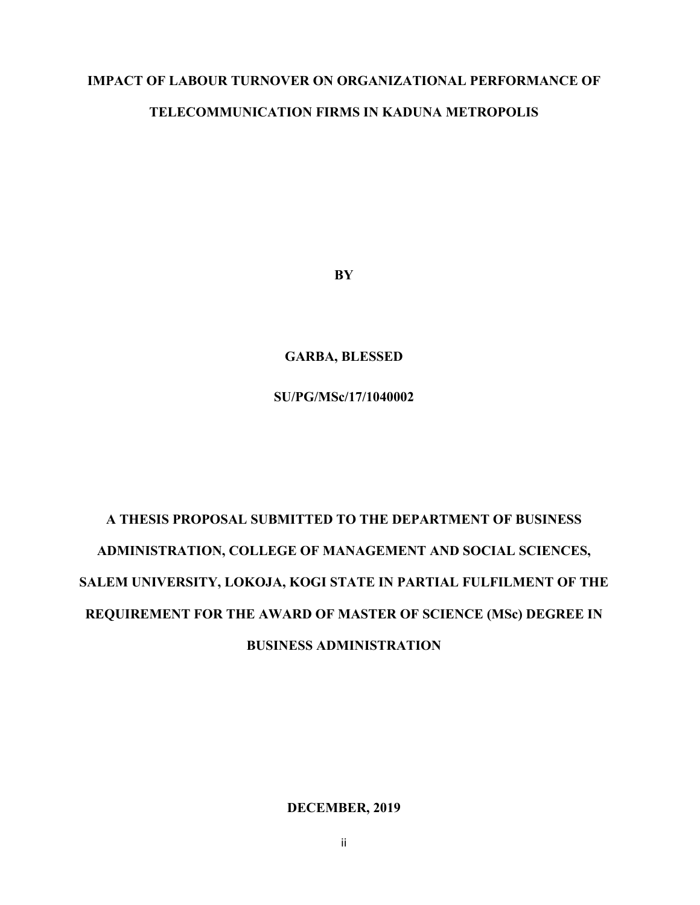## **IMPACT OF LABOUR TURNOVER ON ORGANIZATIONAL PERFORMANCE OF**

## **TELECOMMUNICATION FIRMS IN KADUNA METROPOLIS**

**BY**

**GARBA, BLESSED**

**SU/PG/MSc/17/1040002**

# **A THESIS PROPOSAL SUBMITTED TO THE DEPARTMENT OF BUSINESS ADMINISTRATION, COLLEGE OF MANAGEMENT AND SOCIAL SCIENCES, SALEM UNIVERSITY, LOKOJA, KOGI STATE IN PARTIAL FULFILMENT OF THE REQUIREMENT FOR THE AWARD OF MASTER OF SCIENCE (MSc) DEGREE IN BUSINESS ADMINISTRATION**

**DECEMBER, 2019**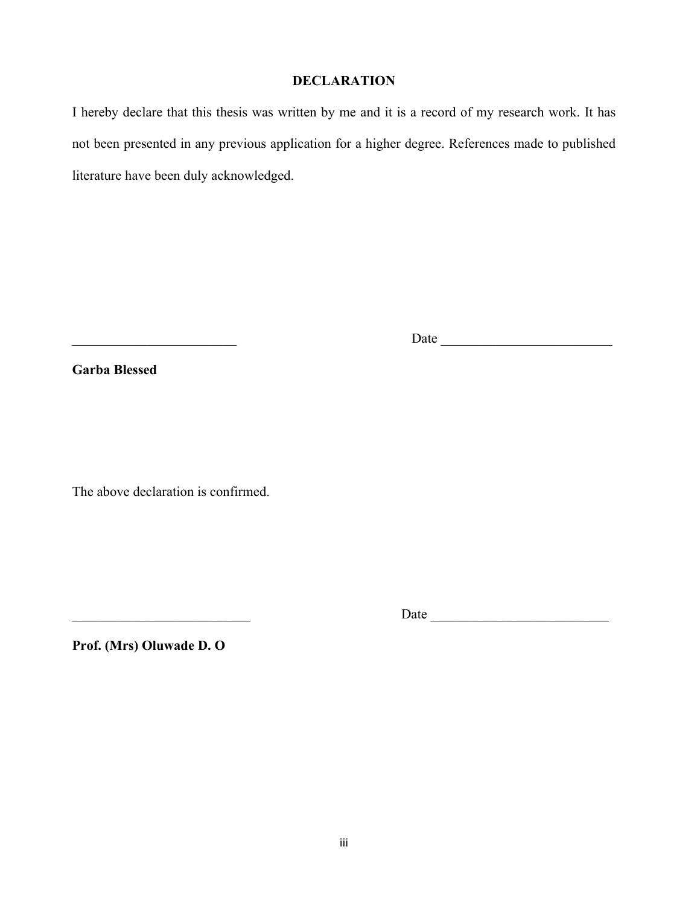#### **DECLARATION**

I hereby declare that this thesis was written by me and it is a record of my research work. It has not been presented in any previous application for a higher degree. References made to published literature have been duly acknowledged.

**Garba Blessed**

The above declaration is confirmed.

\_\_\_\_\_\_\_\_\_\_\_\_\_\_\_\_\_\_\_\_\_\_\_\_\_\_ Date \_\_\_\_\_\_\_\_\_\_\_\_\_\_\_\_\_\_\_\_\_\_\_\_\_\_

\_\_\_\_\_\_\_\_\_\_\_\_\_\_\_\_\_\_\_\_\_\_\_\_ Date \_\_\_\_\_\_\_\_\_\_\_\_\_\_\_\_\_\_\_\_\_\_\_\_\_

**Prof. (Mrs) Oluwade D. O**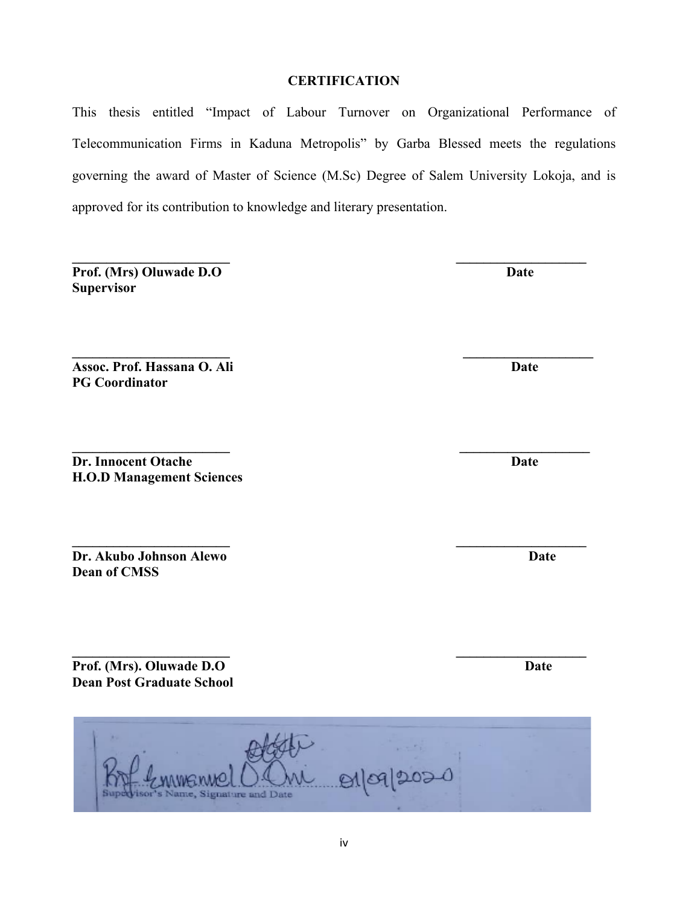# $91092020$

Signature and Date

# iv

## **CERTIFICATION**

This thesis entitled "Impact of Labour Turnover on Organizational Performance of Telecommunication Firms in Kaduna Metropolis" by Garba Blessed meets the regulations governing the award of Master of Science (M.Sc) Degree of Salem University Lokoja, and is approved for its contribution to knowledge and literary presentation.

**\_\_\_\_\_\_\_\_\_\_\_\_\_\_\_\_\_\_\_\_\_\_\_ \_\_\_\_\_\_\_\_\_\_\_\_\_\_\_\_\_\_\_**

**\_\_\_\_\_\_\_\_\_\_\_\_\_\_\_\_\_\_\_\_\_\_\_ \_\_\_\_\_\_\_\_\_\_\_\_\_\_\_\_\_\_\_**

**Prof. (Mrs) Oluwade D.O Supervisor**

**Assoc. Prof. Hassana O. Ali** Date **PG Coordinator**

**Dr. Innocent Otache Date** Date Date Date **H.O.D Management Sciences**

**\_\_\_\_\_\_\_\_\_\_\_\_\_\_\_\_\_\_\_\_\_\_\_ \_\_\_\_\_\_\_\_\_\_\_\_\_\_\_\_\_\_\_ Dr. Akubo Johnson Alewo** Date **Dean of CMSS**

**\_\_\_\_\_\_\_\_\_\_\_\_\_\_\_\_\_\_\_\_\_\_\_ \_\_\_\_\_\_\_\_\_\_\_\_\_\_\_\_\_\_\_ Prof.** (Mrs). Oluwade D.O **Date Dean Post Graduate School** 

**\_\_\_\_\_\_\_\_\_\_\_\_\_\_\_\_\_\_\_\_\_\_\_ \_\_\_\_\_\_\_\_\_\_\_\_\_\_\_\_\_\_\_**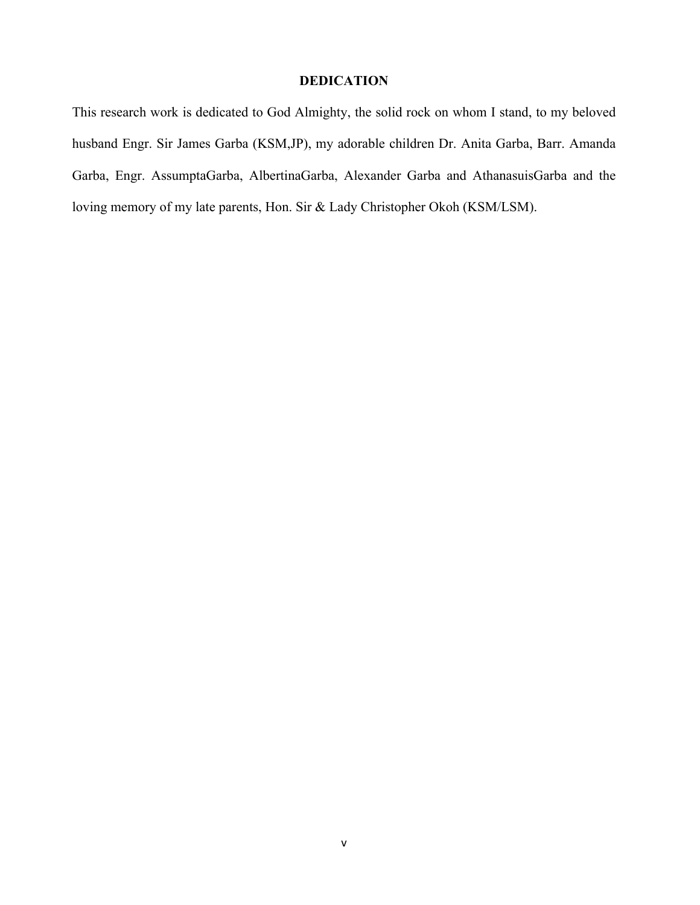## **DEDICATION**

This research work is dedicated to God Almighty, the solid rock on whom I stand, to my beloved husband Engr. Sir James Garba (KSM,JP), my adorable children Dr. Anita Garba, Barr. Amanda Garba, Engr. AssumptaGarba, AlbertinaGarba, Alexander Garba and AthanasuisGarba and the loving memory of my late parents, Hon. Sir & Lady Christopher Okoh (KSM/LSM).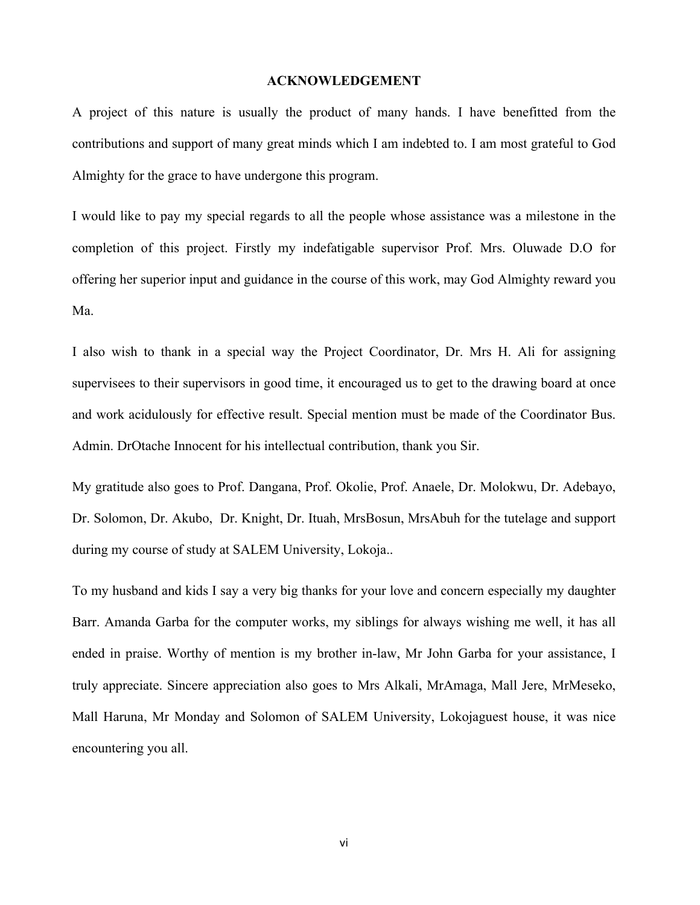#### **ACKNOWLEDGEMENT**

A project of this nature is usually the product of many hands. I have benefitted from the contributions and support of many great minds which I am indebted to. I am most grateful to God Almighty for the grace to have undergone this program.

I would like to pay my special regards to all the people whose assistance was a milestone in the completion of this project. Firstly my indefatigable supervisor Prof. Mrs. Oluwade D.O for offering her superior input and guidance in the course of this work, may God Almighty reward you Ma.

I also wish to thank in a special way the Project Coordinator, Dr. Mrs H. Ali for assigning supervisees to their supervisors in good time, it encouraged us to get to the drawing board at once and work acidulously for effective result. Special mention must be made of the Coordinator Bus. Admin. DrOtache Innocent for his intellectual contribution, thank you Sir.

My gratitude also goes to Prof. Dangana, Prof. Okolie, Prof. Anaele, Dr. Molokwu, Dr. Adebayo, Dr. Solomon, Dr. Akubo, Dr. Knight, Dr. Ituah, MrsBosun, MrsAbuh for the tutelage and support during my course of study at SALEM University, Lokoja..

To my husband and kids I say a very big thanks for your love and concern especially my daughter Barr. Amanda Garba for the computer works, my siblings for always wishing me well, it has all ended in praise. Worthy of mention is my brother in-law, Mr John Garba for your assistance, I truly appreciate. Sincere appreciation also goes to Mrs Alkali, MrAmaga, Mall Jere, MrMeseko, Mall Haruna, Mr Monday and Solomon of SALEM University, Lokojaguest house, it was nice encountering you all.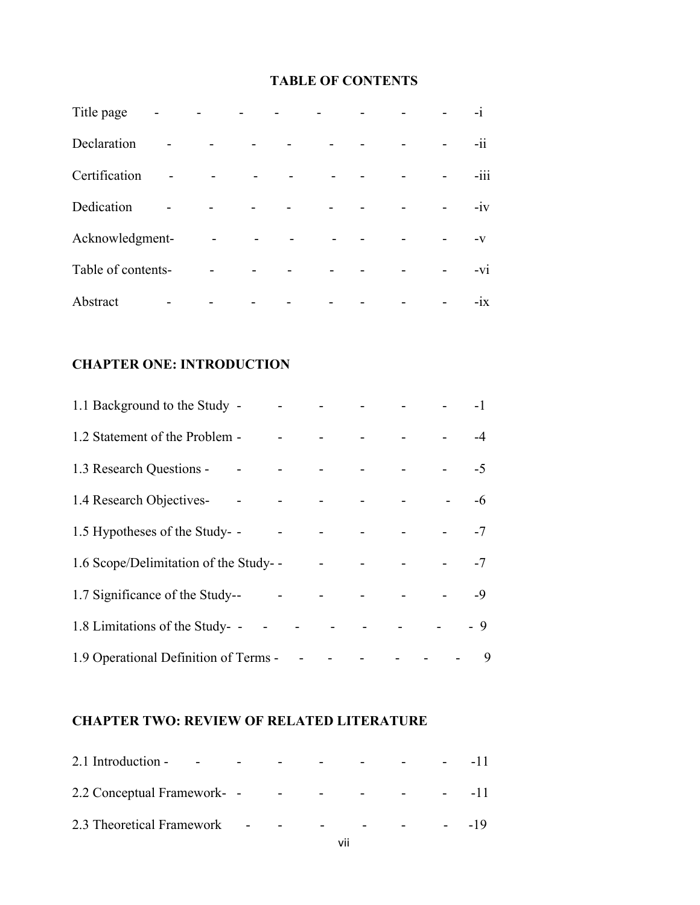# **TABLE OF CONTENTS**

| Title page         |                |   |  | $-i$   |
|--------------------|----------------|---|--|--------|
| Declaration        |                |   |  | $-i$   |
| Certification      |                | ۳ |  | $-iii$ |
| Dedication         |                |   |  | $-iv$  |
| Acknowledgment-    |                |   |  | $-V$   |
| Table of contents- | $\blacksquare$ |   |  | $-vi$  |
| Abstract           |                |   |  | $-ix$  |

# **CHAPTER ONE: INTRODUCTION**

| 1.1 Background to the Study -                           |  |  | and the company of the company | $-1$ |
|---------------------------------------------------------|--|--|--------------------------------|------|
| 1.2 Statement of the Problem -                          |  |  |                                |      |
| 1.3 Research Questions - - - - - - - - - - - - - - 5    |  |  |                                |      |
|                                                         |  |  |                                | $-6$ |
| 1.5 Hypotheses of the Study- -                          |  |  |                                |      |
|                                                         |  |  |                                |      |
| 1.7 Significance of the Study--                         |  |  |                                |      |
| 1.8 Limitations of the Study- - - - - - - - - - - - 9   |  |  |                                |      |
| 1.9 Operational Definition of Terms - - - - - - - - - - |  |  |                                | 9    |

# **CHAPTER TWO: REVIEW OF RELATED LITERATURE**

| 2.1 Introduction - - - - - - - - - - - - - 11        |  |  |  |  |
|------------------------------------------------------|--|--|--|--|
| 2.2 Conceptual Framework- - - - - - - - - - - - - 11 |  |  |  |  |
| 2.3 Theoretical Framework - - - - - - - - - - 19     |  |  |  |  |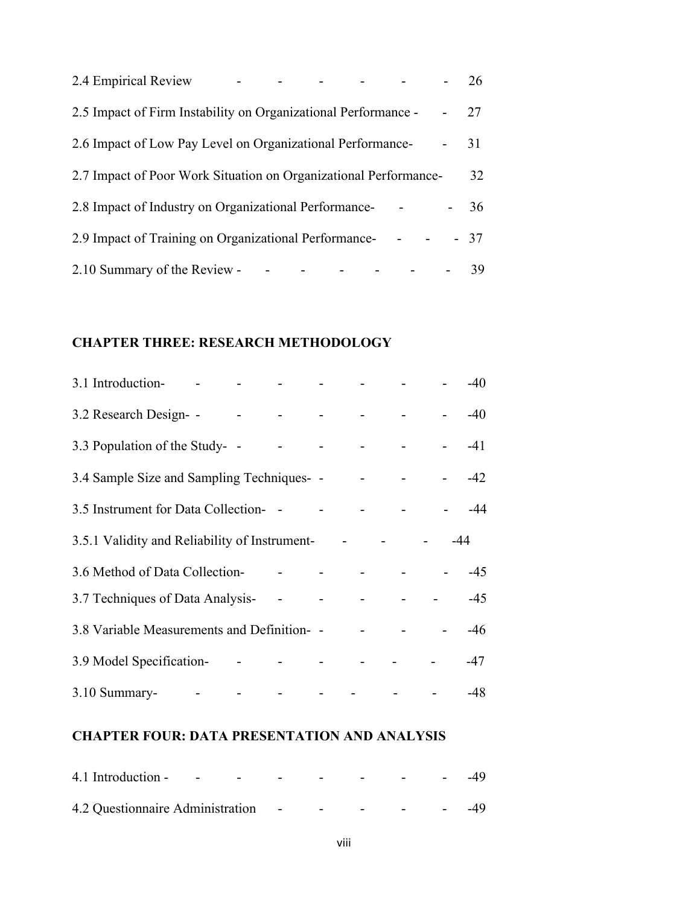| 2.4 Empirical Review |                                                                  |  |  |  | 26    |
|----------------------|------------------------------------------------------------------|--|--|--|-------|
|                      | 2.5 Impact of Firm Instability on Organizational Performance -   |  |  |  | $-27$ |
|                      | 2.6 Impact of Low Pay Level on Organizational Performance-       |  |  |  | 31    |
|                      | 2.7 Impact of Poor Work Situation on Organizational Performance- |  |  |  | 32    |
|                      | 2.8 Impact of Industry on Organizational Performance-            |  |  |  | 36    |
|                      | 2.9 Impact of Training on Organizational Performance-            |  |  |  | $-37$ |
|                      | 2.10 Summary of the Review -                                     |  |  |  | 39    |

# **CHAPTER THREE: RESEARCH METHODOLOGY**

| 3.1 Introduction-                             |  |                               | and the state of the state of the state |                               |       | $-40$ |
|-----------------------------------------------|--|-------------------------------|-----------------------------------------|-------------------------------|-------|-------|
| 3.2 Research Design- -                        |  | the company of the company of |                                         |                               |       | $-40$ |
| 3.3 Population of the Study- -                |  |                               |                                         | and the state of the state of |       | $-41$ |
|                                               |  |                               |                                         |                               |       |       |
| 3.5 Instrument for Data Collection-           |  |                               | <b>Links</b>                            |                               |       |       |
| 3.5.1 Validity and Reliability of Instrument- |  |                               |                                         |                               | $-44$ |       |
|                                               |  |                               |                                         |                               |       |       |
| 3.7 Techniques of Data Analysis-              |  |                               |                                         |                               |       |       |
| 3.8 Variable Measurements and Definition-     |  |                               |                                         |                               |       | -46   |
| 3.9 Model Specification-                      |  | and the state of the state    |                                         |                               |       | -47   |
|                                               |  |                               |                                         |                               |       | $-48$ |

# **CHAPTER FOUR: DATA PRESENTATION AND ANALYSIS**

| 4.1 Introduction - - - - - - - - - - - - 49 |  |  |  |
|---------------------------------------------|--|--|--|
|                                             |  |  |  |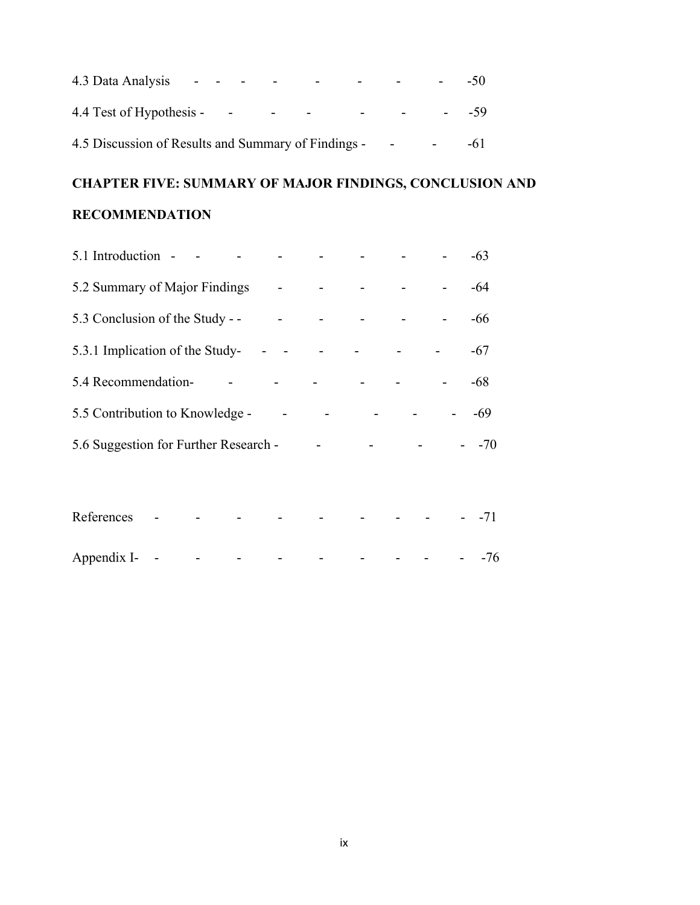|                                                     |  |                         |                                   |                   |                          | $-50^{\circ}$ |
|-----------------------------------------------------|--|-------------------------|-----------------------------------|-------------------|--------------------------|---------------|
| 4.4 Test of Hypothesis -                            |  | $\sim 100$ km s $^{-1}$ | the company's company's company's | $\Delta \sim 100$ | <b>Contract Contract</b> | $-59$         |
| 4.5 Discussion of Results and Summary of Findings - |  |                         |                                   |                   | <b>Contract Contract</b> | -61           |

# **CHAPTER FIVE: SUMMARY OF MAJOR FINDINGS, CONCLUSION AND**

# **RECOMMENDATION**

| 5.1 Introduction -                    |  |  | $-63$ |
|---------------------------------------|--|--|-------|
| 5.2 Summary of Major Findings         |  |  | -64   |
| 5.3 Conclusion of the Study - -       |  |  | -66   |
| 5.3.1 Implication of the Study-       |  |  | -67   |
| 5.4 Recommendation-                   |  |  | $-68$ |
| 5.5 Contribution to Knowledge -       |  |  | -69   |
| 5.6 Suggestion for Further Research - |  |  | $-70$ |
|                                       |  |  |       |

| References - - - - - - - - - - - - 71 |  |  |  |  |  |
|---------------------------------------|--|--|--|--|--|
|                                       |  |  |  |  |  |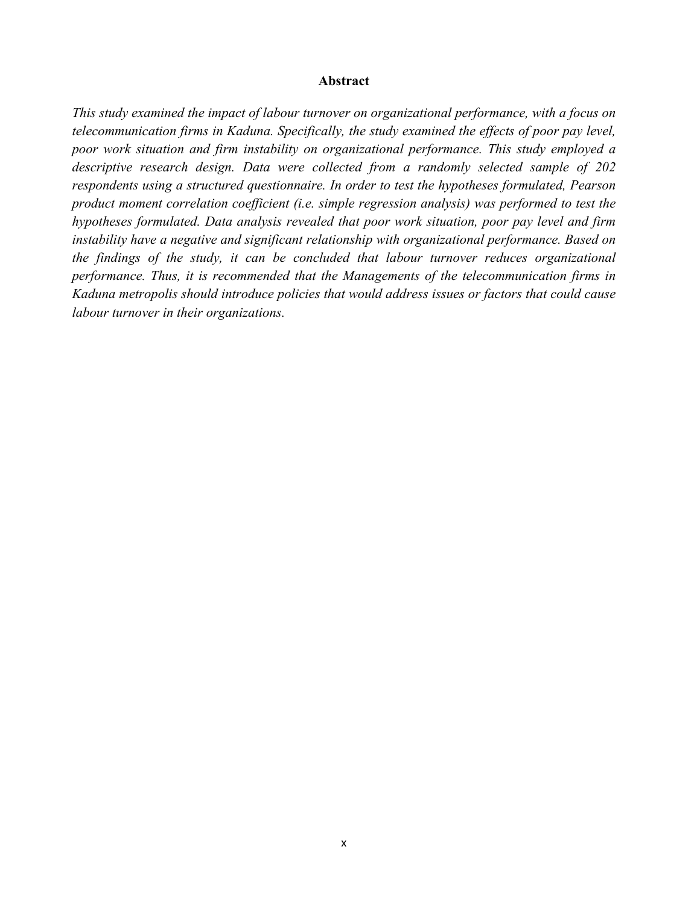#### **Abstract**

*This study examined the impact of labour turnover on organizational performance, with a focus on telecommunication firms in Kaduna. Specifically, the study examined the effects of poor pay level, poor work situation and firm instability on organizational performance. This study employed a descriptive research design. Data were collected from a randomly selected sample of 202 respondents using a structured questionnaire. In order to test the hypotheses formulated, Pearson product moment correlation coefficient (i.e. simple regression analysis) was performed to test the hypotheses formulated. Data analysis revealed that poor work situation, poor pay level and firm instability have a negative and significant relationship with organizational performance. Based on the findings of the study, it can be concluded that labour turnover reduces organizational performance. Thus, it is recommended that the Managements of the telecommunication firms in Kaduna metropolis should introduce policies that would address issues or factors that could cause labour turnover in their organizations.*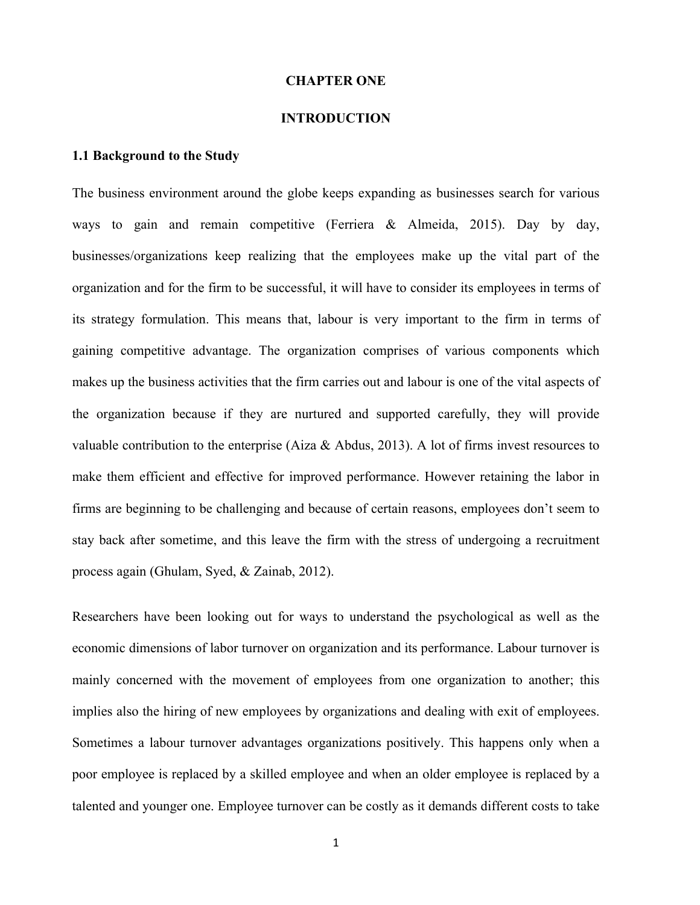#### **CHAPTER ONE**

#### **INTRODUCTION**

#### **1.1 Background to the Study**

The business environment around the globe keeps expanding as businesses search for various ways to gain and remain competitive (Ferriera & Almeida, 2015). Day by day, businesses/organizations keep realizing that the employees make up the vital part of the organization and for the firm to be successful, it will have to consider its employees in terms of its strategy formulation. This means that, labour is very important to the firm in terms of gaining competitive advantage. The organization comprises of various components which makes up the business activities that the firm carries out and labour is one of the vital aspects of the organization because if they are nurtured and supported carefully, they will provide valuable contribution to the enterprise (Aiza & Abdus, 2013). A lot of firms invest resources to make them efficient and effective for improved performance. However retaining the labor in firms are beginning to be challenging and because of certain reasons, employees don't seem to stay back after sometime, and this leave the firm with the stress of undergoing a recruitment process again (Ghulam, Syed, & Zainab, 2012).

Researchers have been looking out for ways to understand the psychological as well as the economic dimensions of labor turnover on organization and its performance. Labour turnover is mainly concerned with the movement of employees from one organization to another; this implies also the hiring of new employees by organizations and dealing with exit of employees. Sometimes a labour turnover advantages organizations positively. This happens only when a poor employee is replaced by a skilled employee and when an older employee is replaced by a talented and younger one. Employee turnover can be costly as it demands different costs to take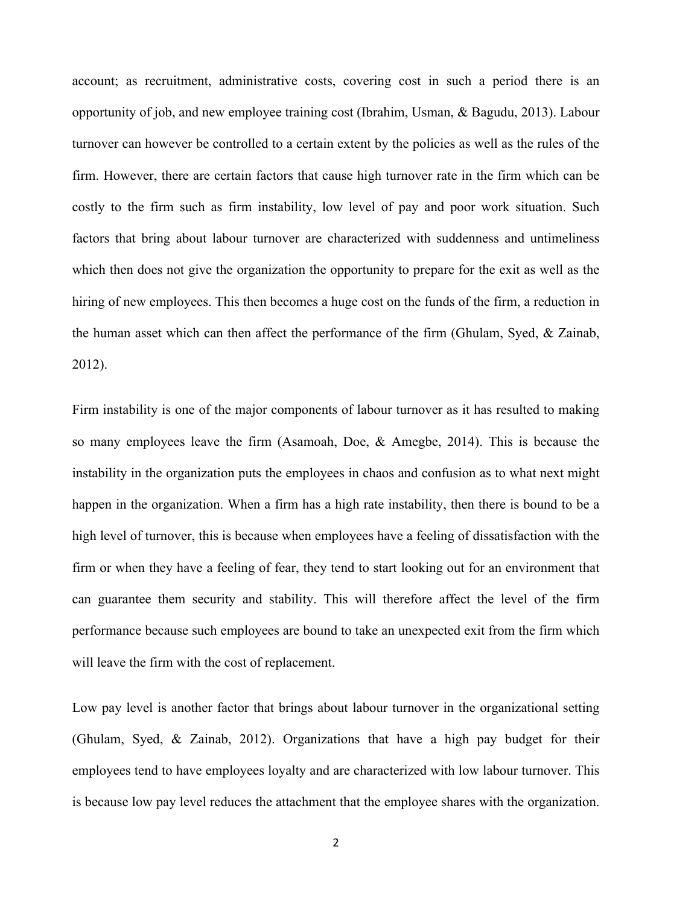account; as recruitment, administrative costs, covering cost in such a period there is an opportunity of job, and new employee training cost (Ibrahim, Usman, & Bagudu, 2013). Labour turnover can however be controlled to a certain extent by the policies as well as the rules of the firm. However, there are certain factors that cause high turnover rate in the firm which can be costly to the firm such as firm instability, low level of pay and poor work situation. Such factors that bring about labour turnover are characterized with suddenness and untimeliness which then does not give the organization the opportunity to prepare for the exit as well as the hiring of new employees. This then becomes a huge cost on the funds of the firm, a reduction in the human asset which can then affect the performance of the firm (Ghulam, Syed, & Zainab, 2012).

Firm instability is one of the major components of labour turnover as it has resulted to making so many employees leave the firm (Asamoah, Doe, & Amegbe, 2014). This is because the instability in the organization puts the employees in chaos and confusion as to what next might happen in the organization. When a firm has a high rate instability, then there is bound to be a high level of turnover, this is because when employees have a feeling of dissatisfaction with the firm or when they have a feeling of fear, they tend to start looking out for an environment that can guarantee them security and stability. This will therefore affect the level of the firm performance because such employees are bound to take an unexpected exit from the firm which will leave the firm with the cost of replacement.

Low pay level is another factor that brings about labour turnover in the organizational setting (Ghulam, Syed, & Zainab, 2012). Organizations that have a high pay budget for their employees tend to have employees loyalty and are characterized with low labour turnover. This is because low pay level reduces the attachment that the employee shares with the organization.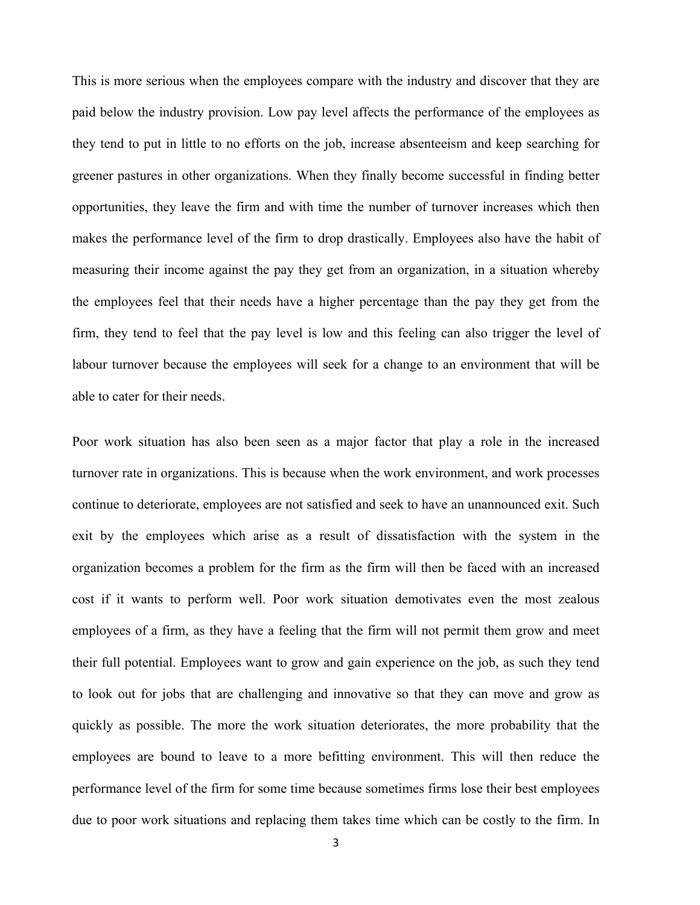This is more serious when the employees compare with the industry and discover that they are paid below the industry provision. Low pay level affects the performance of the employees as they tend to put in little to no efforts on the job, increase absenteeism and keep searching for greener pastures in other organizations. When they finally become successful in finding better opportunities, they leave the firm and with time the number of turnover increases which then makes the performance level of the firm to drop drastically. Employees also have the habit of measuring their income against the pay they get from an organization, in a situation whereby the employees feel that their needs have a higher percentage than the pay they get from the firm, they tend to feel that the pay level is low and this feeling can also trigger the level of labour turnover because the employees will seek for a change to an environment that will be able to cater for their needs.

Poor work situation has also been seen as a major factor that play a role in the increased turnover rate in organizations. This is because when the work environment, and work processes continue to deteriorate, employees are not satisfied and seek to have an unannounced exit. Such exit by the employees which arise as a result of dissatisfaction with the system in the organization becomes a problem for the firm as the firm will then be faced with an increased cost if it wants to perform well. Poor work situation demotivates even the most zealous employees of a firm, as they have a feeling that the firm will not permit them grow and meet their full potential. Employees want to grow and gain experience on the job, as such they tend to look out for jobs that are challenging and innovative so that they can move and grow as quickly as possible. The more the work situation deteriorates, the more probability that the employees are bound to leave to a more befitting environment. This will then reduce the performance level of the firm for some time because sometimes firms lose their best employees due to poor work situations and replacing them takes time which can be costly to the firm. In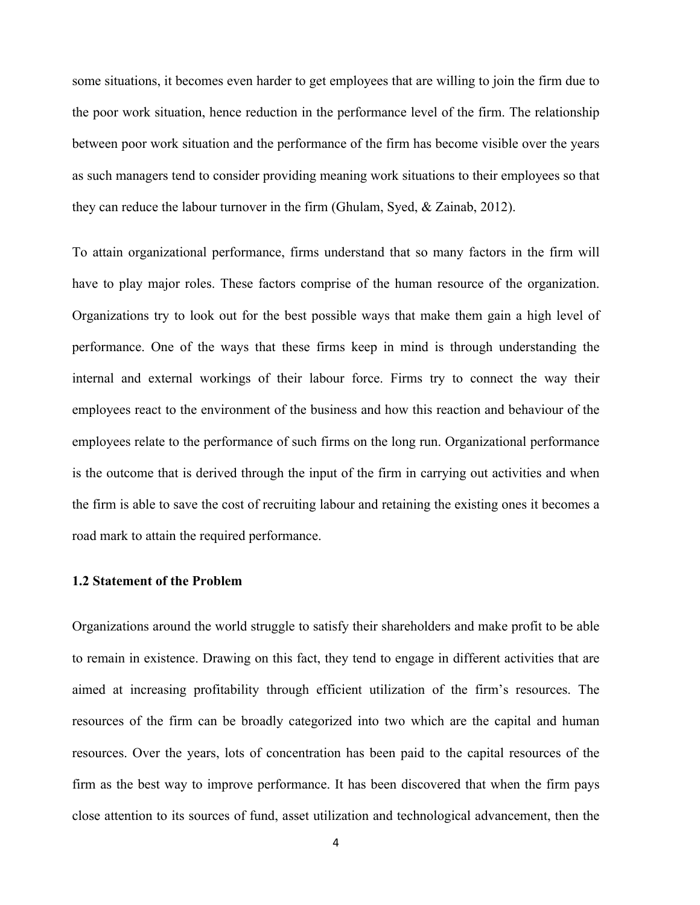some situations, it becomes even harder to get employees that are willing to join the firm due to the poor work situation, hence reduction in the performance level of the firm. The relationship between poor work situation and the performance of the firm has become visible over the years as such managers tend to consider providing meaning work situations to their employees so that they can reduce the labour turnover in the firm (Ghulam, Syed, & Zainab, 2012).

To attain organizational performance, firms understand that so many factors in the firm will have to play major roles. These factors comprise of the human resource of the organization. Organizations try to look out for the best possible ways that make them gain a high level of performance. One of the ways that these firms keep in mind is through understanding the internal and external workings of their labour force. Firms try to connect the way their employees react to the environment of the business and how this reaction and behaviour of the employees relate to the performance of such firms on the long run. Organizational performance is the outcome that is derived through the input of the firm in carrying out activities and when the firm is able to save the cost of recruiting labour and retaining the existing ones it becomes a road mark to attain the required performance.

#### **1.2 Statement of the Problem**

Organizations around the world struggle to satisfy their shareholders and make profit to be able to remain in existence. Drawing on this fact, they tend to engage in different activities that are aimed at increasing profitability through efficient utilization of the firm's resources. The resources of the firm can be broadly categorized into two which are the capital and human resources. Over the years, lots of concentration has been paid to the capital resources of the firm as the best way to improve performance. It has been discovered that when the firm pays close attention to its sources of fund, asset utilization and technological advancement, then the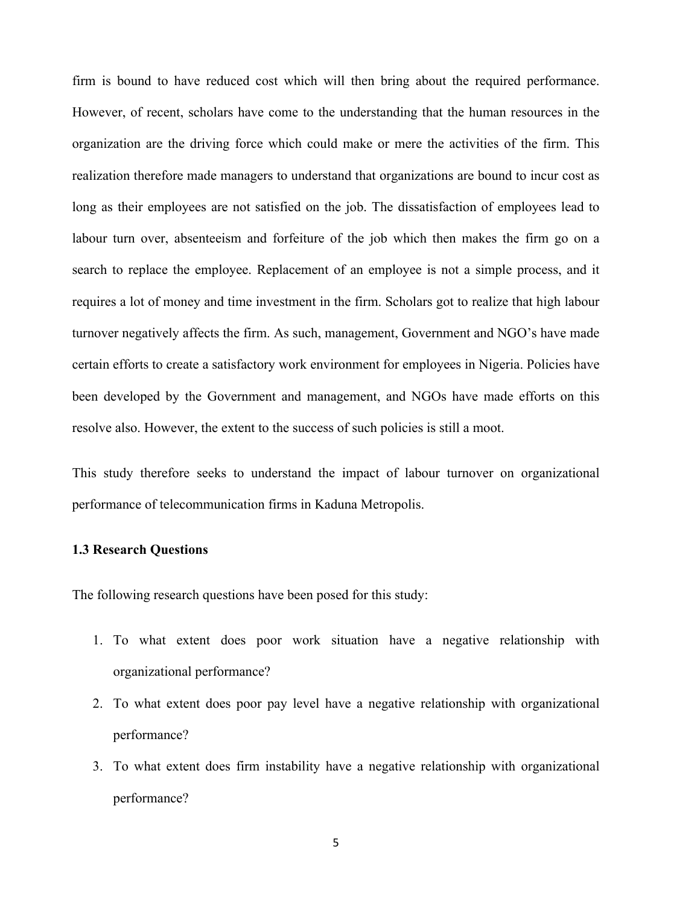firm is bound to have reduced cost which will then bring about the required performance. However, of recent, scholars have come to the understanding that the human resources in the organization are the driving force which could make or mere the activities of the firm. This realization therefore made managers to understand that organizations are bound to incur cost as long as their employees are not satisfied on the job. The dissatisfaction of employees lead to labour turn over, absenteeism and forfeiture of the job which then makes the firm go on a search to replace the employee. Replacement of an employee is not a simple process, and it requires a lot of money and time investment in the firm. Scholars got to realize that high labour turnover negatively affects the firm. As such, management, Government and NGO's have made certain efforts to create a satisfactory work environment for employees in Nigeria. Policies have been developed by the Government and management, and NGOs have made efforts on this resolve also. However, the extent to the success of such policies is still a moot.

This study therefore seeks to understand the impact of labour turnover on organizational performance of telecommunication firms in Kaduna Metropolis.

#### **1.3 Research Questions**

The following research questions have been posed for this study:

- 1. To what extent does poor work situation have a negative relationship with organizational performance?
- 2. To what extent does poor pay level have a negative relationship with organizational performance?
- 3. To what extent does firm instability have a negative relationship with organizational performance?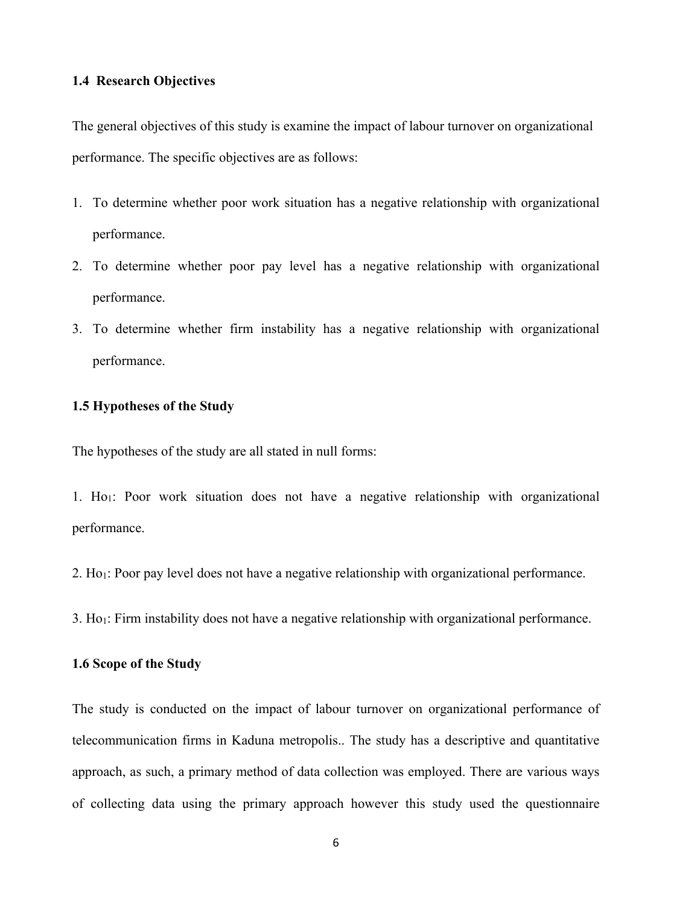#### **1.4 Research Objectives**

The general objectives of this study is examine the impact of labour turnover on organizational performance. The specific objectives are as follows:

- 1. To determine whether poor work situation has a negative relationship with organizational performance.
- 2. To determine whether poor pay level has a negative relationship with organizational performance.
- 3. To determine whether firm instability has a negative relationship with organizational performance.

#### **1.5 Hypotheses of the Study**

The hypotheses of the study are all stated in null forms:

1. Ho1: Poor work situation does not have a negative relationship with organizational performance.

2. Ho1: Poor pay level does not have a negative relationship with organizational performance.

3. Ho1: Firm instability does not have a negative relationship with organizational performance.

#### **1.6 Scope of the Study**

The study is conducted on the impact of labour turnover on organizational performance of telecommunication firms in Kaduna metropolis.. The study has a descriptive and quantitative approach, as such, a primary method of data collection was employed. There are various ways of collecting data using the primary approach however this study used the questionnaire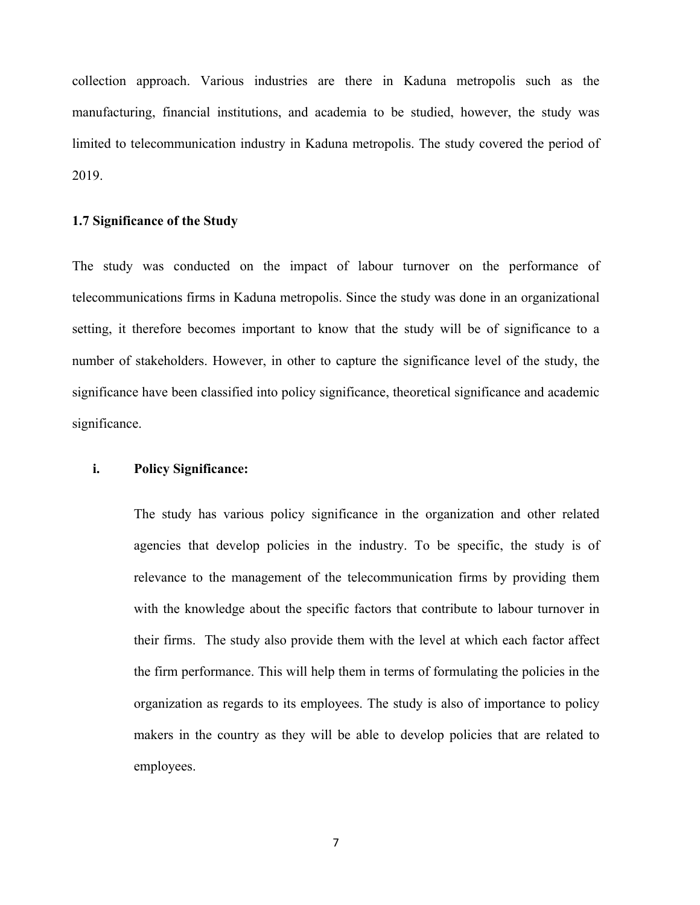collection approach. Various industries are there in Kaduna metropolis such as the manufacturing, financial institutions, and academia to be studied, however, the study was limited to telecommunication industry in Kaduna metropolis. The study covered the period of 2019.

#### **1.7 Significance of the Study**

The study was conducted on the impact of labour turnover on the performance of telecommunications firms in Kaduna metropolis. Since the study was done in an organizational setting, it therefore becomes important to know that the study will be of significance to a number of stakeholders. However, in other to capture the significance level of the study, the significance have been classified into policy significance, theoretical significance and academic significance.

#### **i. Policy Significance:**

The study has various policy significance in the organization and other related agencies that develop policies in the industry. To be specific, the study is of relevance to the management of the telecommunication firms by providing them with the knowledge about the specific factors that contribute to labour turnover in their firms. The study also provide them with the level at which each factor affect the firm performance. This will help them in terms of formulating the policies in the organization as regards to its employees. The study is also of importance to policy makers in the country as they will be able to develop policies that are related to employees.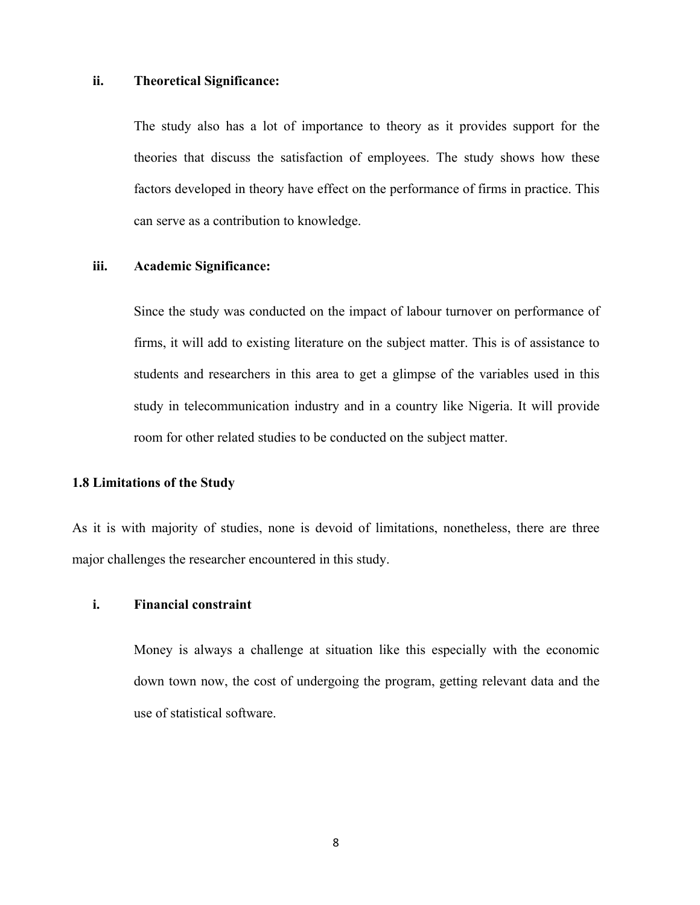#### **ii. Theoretical Significance:**

The study also has a lot of importance to theory as it provides support for the theories that discuss the satisfaction of employees. The study shows how these factors developed in theory have effect on the performance of firms in practice. This can serve as a contribution to knowledge.

#### **iii. Academic Significance:**

Since the study was conducted on the impact of labour turnover on performance of firms, it will add to existing literature on the subject matter. This is of assistance to students and researchers in this area to get a glimpse of the variables used in this study in telecommunication industry and in a country like Nigeria. It will provide room for other related studies to be conducted on the subject matter.

#### **1.8 Limitations of the Study**

As it is with majority of studies, none is devoid of limitations, nonetheless, there are three major challenges the researcher encountered in this study.

#### **i. Financial constraint**

Money is always a challenge at situation like this especially with the economic down town now, the cost of undergoing the program, getting relevant data and the use of statistical software.

8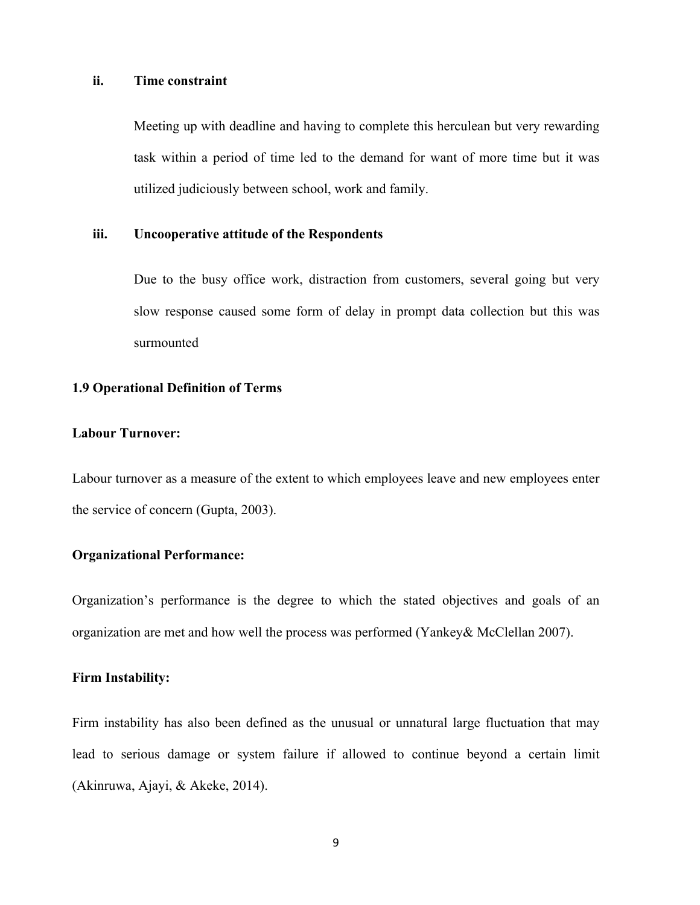#### **ii. Time constraint**

Meeting up with deadline and having to complete this herculean but very rewarding task within a period of time led to the demand for want of more time but it was utilized judiciously between school, work and family.

#### **iii. Uncooperative attitude of the Respondents**

Due to the busy office work, distraction from customers, several going but very slow response caused some form of delay in prompt data collection but this was surmounted

#### **1.9 Operational Definition of Terms**

#### **Labour Turnover:**

Labour turnover as a measure of the extent to which employees leave and new employees enter the service of concern (Gupta, 2003).

#### **Organizational Performance:**

Organization's performance is the degree to which the stated objectives and goals of an organization are met and how well the process was performed (Yankey& McClellan 2007).

#### **Firm Instability:**

Firm instability has also been defined as the unusual or unnatural large fluctuation that may lead to serious damage or system failure if allowed to continue beyond a certain limit (Akinruwa, Ajayi, & Akeke, 2014).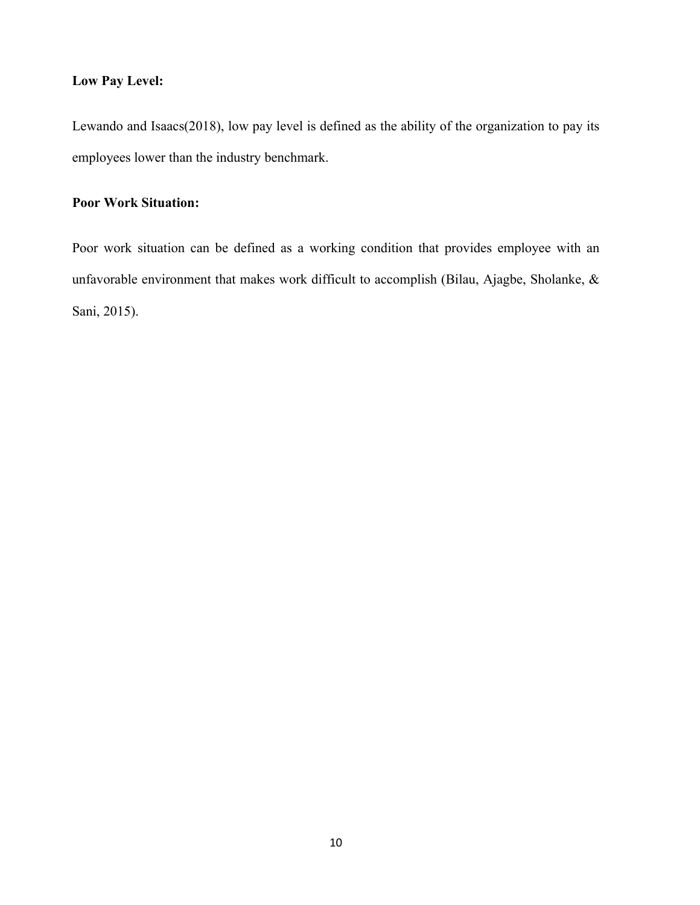#### **Low Pay Level:**

Lewando and Isaacs(2018), low pay level is defined as the ability of the organization to pay its employees lower than the industry benchmark.

## **Poor Work Situation:**

Poor work situation can be defined as a working condition that provides employee with an unfavorable environment that makes work difficult to accomplish (Bilau, Ajagbe, Sholanke, & Sani, 2015).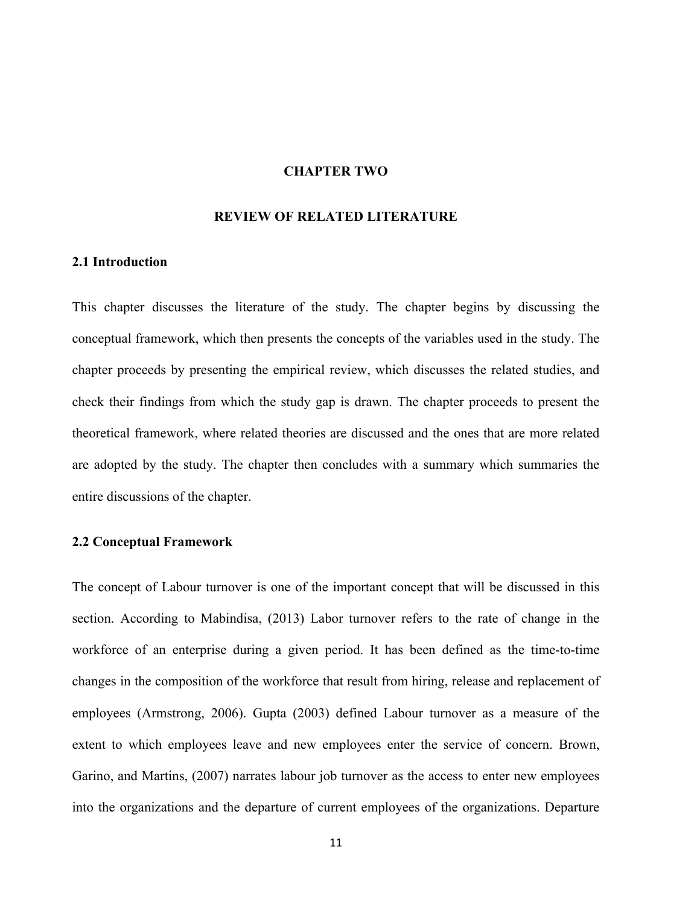#### **CHAPTER TWO**

### **REVIEW OF RELATED LITERATURE**

#### **2.1 Introduction**

This chapter discusses the literature of the study. The chapter begins by discussing the conceptual framework, which then presents the concepts of the variables used in the study. The chapter proceeds by presenting the empirical review, which discusses the related studies, and check their findings from which the study gap is drawn. The chapter proceeds to present the theoretical framework, where related theories are discussed and the ones that are more related are adopted by the study. The chapter then concludes with a summary which summaries the entire discussions of the chapter.

#### **2.2 Conceptual Framework**

The concept of Labour turnover is one of the important concept that will be discussed in this section. According to Mabindisa, (2013) Labor turnover refers to the rate of change in the workforce of an enterprise during a given period. It has been defined as the time-to-time changes in the composition of the workforce that result from hiring, release and replacement of employees (Armstrong, 2006). Gupta (2003) defined Labour turnover as a measure of the extent to which employees leave and new employees enter the service of concern. Brown, Garino, and Martins, (2007) narrates labour job turnover as the access to enter new employees into the organizations and the departure of current employees of the organizations. Departure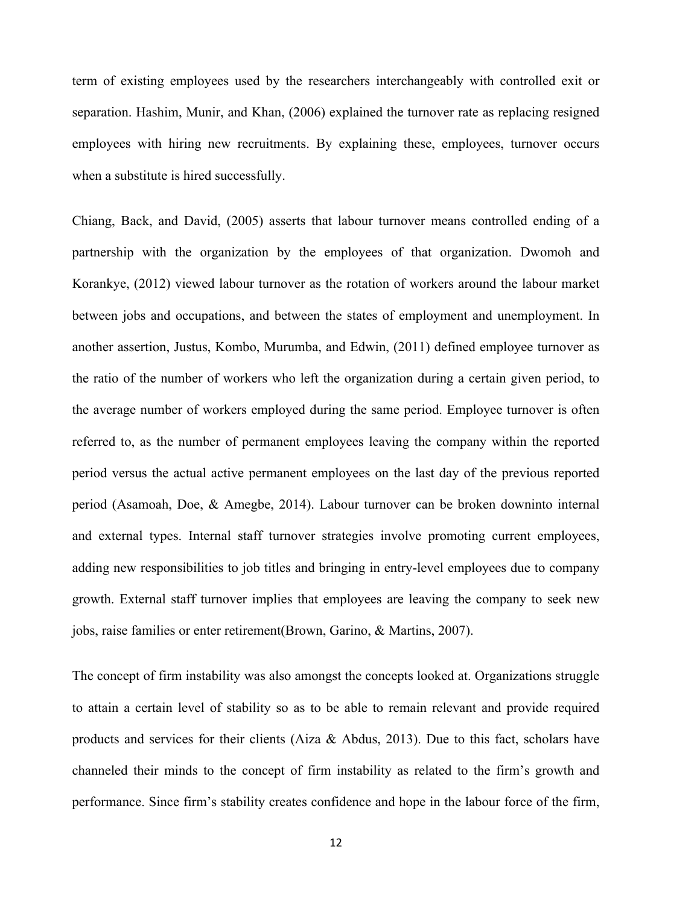term of existing employees used by the researchers interchangeably with controlled exit or separation. Hashim, Munir, and Khan, (2006) explained the turnover rate as replacing resigned employees with hiring new recruitments. By explaining these, employees, turnover occurs when a substitute is hired successfully.

Chiang, Back, and David, (2005) asserts that labour turnover means controlled ending of a partnership with the organization by the employees of that organization. Dwomoh and Korankye, (2012) viewed labour turnover as the rotation of workers around the labour market between jobs and occupations, and between the states of employment and unemployment. In another assertion, Justus, Kombo, Murumba, and Edwin, (2011) defined employee turnover as the ratio of the number of workers who left the organization during a certain given period, to the average number of workers employed during the same period. Employee turnover is often referred to, as the number of permanent employees leaving the company within the reported period versus the actual active permanent employees on the last day of the previous reported period (Asamoah, Doe, & Amegbe, 2014). Labour turnover can be broken downinto internal and external types. Internal staff turnover strategies involve promoting current employees, adding new responsibilities to job titles and bringing in entry-level employees due to company growth. External staff turnover implies that employees are leaving the company to seek new jobs, raise families or enter retirement(Brown, Garino, & Martins, 2007).

The concept of firm instability was also amongst the concepts looked at. Organizations struggle to attain a certain level of stability so as to be able to remain relevant and provide required products and services for their clients (Aiza & Abdus, 2013). Due to this fact, scholars have channeled their minds to the concept of firm instability as related to the firm's growth and performance. Since firm's stability creates confidence and hope in the labour force of the firm,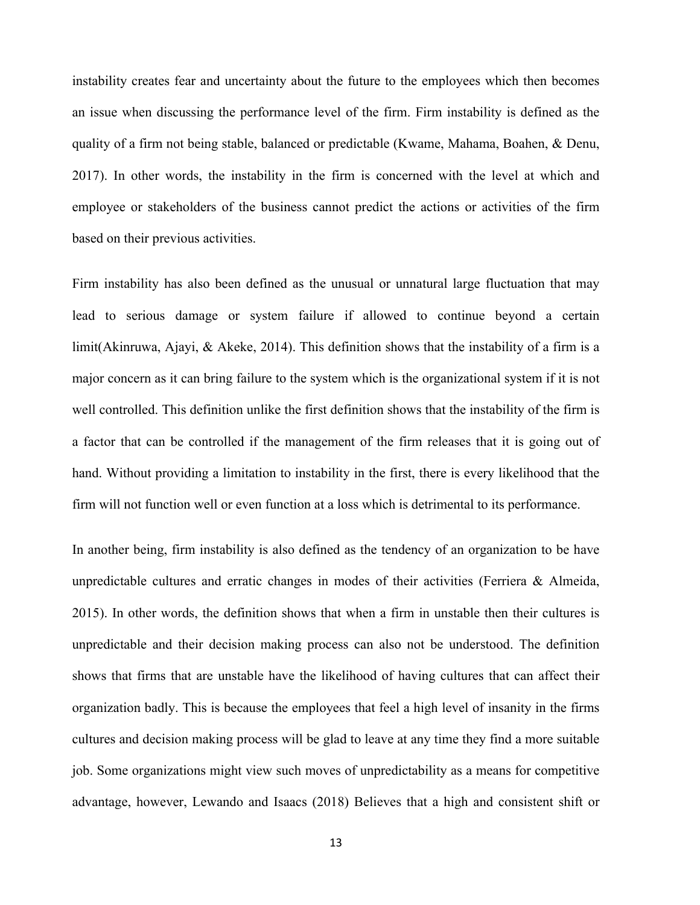instability creates fear and uncertainty about the future to the employees which then becomes an issue when discussing the performance level of the firm. Firm instability is defined as the quality of a firm not being stable, balanced or predictable (Kwame, Mahama, Boahen, & Denu, 2017). In other words, the instability in the firm is concerned with the level at which and employee or stakeholders of the business cannot predict the actions or activities of the firm based on their previous activities.

Firm instability has also been defined as the unusual or unnatural large fluctuation that may lead to serious damage or system failure if allowed to continue beyond a certain limit(Akinruwa, Ajayi, & Akeke, 2014). This definition shows that the instability of a firm is a major concern as it can bring failure to the system which is the organizational system if it is not well controlled. This definition unlike the first definition shows that the instability of the firm is a factor that can be controlled if the management of the firm releases that it is going out of hand. Without providing a limitation to instability in the first, there is every likelihood that the firm will not function well or even function at a loss which is detrimental to its performance.

In another being, firm instability is also defined as the tendency of an organization to be have unpredictable cultures and erratic changes in modes of their activities (Ferriera  $\&$  Almeida, 2015). In other words, the definition shows that when a firm in unstable then their cultures is unpredictable and their decision making process can also not be understood. The definition shows that firms that are unstable have the likelihood of having cultures that can affect their organization badly. This is because the employees that feel a high level of insanity in the firms cultures and decision making process will be glad to leave at any time they find a more suitable job. Some organizations might view such moves of unpredictability as a means for competitive advantage, however, Lewando and Isaacs (2018) Believes that a high and consistent shift or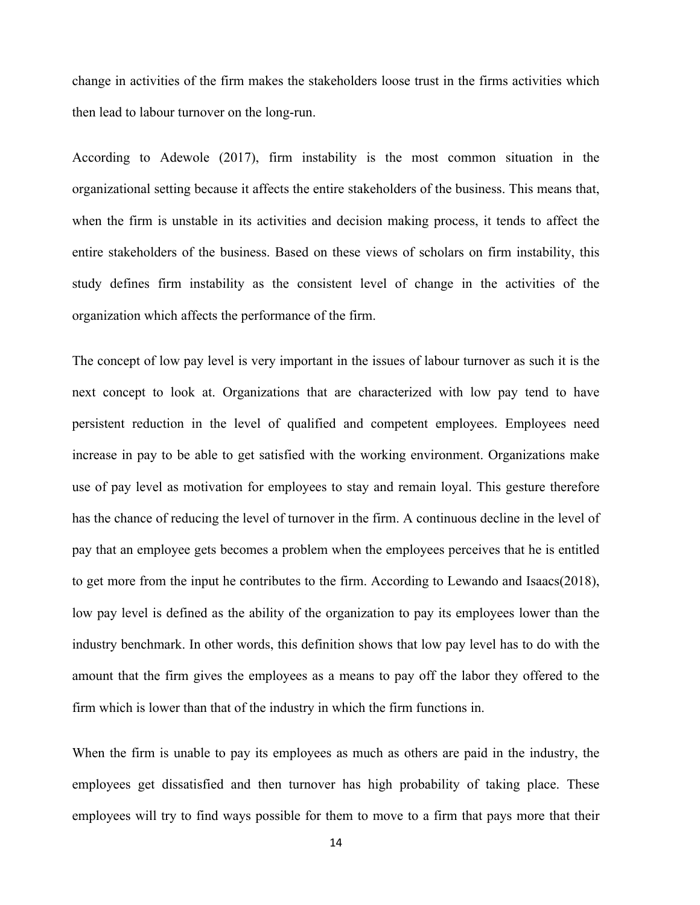change in activities of the firm makes the stakeholders loose trust in the firms activities which then lead to labour turnover on the long-run.

According to Adewole (2017), firm instability is the most common situation in the organizational setting because it affects the entire stakeholders of the business. This means that, when the firm is unstable in its activities and decision making process, it tends to affect the entire stakeholders of the business. Based on these views of scholars on firm instability, this study defines firm instability as the consistent level of change in the activities of the organization which affects the performance of the firm.

The concept of low pay level is very important in the issues of labour turnover as such it is the next concept to look at. Organizations that are characterized with low pay tend to have persistent reduction in the level of qualified and competent employees. Employees need increase in pay to be able to get satisfied with the working environment. Organizations make use of pay level as motivation for employees to stay and remain loyal. This gesture therefore has the chance of reducing the level of turnover in the firm. A continuous decline in the level of pay that an employee gets becomes a problem when the employees perceives that he is entitled to get more from the input he contributes to the firm. According to Lewando and Isaacs(2018), low pay level is defined as the ability of the organization to pay its employees lower than the industry benchmark. In other words, this definition shows that low pay level has to do with the amount that the firm gives the employees as a means to pay off the labor they offered to the firm which is lower than that of the industry in which the firm functions in.

When the firm is unable to pay its employees as much as others are paid in the industry, the employees get dissatisfied and then turnover has high probability of taking place. These employees will try to find ways possible for them to move to a firm that pays more that their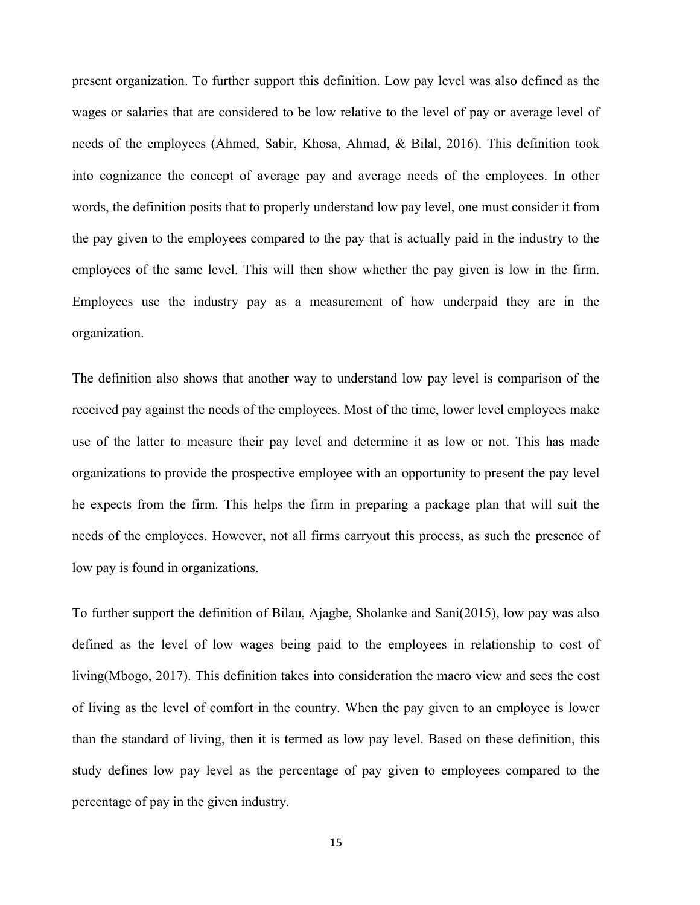present organization. To further support this definition. Low pay level was also defined as the wages or salaries that are considered to be low relative to the level of pay or average level of needs of the employees (Ahmed, Sabir, Khosa, Ahmad, & Bilal, 2016). This definition took into cognizance the concept of average pay and average needs of the employees. In other words, the definition posits that to properly understand low pay level, one must consider it from the pay given to the employees compared to the pay that is actually paid in the industry to the employees of the same level. This will then show whether the pay given is low in the firm. Employees use the industry pay as a measurement of how underpaid they are in the organization.

The definition also shows that another way to understand low pay level is comparison of the received pay against the needs of the employees. Most of the time, lower level employees make use of the latter to measure their pay level and determine it as low or not. This has made organizations to provide the prospective employee with an opportunity to present the pay level he expects from the firm. This helps the firm in preparing a package plan that will suit the needs of the employees. However, not all firms carryout this process, as such the presence of low pay is found in organizations.

To further support the definition of Bilau, Ajagbe, Sholanke and Sani(2015), low pay was also defined as the level of low wages being paid to the employees in relationship to cost of living(Mbogo, 2017). This definition takes into consideration the macro view and sees the cost of living as the level of comfort in the country. When the pay given to an employee is lower than the standard of living, then it is termed as low pay level. Based on these definition, this study defines low pay level as the percentage of pay given to employees compared to the percentage of pay in the given industry.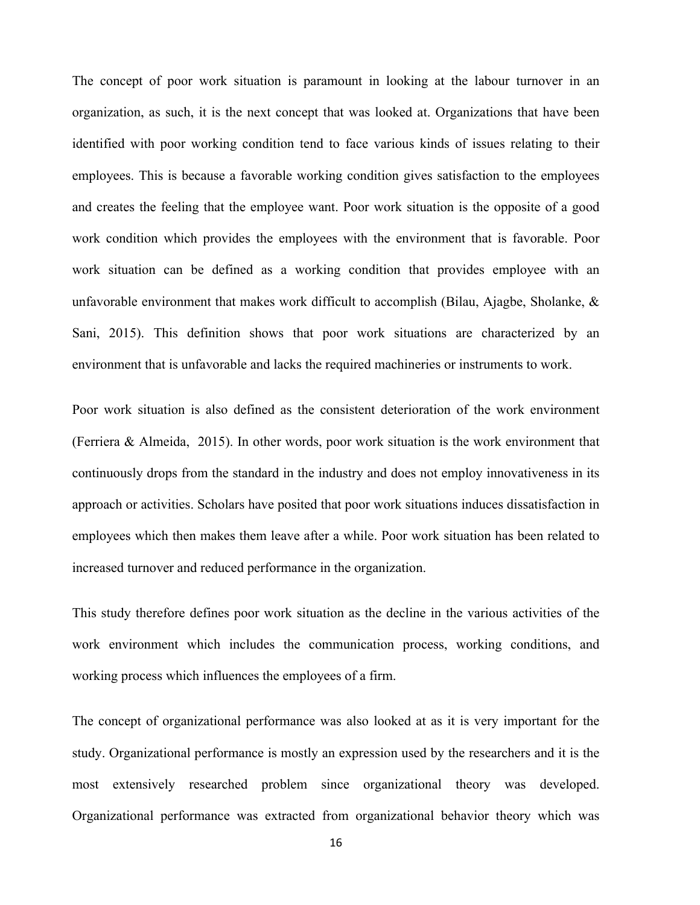The concept of poor work situation is paramount in looking at the labour turnover in an organization, as such, it is the next concept that was looked at. Organizations that have been identified with poor working condition tend to face various kinds of issues relating to their employees. This is because a favorable working condition gives satisfaction to the employees and creates the feeling that the employee want. Poor work situation is the opposite of a good work condition which provides the employees with the environment that is favorable. Poor work situation can be defined as a working condition that provides employee with an unfavorable environment that makes work difficult to accomplish (Bilau, Ajagbe, Sholanke, & Sani, 2015). This definition shows that poor work situations are characterized by an environment that is unfavorable and lacks the required machineries or instruments to work.

Poor work situation is also defined as the consistent deterioration of the work environment (Ferriera & Almeida, 2015). In other words, poor work situation is the work environment that continuously drops from the standard in the industry and does not employ innovativeness in its approach or activities. Scholars have posited that poor work situations induces dissatisfaction in employees which then makes them leave after a while. Poor work situation has been related to increased turnover and reduced performance in the organization.

This study therefore defines poor work situation as the decline in the various activities of the work environment which includes the communication process, working conditions, and working process which influences the employees of a firm.

The concept of organizational performance was also looked at as it is very important for the study. Organizational performance is mostly an expression used by the researchers and it is the most extensively researched problem since organizational theory was developed. Organizational performance was extracted from organizational behavior theory which was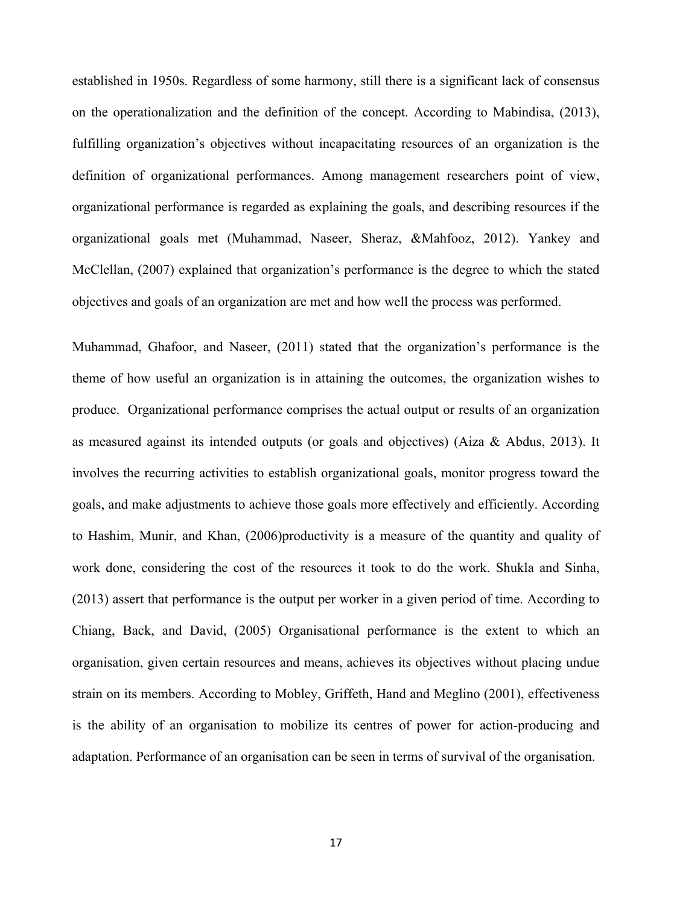established in 1950s. Regardless of some harmony, still there is a significant lack of consensus on the operationalization and the definition of the concept. According to Mabindisa, (2013), fulfilling organization's objectives without incapacitating resources of an organization is the definition of organizational performances. Among management researchers point of view, organizational performance is regarded as explaining the goals, and describing resources if the organizational goals met (Muhammad, Naseer, Sheraz, &Mahfooz, 2012). Yankey and McClellan, (2007) explained that organization's performance is the degree to which the stated objectives and goals of an organization are met and how well the process was performed.

Muhammad, Ghafoor, and Naseer, (2011) stated that the organization's performance is the theme of how useful an organization is in attaining the outcomes, the organization wishes to produce. Organizational performance comprises the actual output or results of an organization as measured against its intended outputs (or goals and objectives) (Aiza & Abdus, 2013). It involves the recurring activities to establish organizational goals, monitor progress toward the goals, and make adjustments to achieve those goals more effectively and efficiently. According to Hashim, Munir, and Khan, (2006)productivity is a measure of the quantity and quality of work done, considering the cost of the resources it took to do the work. Shukla and Sinha, (2013) assert that performance is the output per worker in a given period of time. According to Chiang, Back, and David, (2005) Organisational performance is the extent to which an organisation, given certain resources and means, achieves its objectives without placing undue strain on its members. According to Mobley, Griffeth, Hand and Meglino (2001), effectiveness is the ability of an organisation to mobilize its centres of power for action-producing and adaptation. Performance of an organisation can be seen in terms of survival of the organisation.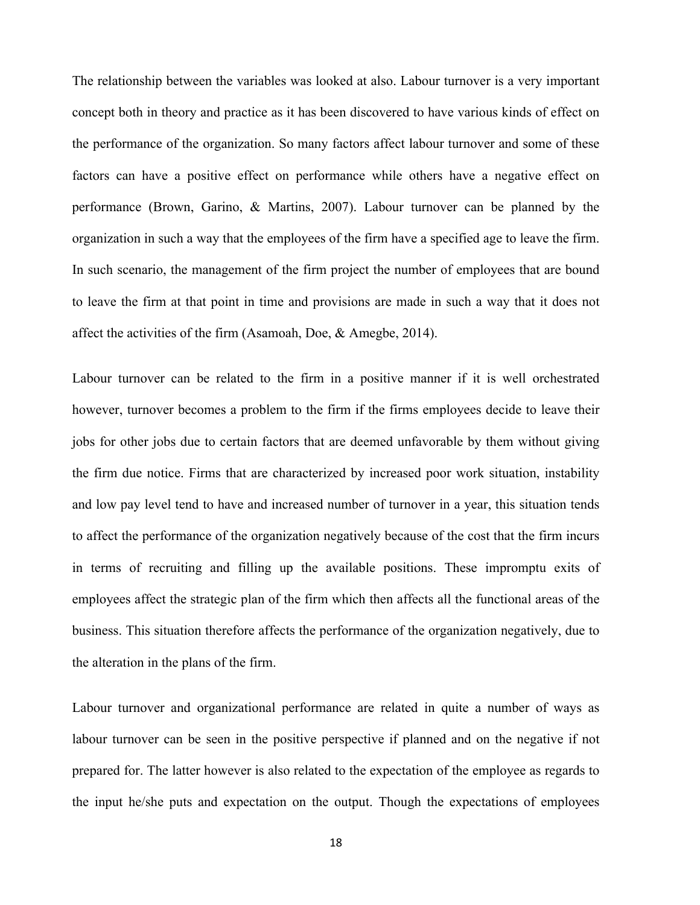The relationship between the variables was looked at also. Labour turnover is a very important concept both in theory and practice as it has been discovered to have various kinds of effect on the performance of the organization. So many factors affect labour turnover and some of these factors can have a positive effect on performance while others have a negative effect on performance (Brown, Garino, & Martins, 2007). Labour turnover can be planned by the organization in such a way that the employees of the firm have a specified age to leave the firm. In such scenario, the management of the firm project the number of employees that are bound to leave the firm at that point in time and provisions are made in such a way that it does not affect the activities of the firm (Asamoah, Doe, & Amegbe, 2014).

Labour turnover can be related to the firm in a positive manner if it is well orchestrated however, turnover becomes a problem to the firm if the firms employees decide to leave their jobs for other jobs due to certain factors that are deemed unfavorable by them without giving the firm due notice. Firms that are characterized by increased poor work situation, instability and low pay level tend to have and increased number of turnover in a year, this situation tends to affect the performance of the organization negatively because of the cost that the firm incurs in terms of recruiting and filling up the available positions. These impromptu exits of employees affect the strategic plan of the firm which then affects all the functional areas of the business. This situation therefore affects the performance of the organization negatively, due to the alteration in the plans of the firm.

Labour turnover and organizational performance are related in quite a number of ways as labour turnover can be seen in the positive perspective if planned and on the negative if not prepared for. The latter however is also related to the expectation of the employee as regards to the input he/she puts and expectation on the output. Though the expectations of employees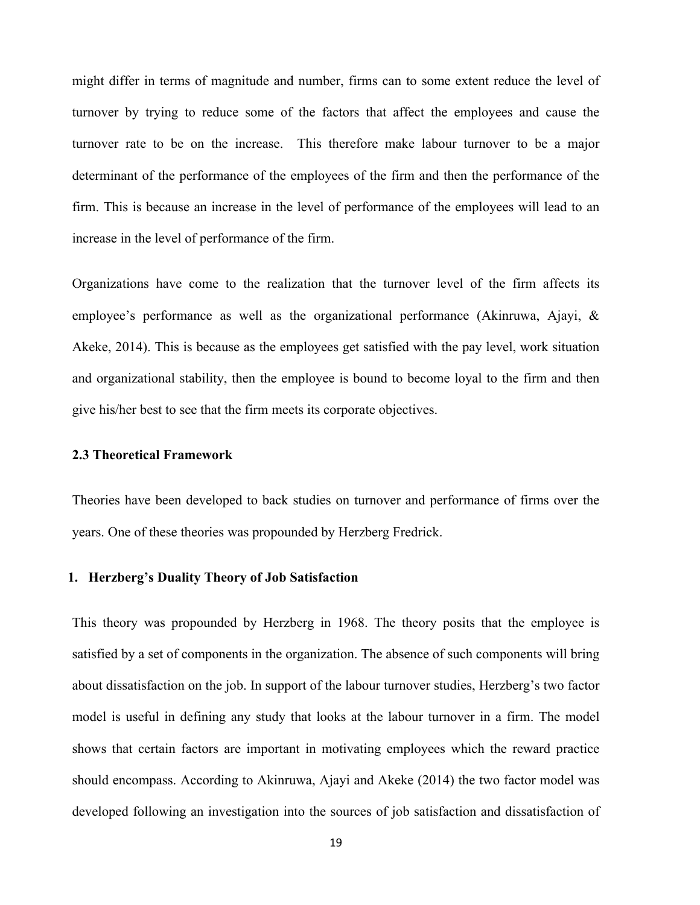might differ in terms of magnitude and number, firms can to some extent reduce the level of turnover by trying to reduce some of the factors that affect the employees and cause the turnover rate to be on the increase. This therefore make labour turnover to be a major determinant of the performance of the employees of the firm and then the performance of the firm. This is because an increase in the level of performance of the employees will lead to an increase in the level of performance of the firm.

Organizations have come to the realization that the turnover level of the firm affects its employee's performance as well as the organizational performance (Akinruwa, Ajayi, & Akeke, 2014). This is because as the employees get satisfied with the pay level, work situation and organizational stability, then the employee is bound to become loyal to the firm and then give his/her best to see that the firm meets its corporate objectives.

#### **2.3 Theoretical Framework**

Theories have been developed to back studies on turnover and performance of firms over the years. One of these theories was propounded by Herzberg Fredrick.

#### **1. Herzberg's Duality Theory of Job Satisfaction**

This theory was propounded by Herzberg in 1968. The theory posits that the employee is satisfied by a set of components in the organization. The absence of such components will bring about dissatisfaction on the job. In support of the labour turnover studies, Herzberg's two factor model is useful in defining any study that looks at the labour turnover in a firm. The model shows that certain factors are important in motivating employees which the reward practice should encompass. According to Akinruwa, Ajayi and Akeke (2014) the two factor model was developed following an investigation into the sources of job satisfaction and dissatisfaction of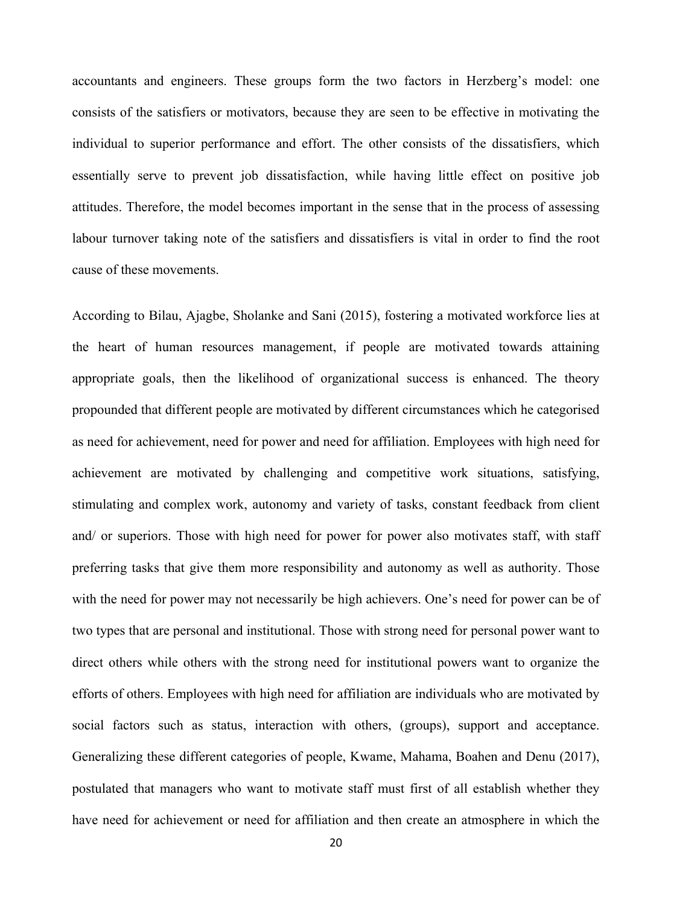accountants and engineers. These groups form the two factors in Herzberg's model: one consists of the satisfiers or motivators, because they are seen to be effective in motivating the individual to superior performance and effort. The other consists of the dissatisfiers, which essentially serve to prevent job dissatisfaction, while having little effect on positive job attitudes. Therefore, the model becomes important in the sense that in the process of assessing labour turnover taking note of the satisfiers and dissatisfiers is vital in order to find the root cause of these movements.

According to Bilau, Ajagbe, Sholanke and Sani (2015), fostering a motivated workforce lies at the heart of human resources management, if people are motivated towards attaining appropriate goals, then the likelihood of organizational success is enhanced. The theory propounded that different people are motivated by different circumstances which he categorised as need for achievement, need for power and need for affiliation. Employees with high need for achievement are motivated by challenging and competitive work situations, satisfying, stimulating and complex work, autonomy and variety of tasks, constant feedback from client and/ or superiors. Those with high need for power for power also motivates staff, with staff preferring tasks that give them more responsibility and autonomy as well as authority. Those with the need for power may not necessarily be high achievers. One's need for power can be of two types that are personal and institutional. Those with strong need for personal power want to direct others while others with the strong need for institutional powers want to organize the efforts of others. Employees with high need for affiliation are individuals who are motivated by social factors such as status, interaction with others, (groups), support and acceptance. Generalizing these different categories of people, Kwame, Mahama, Boahen and Denu (2017), postulated that managers who want to motivate staff must first of all establish whether they have need for achievement or need for affiliation and then create an atmosphere in which the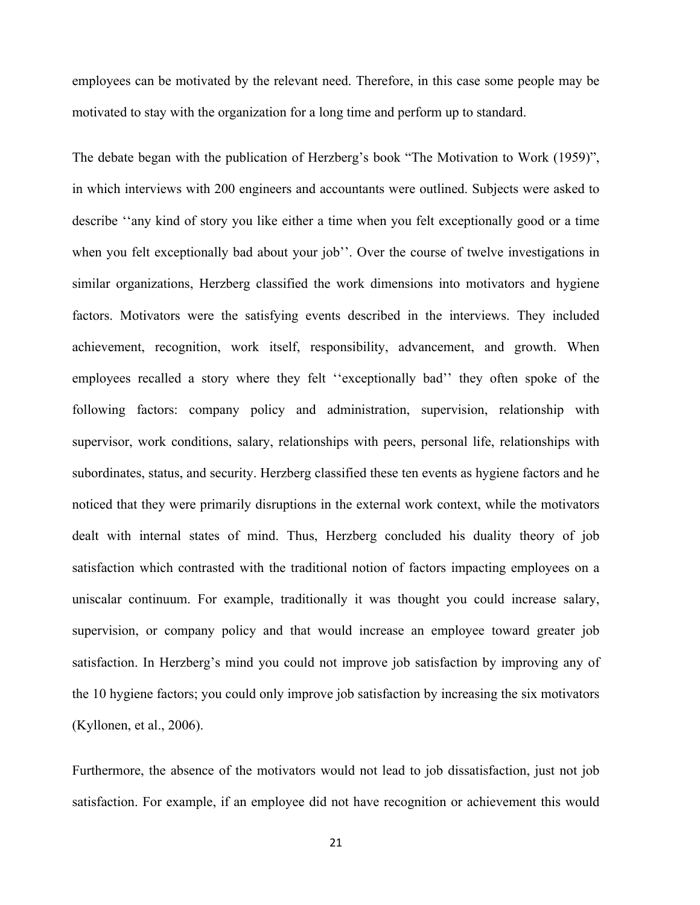employees can be motivated by the relevant need. Therefore, in this case some people may be motivated to stay with the organization for a long time and perform up to standard.

The debate began with the publication of Herzberg's book "The Motivation to Work (1959)", in which interviews with 200 engineers and accountants were outlined. Subjects were asked to describe ''any kind of story you like either a time when you felt exceptionally good or a time when you felt exceptionally bad about your job''. Over the course of twelve investigations in similar organizations, Herzberg classified the work dimensions into motivators and hygiene factors. Motivators were the satisfying events described in the interviews. They included achievement, recognition, work itself, responsibility, advancement, and growth. When employees recalled a story where they felt ''exceptionally bad'' they often spoke of the following factors: company policy and administration, supervision, relationship with supervisor, work conditions, salary, relationships with peers, personal life, relationships with subordinates, status, and security. Herzberg classified these ten events as hygiene factors and he noticed that they were primarily disruptions in the external work context, while the motivators dealt with internal states of mind. Thus, Herzberg concluded his duality theory of job satisfaction which contrasted with the traditional notion of factors impacting employees on a uniscalar continuum. For example, traditionally it was thought you could increase salary, supervision, or company policy and that would increase an employee toward greater job satisfaction. In Herzberg's mind you could not improve job satisfaction by improving any of the 10 hygiene factors; you could only improve job satisfaction by increasing the six motivators (Kyllonen, et al., 2006).

Furthermore, the absence of the motivators would not lead to job dissatisfaction, just not job satisfaction. For example, if an employee did not have recognition or achievement this would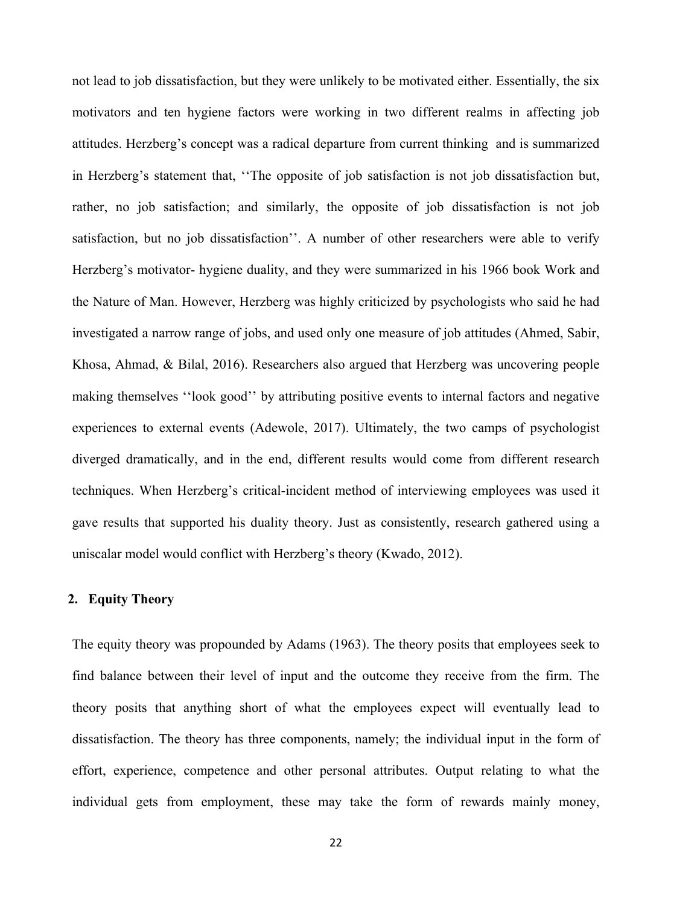not lead to job dissatisfaction, but they were unlikely to be motivated either. Essentially, the six motivators and ten hygiene factors were working in two different realms in affecting job attitudes. Herzberg's concept was a radical departure from current thinking and is summarized in Herzberg's statement that, ''The opposite of job satisfaction is not job dissatisfaction but, rather, no job satisfaction; and similarly, the opposite of job dissatisfaction is not job satisfaction, but no job dissatisfaction''. A number of other researchers were able to verify Herzberg's motivator- hygiene duality, and they were summarized in his 1966 book Work and the Nature of Man. However, Herzberg was highly criticized by psychologists who said he had investigated a narrow range of jobs, and used only one measure of job attitudes (Ahmed, Sabir, Khosa, Ahmad, & Bilal, 2016). Researchers also argued that Herzberg was uncovering people making themselves ''look good'' by attributing positive events to internal factors and negative experiences to external events (Adewole, 2017). Ultimately, the two camps of psychologist diverged dramatically, and in the end, different results would come from different research techniques. When Herzberg's critical-incident method of interviewing employees was used it gave results that supported his duality theory. Just as consistently, research gathered using a uniscalar model would conflict with Herzberg's theory (Kwado, 2012).

#### **2. Equity Theory**

The equity theory was propounded by Adams (1963). The theory posits that employees seek to find balance between their level of input and the outcome they receive from the firm. The theory posits that anything short of what the employees expect will eventually lead to dissatisfaction. The theory has three components, namely; the individual input in the form of effort, experience, competence and other personal attributes. Output relating to what the individual gets from employment, these may take the form of rewards mainly money,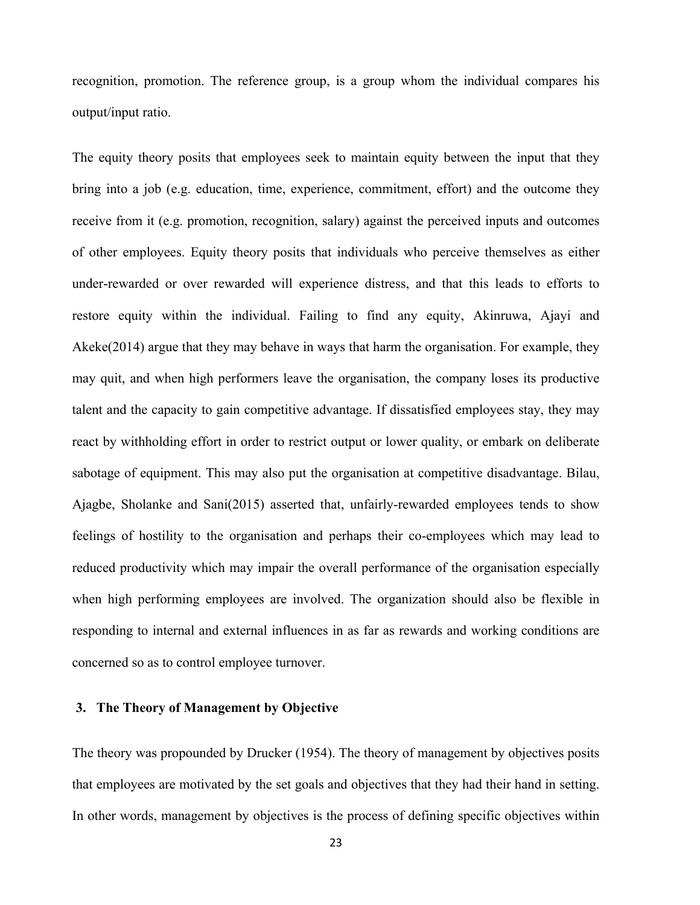recognition, promotion. The reference group, is a group whom the individual compares his output/input ratio.

The equity theory posits that employees seek to maintain equity between the input that they bring into a job (e.g. education, time, experience, commitment, effort) and the outcome they receive from it (e.g. promotion, recognition, salary) against the perceived inputs and outcomes of other employees. Equity theory posits that individuals who perceive themselves as either under-rewarded or over rewarded will experience distress, and that this leads to efforts to restore equity within the individual. Failing to find any equity, Akinruwa, Ajayi and Akeke(2014) argue that they may behave in ways that harm the organisation. For example, they may quit, and when high performers leave the organisation, the company loses its productive talent and the capacity to gain competitive advantage. If dissatisfied employees stay, they may react by withholding effort in order to restrict output or lower quality, or embark on deliberate sabotage of equipment. This may also put the organisation at competitive disadvantage. Bilau, Ajagbe, Sholanke and Sani(2015) asserted that, unfairly-rewarded employees tends to show feelings of hostility to the organisation and perhaps their co-employees which may lead to reduced productivity which may impair the overall performance of the organisation especially when high performing employees are involved. The organization should also be flexible in responding to internal and external influences in as far as rewards and working conditions are concerned so as to control employee turnover.

## **3. The Theory of Management by Objective**

The theory was propounded by Drucker (1954). The theory of management by objectives posits that employees are motivated by the set goals and objectives that they had their hand in setting. In other words, management by objectives is the process of defining specific objectives within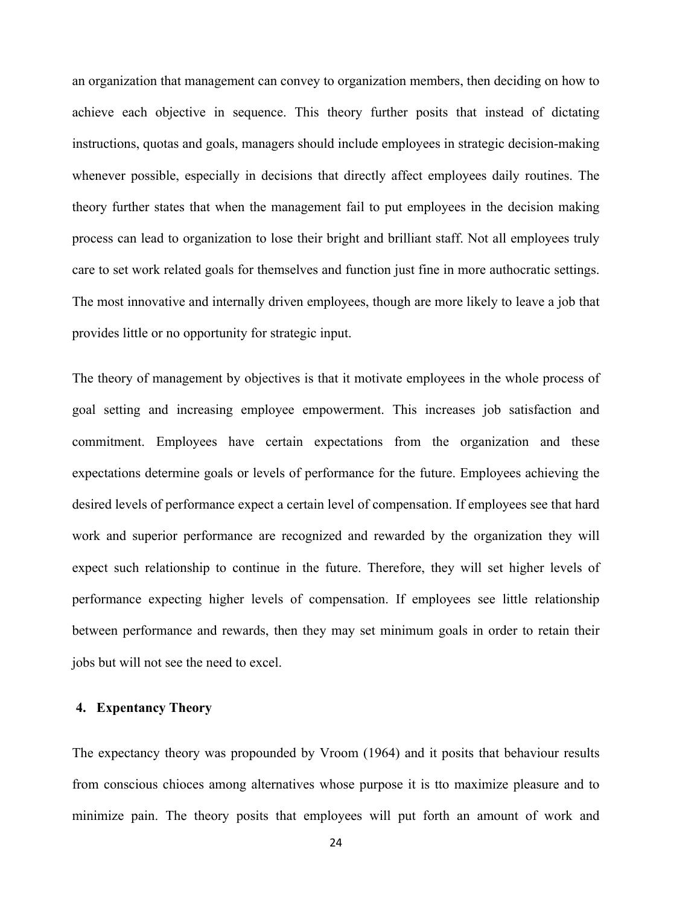an organization that management can convey to organization members, then deciding on how to achieve each objective in sequence. This theory further posits that instead of dictating instructions, quotas and goals, managers should include employees in strategic decision-making whenever possible, especially in decisions that directly affect employees daily routines. The theory further states that when the management fail to put employees in the decision making process can lead to organization to lose their bright and brilliant staff. Not all employees truly care to set work related goals for themselves and function just fine in more authocratic settings. The most innovative and internally driven employees, though are more likely to leave a job that provides little or no opportunity for strategic input.

The theory of management by objectives is that it motivate employees in the whole process of goal setting and increasing employee empowerment. This increases job satisfaction and commitment. Employees have certain expectations from the organization and these expectations determine goals or levels of performance for the future. Employees achieving the desired levels of performance expect a certain level of compensation. If employees see that hard work and superior performance are recognized and rewarded by the organization they will expect such relationship to continue in the future. Therefore, they will set higher levels of performance expecting higher levels of compensation. If employees see little relationship between performance and rewards, then they may set minimum goals in order to retain their jobs but will not see the need to excel.

#### **4. Expentancy Theory**

The expectancy theory was propounded by Vroom (1964) and it posits that behaviour results from conscious chioces among alternatives whose purpose it is tto maximize pleasure and to minimize pain. The theory posits that employees will put forth an amount of work and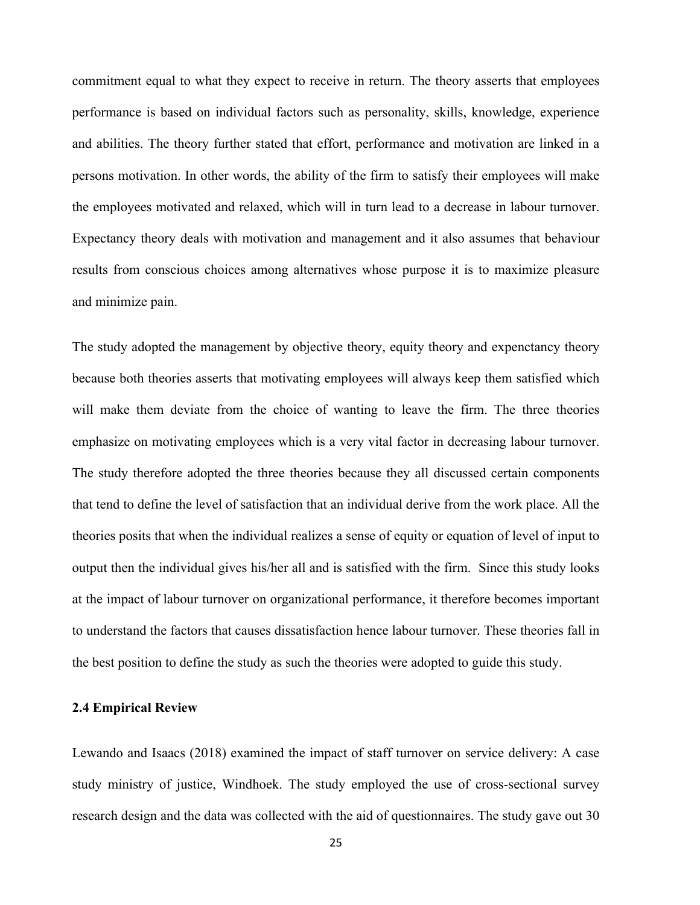commitment equal to what they expect to receive in return. The theory asserts that employees performance is based on individual factors such as personality, skills, knowledge, experience and abilities. The theory further stated that effort, performance and motivation are linked in a persons motivation. In other words, the ability of the firm to satisfy their employees will make the employees motivated and relaxed, which will in turn lead to a decrease in labour turnover. Expectancy theory deals with motivation and management and it also assumes that behaviour results from conscious choices among alternatives whose purpose it is to maximize pleasure and minimize pain.

The study adopted the management by objective theory, equity theory and expenctancy theory because both theories asserts that motivating employees will always keep them satisfied which will make them deviate from the choice of wanting to leave the firm. The three theories emphasize on motivating employees which is a very vital factor in decreasing labour turnover. The study therefore adopted the three theories because they all discussed certain components that tend to define the level of satisfaction that an individual derive from the work place. All the theories posits that when the individual realizes a sense of equity or equation of level of input to output then the individual gives his/her all and is satisfied with the firm. Since this study looks at the impact of labour turnover on organizational performance, it therefore becomes important to understand the factors that causes dissatisfaction hence labour turnover. These theories fall in the best position to define the study as such the theories were adopted to guide this study.

#### **2.4 Empirical Review**

Lewando and Isaacs (2018) examined the impact of staff turnover on service delivery: A case study ministry of justice, Windhoek. The study employed the use of cross-sectional survey research design and the data was collected with the aid of questionnaires. The study gave out 30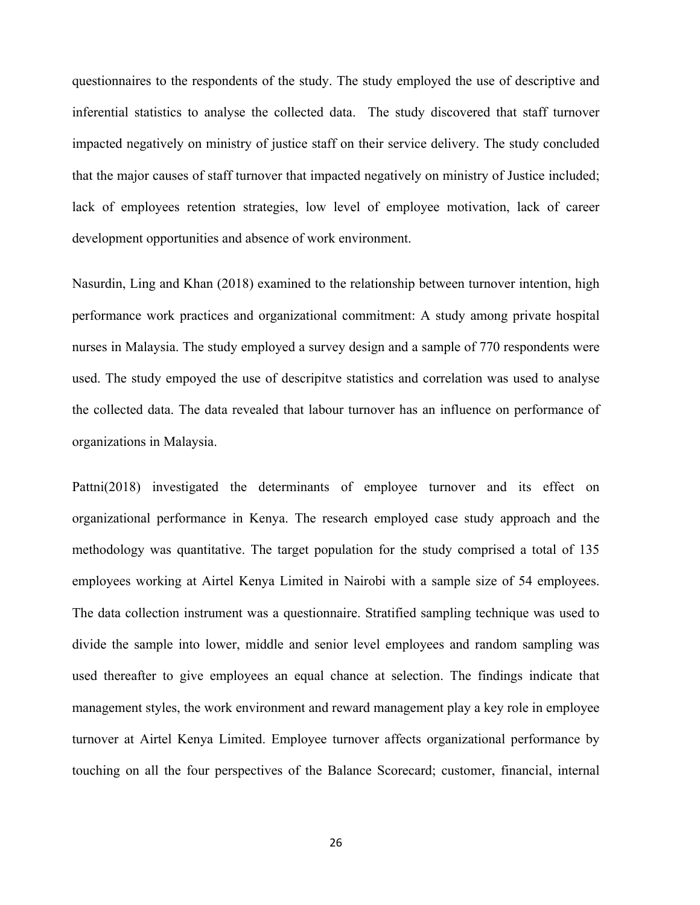questionnaires to the respondents of the study. The study employed the use of descriptive and inferential statistics to analyse the collected data. The study discovered that staff turnover impacted negatively on ministry of justice staff on their service delivery. The study concluded that the major causes of staff turnover that impacted negatively on ministry of Justice included; lack of employees retention strategies, low level of employee motivation, lack of career development opportunities and absence of work environment.

Nasurdin, Ling and Khan (2018) examined to the relationship between turnover intention, high performance work practices and organizational commitment: A study among private hospital nurses in Malaysia. The study employed a survey design and a sample of 770 respondents were used. The study empoyed the use of descripitve statistics and correlation was used to analyse the collected data. The data revealed that labour turnover has an influence on performance of organizations in Malaysia.

Pattni(2018) investigated the determinants of employee turnover and its effect on organizational performance in Kenya. The research employed case study approach and the methodology was quantitative. The target population for the study comprised a total of 135 employees working at Airtel Kenya Limited in Nairobi with a sample size of 54 employees. The data collection instrument was a questionnaire. Stratified sampling technique was used to divide the sample into lower, middle and senior level employees and random sampling was used thereafter to give employees an equal chance at selection. The findings indicate that management styles, the work environment and reward management play a key role in employee turnover at Airtel Kenya Limited. Employee turnover affects organizational performance by touching on all the four perspectives of the Balance Scorecard; customer, financial, internal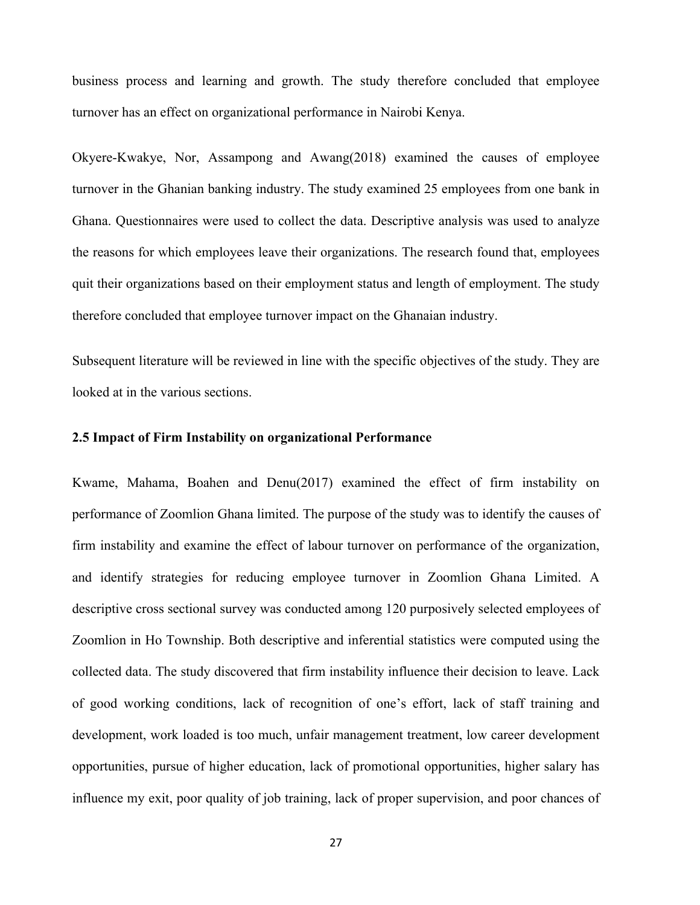business process and learning and growth. The study therefore concluded that employee turnover has an effect on organizational performance in Nairobi Kenya.

Okyere-Kwakye, Nor, Assampong and Awang(2018) examined the causes of employee turnover in the Ghanian banking industry. The study examined 25 employees from one bank in Ghana. Questionnaires were used to collect the data. Descriptive analysis was used to analyze the reasons for which employees leave their organizations. The research found that, employees quit their organizations based on their employment status and length of employment. The study therefore concluded that employee turnover impact on the Ghanaian industry.

Subsequent literature will be reviewed in line with the specific objectives of the study. They are looked at in the various sections.

#### **2.5 Impact of Firm Instability on organizational Performance**

Kwame, Mahama, Boahen and Denu(2017) examined the effect of firm instability on performance of Zoomlion Ghana limited. The purpose of the study was to identify the causes of firm instability and examine the effect of labour turnover on performance of the organization, and identify strategies for reducing employee turnover in Zoomlion Ghana Limited. A descriptive cross sectional survey was conducted among 120 purposively selected employees of Zoomlion in Ho Township. Both descriptive and inferential statistics were computed using the collected data. The study discovered that firm instability influence their decision to leave. Lack of good working conditions, lack of recognition of one's effort, lack of staff training and development, work loaded is too much, unfair management treatment, low career development opportunities, pursue of higher education, lack of promotional opportunities, higher salary has influence my exit, poor quality of job training, lack of proper supervision, and poor chances of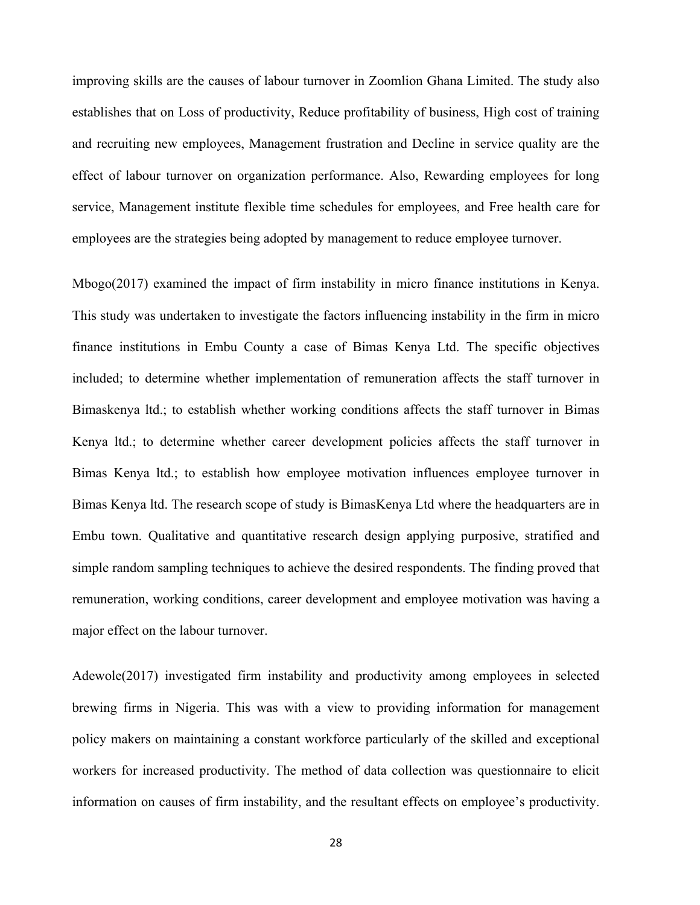improving skills are the causes of labour turnover in Zoomlion Ghana Limited. The study also establishes that on Loss of productivity, Reduce profitability of business, High cost of training and recruiting new employees, Management frustration and Decline in service quality are the effect of labour turnover on organization performance. Also, Rewarding employees for long service, Management institute flexible time schedules for employees, and Free health care for employees are the strategies being adopted by management to reduce employee turnover.

Mbogo(2017) examined the impact of firm instability in micro finance institutions in Kenya. This study was undertaken to investigate the factors influencing instability in the firm in micro finance institutions in Embu County a case of Bimas Kenya Ltd. The specific objectives included; to determine whether implementation of remuneration affects the staff turnover in Bimaskenya ltd.; to establish whether working conditions affects the staff turnover in Bimas Kenya ltd.; to determine whether career development policies affects the staff turnover in Bimas Kenya ltd.; to establish how employee motivation influences employee turnover in Bimas Kenya ltd. The research scope of study is BimasKenya Ltd where the headquarters are in Embu town. Qualitative and quantitative research design applying purposive, stratified and simple random sampling techniques to achieve the desired respondents. The finding proved that remuneration, working conditions, career development and employee motivation was having a major effect on the labour turnover.

Adewole(2017) investigated firm instability and productivity among employees in selected brewing firms in Nigeria. This was with a view to providing information for management policy makers on maintaining a constant workforce particularly of the skilled and exceptional workers for increased productivity. The method of data collection was questionnaire to elicit information on causes of firm instability, and the resultant effects on employee's productivity.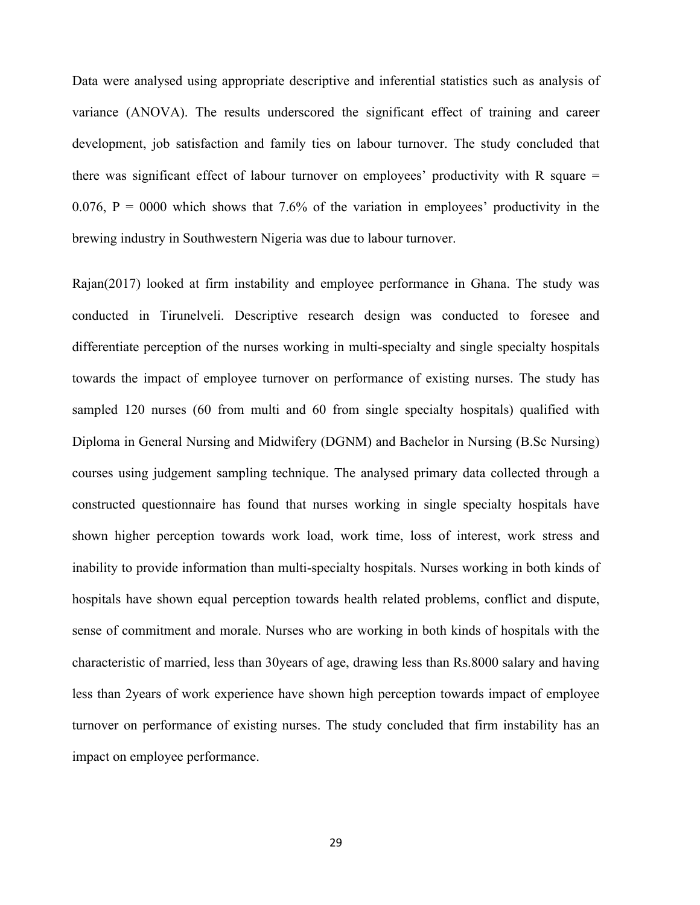Data were analysed using appropriate descriptive and inferential statistics such as analysis of variance (ANOVA). The results underscored the significant effect of training and career development, job satisfaction and family ties on labour turnover. The study concluded that there was significant effect of labour turnover on employees' productivity with R square  $=$ 0.076,  $P = 0000$  which shows that 7.6% of the variation in employees' productivity in the brewing industry in Southwestern Nigeria was due to labour turnover.

Rajan(2017) looked at firm instability and employee performance in Ghana. The study was conducted in Tirunelveli. Descriptive research design was conducted to foresee and differentiate perception of the nurses working in multi-specialty and single specialty hospitals towards the impact of employee turnover on performance of existing nurses. The study has sampled 120 nurses (60 from multi and 60 from single specialty hospitals) qualified with Diploma in General Nursing and Midwifery (DGNM) and Bachelor in Nursing (B.Sc Nursing) courses using judgement sampling technique. The analysed primary data collected through a constructed questionnaire has found that nurses working in single specialty hospitals have shown higher perception towards work load, work time, loss of interest, work stress and inability to provide information than multi-specialty hospitals. Nurses working in both kinds of hospitals have shown equal perception towards health related problems, conflict and dispute, sense of commitment and morale. Nurses who are working in both kinds of hospitals with the characteristic of married, less than 30years of age, drawing less than Rs.8000 salary and having less than 2years of work experience have shown high perception towards impact of employee turnover on performance of existing nurses. The study concluded that firm instability has an impact on employee performance.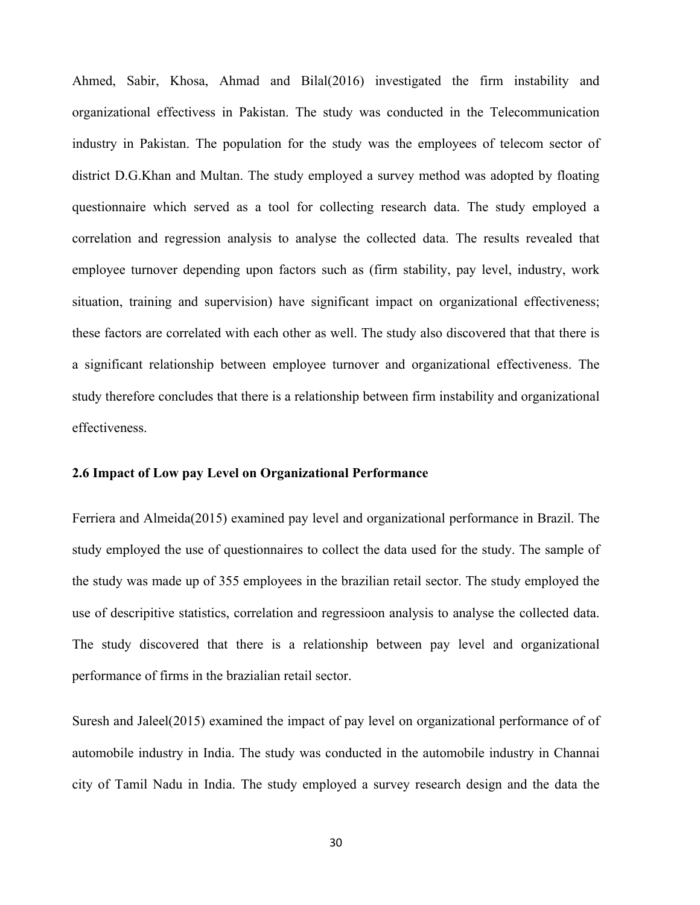Ahmed, Sabir, Khosa, Ahmad and Bilal(2016) investigated the firm instability and organizational effectivess in Pakistan. The study was conducted in the Telecommunication industry in Pakistan. The population for the study was the employees of telecom sector of district D.G.Khan and Multan. The study employed a survey method was adopted by floating questionnaire which served as a tool for collecting research data. The study employed a correlation and regression analysis to analyse the collected data. The results revealed that employee turnover depending upon factors such as (firm stability, pay level, industry, work situation, training and supervision) have significant impact on organizational effectiveness; these factors are correlated with each other as well. The study also discovered that that there is a significant relationship between employee turnover and organizational effectiveness. The study therefore concludes that there is a relationship between firm instability and organizational effectiveness.

#### **2.6 Impact of Low pay Level on Organizational Performance**

Ferriera and Almeida(2015) examined pay level and organizational performance in Brazil. The study employed the use of questionnaires to collect the data used for the study. The sample of the study was made up of 355 employees in the brazilian retail sector. The study employed the use of descripitive statistics, correlation and regressioon analysis to analyse the collected data. The study discovered that there is a relationship between pay level and organizational performance of firms in the brazialian retail sector.

Suresh and Jaleel(2015) examined the impact of pay level on organizational performance of of automobile industry in India. The study was conducted in the automobile industry in Channai city of Tamil Nadu in India. The study employed a survey research design and the data the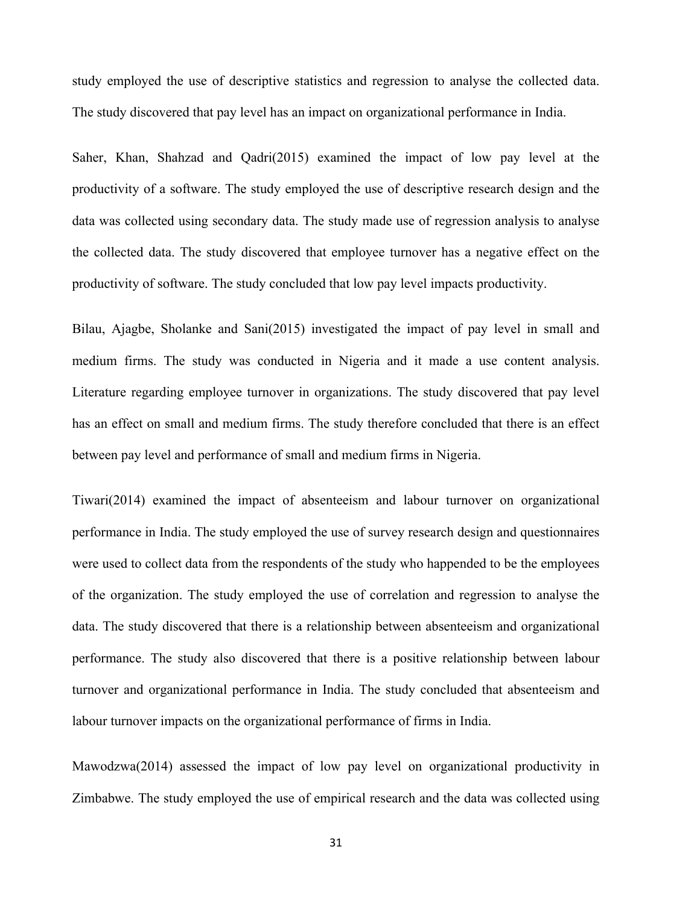study employed the use of descriptive statistics and regression to analyse the collected data. The study discovered that pay level has an impact on organizational performance in India.

Saher, Khan, Shahzad and Qadri(2015) examined the impact of low pay level at the productivity of a software. The study employed the use of descriptive research design and the data was collected using secondary data. The study made use of regression analysis to analyse the collected data. The study discovered that employee turnover has a negative effect on the productivity of software. The study concluded that low pay level impacts productivity.

Bilau, Ajagbe, Sholanke and Sani(2015) investigated the impact of pay level in small and medium firms. The study was conducted in Nigeria and it made a use content analysis. Literature regarding employee turnover in organizations. The study discovered that pay level has an effect on small and medium firms. The study therefore concluded that there is an effect between pay level and performance of small and medium firms in Nigeria.

Tiwari(2014) examined the impact of absenteeism and labour turnover on organizational performance in India. The study employed the use of survey research design and questionnaires were used to collect data from the respondents of the study who happended to be the employees of the organization. The study employed the use of correlation and regression to analyse the data. The study discovered that there is a relationship between absenteeism and organizational performance. The study also discovered that there is a positive relationship between labour turnover and organizational performance in India. The study concluded that absenteeism and labour turnover impacts on the organizational performance of firms in India.

Mawodzwa(2014) assessed the impact of low pay level on organizational productivity in Zimbabwe. The study employed the use of empirical research and the data was collected using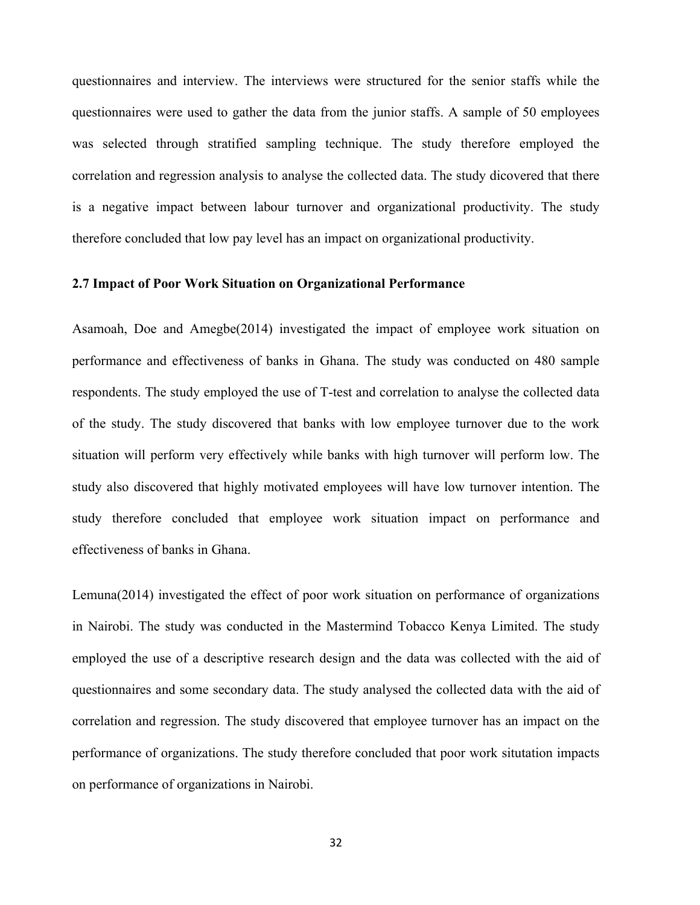questionnaires and interview. The interviews were structured for the senior staffs while the questionnaires were used to gather the data from the junior staffs. A sample of 50 employees was selected through stratified sampling technique. The study therefore employed the correlation and regression analysis to analyse the collected data. The study dicovered that there is a negative impact between labour turnover and organizational productivity. The study therefore concluded that low pay level has an impact on organizational productivity.

#### **2.7 Impact of Poor Work Situation on Organizational Performance**

Asamoah, Doe and Amegbe(2014) investigated the impact of employee work situation on performance and effectiveness of banks in Ghana. The study was conducted on 480 sample respondents. The study employed the use of T-test and correlation to analyse the collected data of the study. The study discovered that banks with low employee turnover due to the work situation will perform very effectively while banks with high turnover will perform low. The study also discovered that highly motivated employees will have low turnover intention. The study therefore concluded that employee work situation impact on performance and effectiveness of banks in Ghana.

Lemuna(2014) investigated the effect of poor work situation on performance of organizations in Nairobi. The study was conducted in the Mastermind Tobacco Kenya Limited. The study employed the use of a descriptive research design and the data was collected with the aid of questionnaires and some secondary data. The study analysed the collected data with the aid of correlation and regression. The study discovered that employee turnover has an impact on the performance of organizations. The study therefore concluded that poor work situtation impacts on performance of organizations in Nairobi.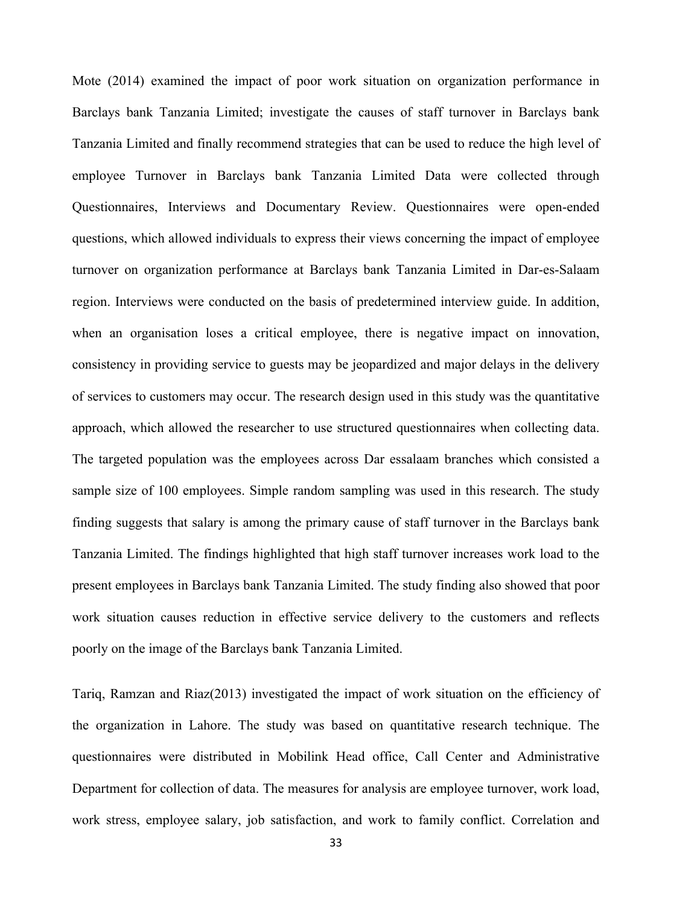Mote (2014) examined the impact of poor work situation on organization performance in Barclays bank Tanzania Limited; investigate the causes of staff turnover in Barclays bank Tanzania Limited and finally recommend strategies that can be used to reduce the high level of employee Turnover in Barclays bank Tanzania Limited Data were collected through Questionnaires, Interviews and Documentary Review. Questionnaires were open-ended questions, which allowed individuals to express their views concerning the impact of employee turnover on organization performance at Barclays bank Tanzania Limited in Dar-es-Salaam region. Interviews were conducted on the basis of predetermined interview guide. In addition, when an organisation loses a critical employee, there is negative impact on innovation, consistency in providing service to guests may be jeopardized and major delays in the delivery of services to customers may occur. The research design used in this study was the quantitative approach, which allowed the researcher to use structured questionnaires when collecting data. The targeted population was the employees across Dar essalaam branches which consisted a sample size of 100 employees. Simple random sampling was used in this research. The study finding suggests that salary is among the primary cause of staff turnover in the Barclays bank Tanzania Limited. The findings highlighted that high staff turnover increases work load to the present employees in Barclays bank Tanzania Limited. The study finding also showed that poor work situation causes reduction in effective service delivery to the customers and reflects poorly on the image of the Barclays bank Tanzania Limited.

Tariq, Ramzan and Riaz(2013) investigated the impact of work situation on the efficiency of the organization in Lahore. The study was based on quantitative research technique. The questionnaires were distributed in Mobilink Head office, Call Center and Administrative Department for collection of data. The measures for analysis are employee turnover, work load, work stress, employee salary, job satisfaction, and work to family conflict. Correlation and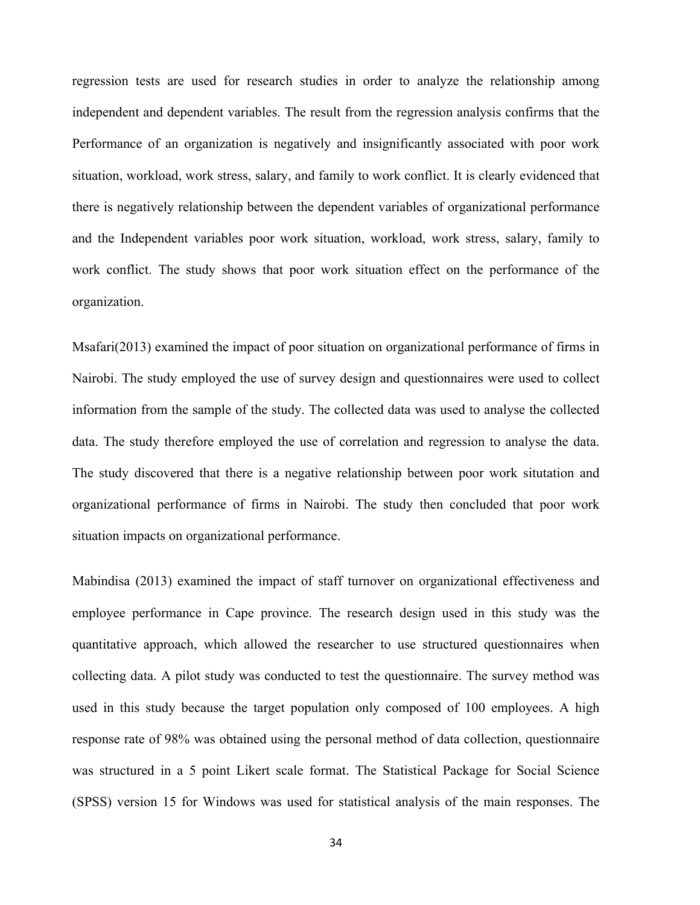regression tests are used for research studies in order to analyze the relationship among independent and dependent variables. The result from the regression analysis confirms that the Performance of an organization is negatively and insignificantly associated with poor work situation, workload, work stress, salary, and family to work conflict. It is clearly evidenced that there is negatively relationship between the dependent variables of organizational performance and the Independent variables poor work situation, workload, work stress, salary, family to work conflict. The study shows that poor work situation effect on the performance of the organization.

Msafari(2013) examined the impact of poor situation on organizational performance of firms in Nairobi. The study employed the use of survey design and questionnaires were used to collect information from the sample of the study. The collected data was used to analyse the collected data. The study therefore employed the use of correlation and regression to analyse the data. The study discovered that there is a negative relationship between poor work situtation and organizational performance of firms in Nairobi. The study then concluded that poor work situation impacts on organizational performance.

Mabindisa (2013) examined the impact of staff turnover on organizational effectiveness and employee performance in Cape province. The research design used in this study was the quantitative approach, which allowed the researcher to use structured questionnaires when collecting data. A pilot study was conducted to test the questionnaire. The survey method was used in this study because the target population only composed of 100 employees. A high response rate of 98% was obtained using the personal method of data collection, questionnaire was structured in a 5 point Likert scale format. The Statistical Package for Social Science (SPSS) version 15 for Windows was used for statistical analysis of the main responses. The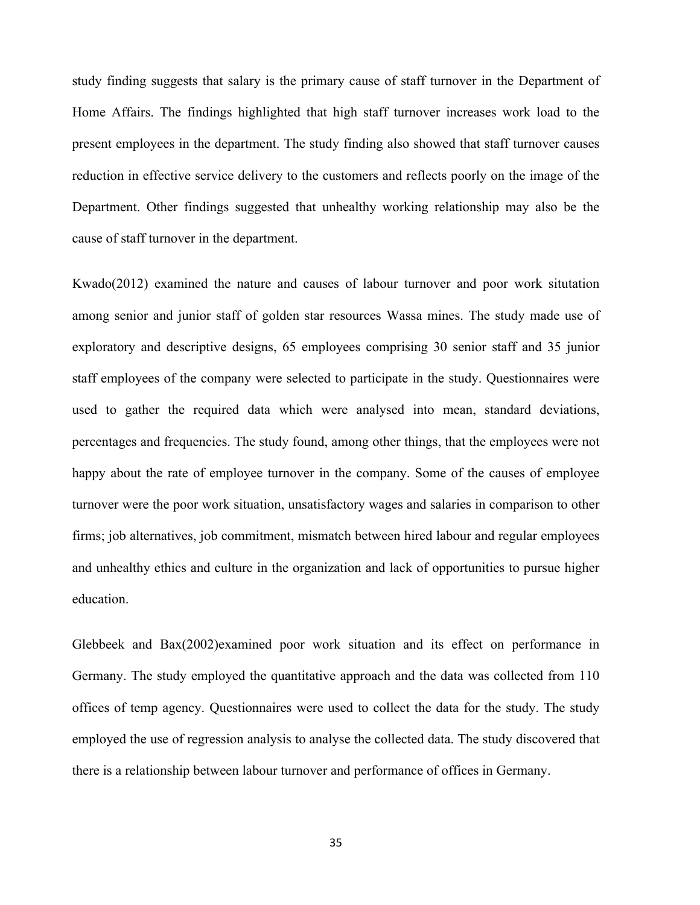study finding suggests that salary is the primary cause of staff turnover in the Department of Home Affairs. The findings highlighted that high staff turnover increases work load to the present employees in the department. The study finding also showed that staff turnover causes reduction in effective service delivery to the customers and reflects poorly on the image of the Department. Other findings suggested that unhealthy working relationship may also be the cause of staff turnover in the department.

Kwado(2012) examined the nature and causes of labour turnover and poor work situtation among senior and junior staff of golden star resources Wassa mines. The study made use of exploratory and descriptive designs, 65 employees comprising 30 senior staff and 35 junior staff employees of the company were selected to participate in the study. Questionnaires were used to gather the required data which were analysed into mean, standard deviations, percentages and frequencies. The study found, among other things, that the employees were not happy about the rate of employee turnover in the company. Some of the causes of employee turnover were the poor work situation, unsatisfactory wages and salaries in comparison to other firms; job alternatives, job commitment, mismatch between hired labour and regular employees and unhealthy ethics and culture in the organization and lack of opportunities to pursue higher education.

Glebbeek and Bax(2002)examined poor work situation and its effect on performance in Germany. The study employed the quantitative approach and the data was collected from 110 offices of temp agency. Questionnaires were used to collect the data for the study. The study employed the use of regression analysis to analyse the collected data. The study discovered that there is a relationship between labour turnover and performance of offices in Germany.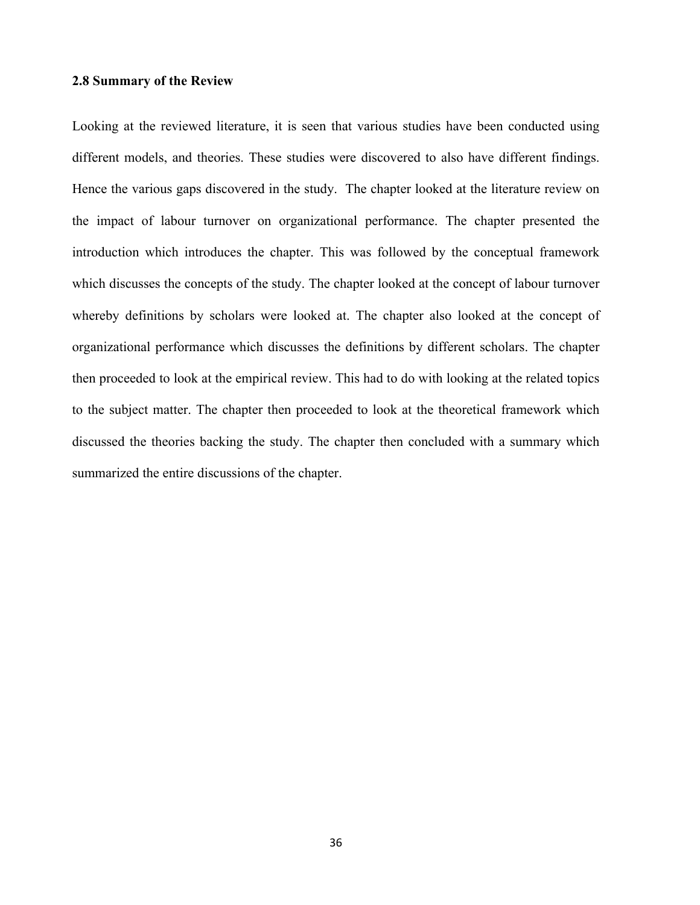#### **2.8 Summary of the Review**

Looking at the reviewed literature, it is seen that various studies have been conducted using different models, and theories. These studies were discovered to also have different findings. Hence the various gaps discovered in the study. The chapter looked at the literature review on the impact of labour turnover on organizational performance. The chapter presented the introduction which introduces the chapter. This was followed by the conceptual framework which discusses the concepts of the study. The chapter looked at the concept of labour turnover whereby definitions by scholars were looked at. The chapter also looked at the concept of organizational performance which discusses the definitions by different scholars. The chapter then proceeded to look at the empirical review. This had to do with looking at the related topics to the subject matter. The chapter then proceeded to look at the theoretical framework which discussed the theories backing the study. The chapter then concluded with a summary which summarized the entire discussions of the chapter.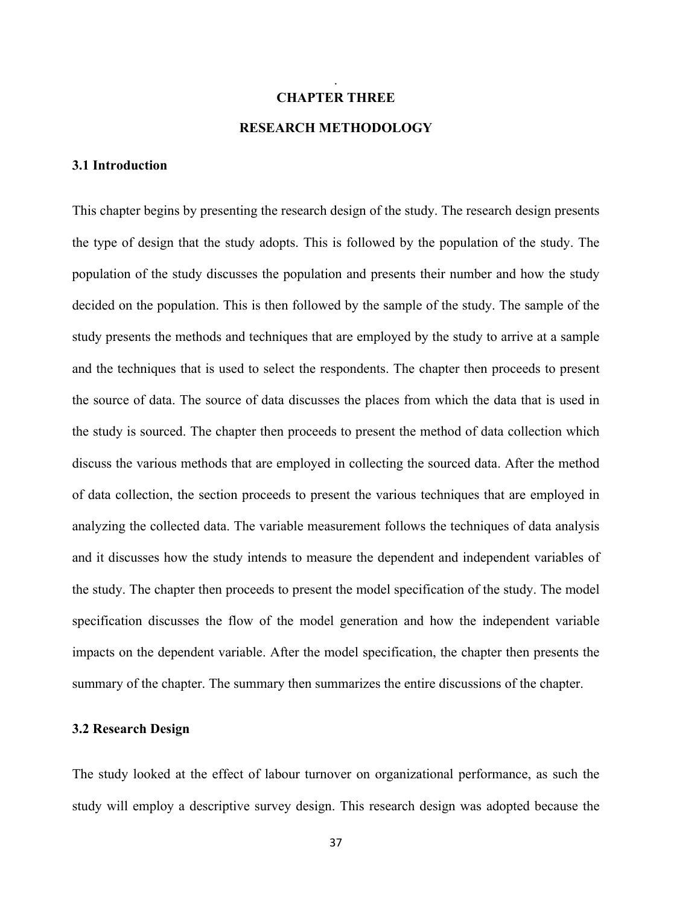# **CHAPTER THREE RESEARCH METHODOLOGY**

.

#### **3.1 Introduction**

This chapter begins by presenting the research design of the study. The research design presents the type of design that the study adopts. This is followed by the population of the study. The population of the study discusses the population and presents their number and how the study decided on the population. This is then followed by the sample of the study. The sample of the study presents the methods and techniques that are employed by the study to arrive at a sample and the techniques that is used to select the respondents. The chapter then proceeds to present the source of data. The source of data discusses the places from which the data that is used in the study is sourced. The chapter then proceeds to present the method of data collection which discuss the various methods that are employed in collecting the sourced data. After the method of data collection, the section proceeds to present the various techniques that are employed in analyzing the collected data. The variable measurement follows the techniques of data analysis and it discusses how the study intends to measure the dependent and independent variables of the study. The chapter then proceeds to present the model specification of the study. The model specification discusses the flow of the model generation and how the independent variable impacts on the dependent variable. After the model specification, the chapter then presents the summary of the chapter. The summary then summarizes the entire discussions of the chapter.

#### **3.2 Research Design**

The study looked at the effect of labour turnover on organizational performance, as such the study will employ a descriptive survey design. This research design was adopted because the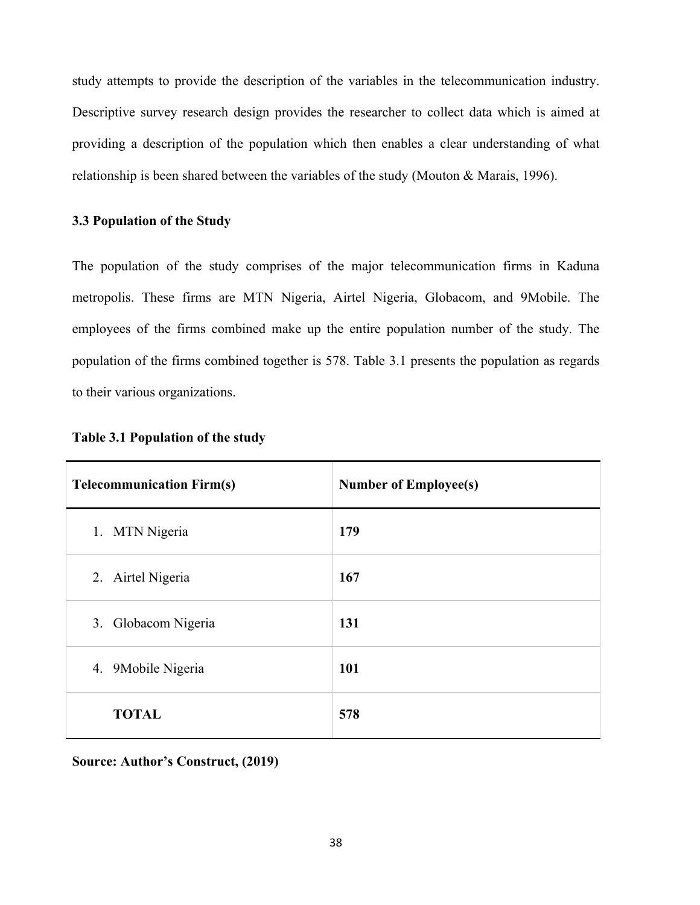study attempts to provide the description of the variables in the telecommunication industry. Descriptive survey research design provides the researcher to collect data which is aimed at providing a description of the population which then enables a clear understanding of what relationship is been shared between the variables of the study (Mouton & Marais, 1996).

#### **3.3 Population of the Study**

The population of the study comprises of the major telecommunication firms in Kaduna metropolis. These firms are MTN Nigeria, Airtel Nigeria, Globacom, and 9Mobile. The employees of the firms combined make up the entire population number of the study. The population of the firms combined together is 578. Table 3.1 presents the population as regards to their various organizations.

| <b>Telecommunication Firm(s)</b> | <b>Number of Employee(s)</b> |
|----------------------------------|------------------------------|
| 1. MTN Nigeria                   | 179                          |
| 2. Airtel Nigeria                | 167                          |
| 3. Globacom Nigeria              | 131                          |
| 4. 9Mobile Nigeria               | 101                          |
| <b>TOTAL</b>                     | 578                          |

#### **Table 3.1 Population of the study**

**Source: Author's Construct, (2019)**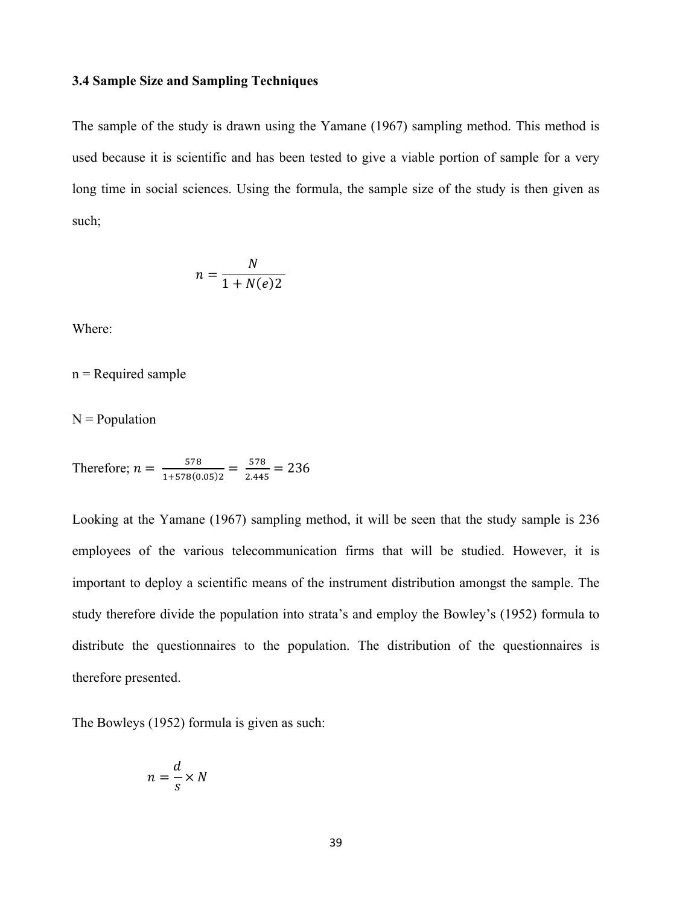#### **3.4 Sample Size and Sampling Techniques**

The sample of the study is drawn using the Yamane (1967) sampling method. This method is used because it is scientific and has been tested to give a viable portion of sample for a very long time in social sciences. Using the formula, the sample size of the study is then given as such;

$$
n = \frac{N}{1 + N(e)2}
$$

Where:

 $n =$  Required sample

 $N = Population$ 

Therefore; 
$$
n = \frac{578}{1+578(0.05)2} = \frac{578}{2.445} = 236
$$

Looking at the Yamane (1967) sampling method, it will be seen that the study sample is 236 employees of the various telecommunication firms that will be studied. However, it is important to deploy a scientific means of the instrument distribution amongst the sample. The study therefore divide the population into strata's and employ the Bowley's (1952) formula to distribute the questionnaires to the population. The distribution of the questionnaires is therefore presented.

The Bowleys (1952) formula is given as such:

$$
n = \frac{d}{s} \times N
$$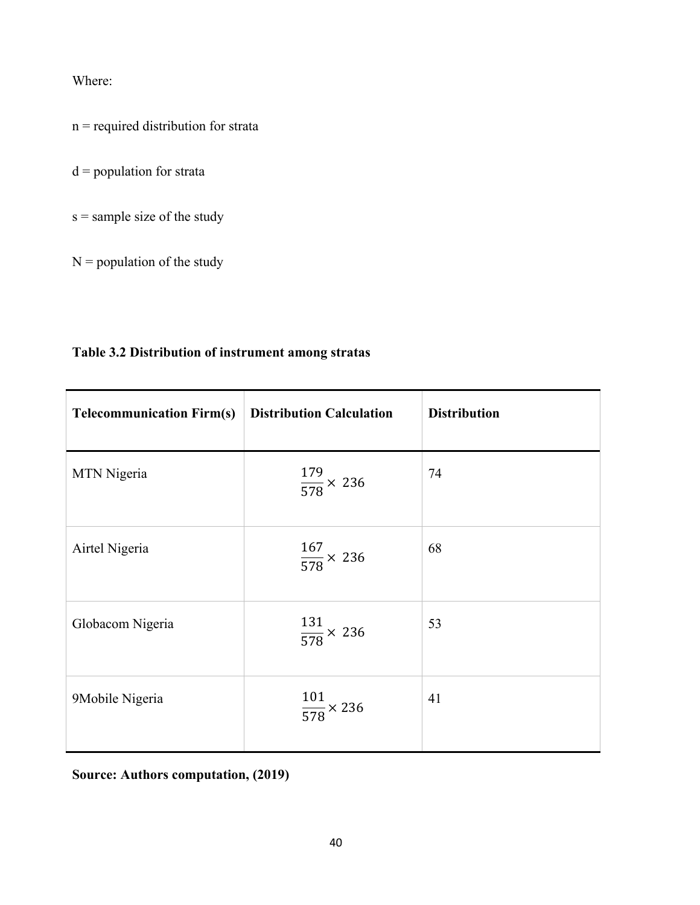Where:

n = required distribution for strata

 $d =$  population for strata

s = sample size of the study

 $N =$  population of the study

# **Table 3.2 Distribution of instrument among stratas**

| <b>Telecommunication Firm(s)</b> | <b>Distribution Calculation</b> | <b>Distribution</b> |
|----------------------------------|---------------------------------|---------------------|
| MTN Nigeria                      | $\frac{179}{578}$ × 236         | 74                  |
| Airtel Nigeria                   | $\frac{167}{578} \times 236$    | 68                  |
| Globacom Nigeria                 | $\frac{131}{578} \times 236$    | 53                  |
| 9Mobile Nigeria                  | $\frac{101}{578} \times 236$    | 41                  |

**Source: Authors computation, (2019)**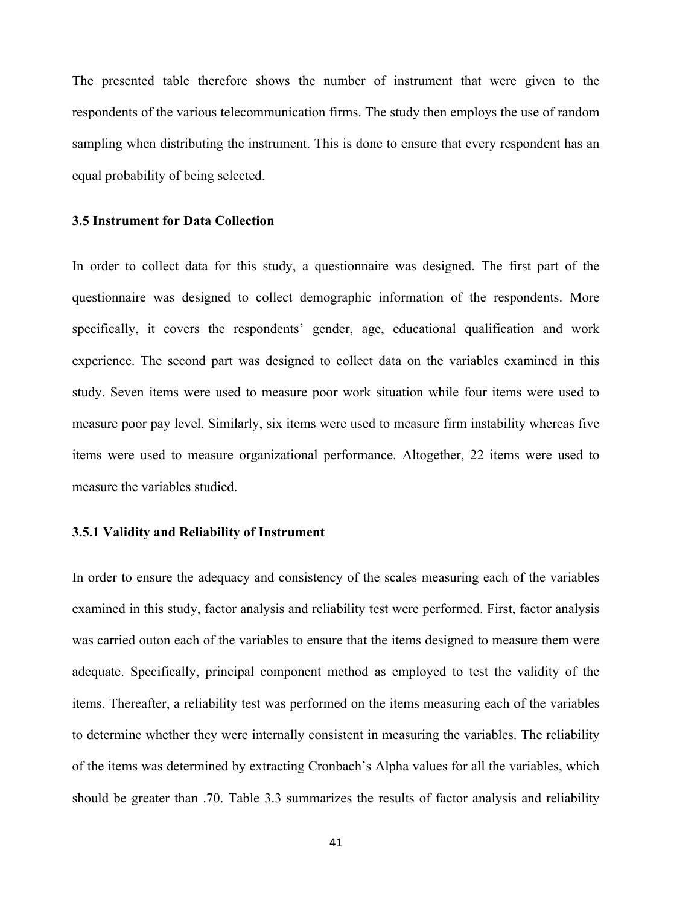The presented table therefore shows the number of instrument that were given to the respondents of the various telecommunication firms. The study then employs the use of random sampling when distributing the instrument. This is done to ensure that every respondent has an equal probability of being selected.

### **3.5 Instrument for Data Collection**

In order to collect data for this study, a questionnaire was designed. The first part of the questionnaire was designed to collect demographic information of the respondents. More specifically, it covers the respondents' gender, age, educational qualification and work experience. The second part was designed to collect data on the variables examined in this study. Seven items were used to measure poor work situation while four items were used to measure poor pay level. Similarly, six items were used to measure firm instability whereas five items were used to measure organizational performance. Altogether, 22 items were used to measure the variables studied.

#### **3.5.1 Validity and Reliability of Instrument**

In order to ensure the adequacy and consistency of the scales measuring each of the variables examined in this study, factor analysis and reliability test were performed. First, factor analysis was carried outon each of the variables to ensure that the items designed to measure them were adequate. Specifically, principal component method as employed to test the validity of the items. Thereafter, a reliability test was performed on the items measuring each of the variables to determine whether they were internally consistent in measuring the variables. The reliability of the items was determined by extracting Cronbach's Alpha values for all the variables, which should be greater than .70. Table 3.3 summarizes the results of factor analysis and reliability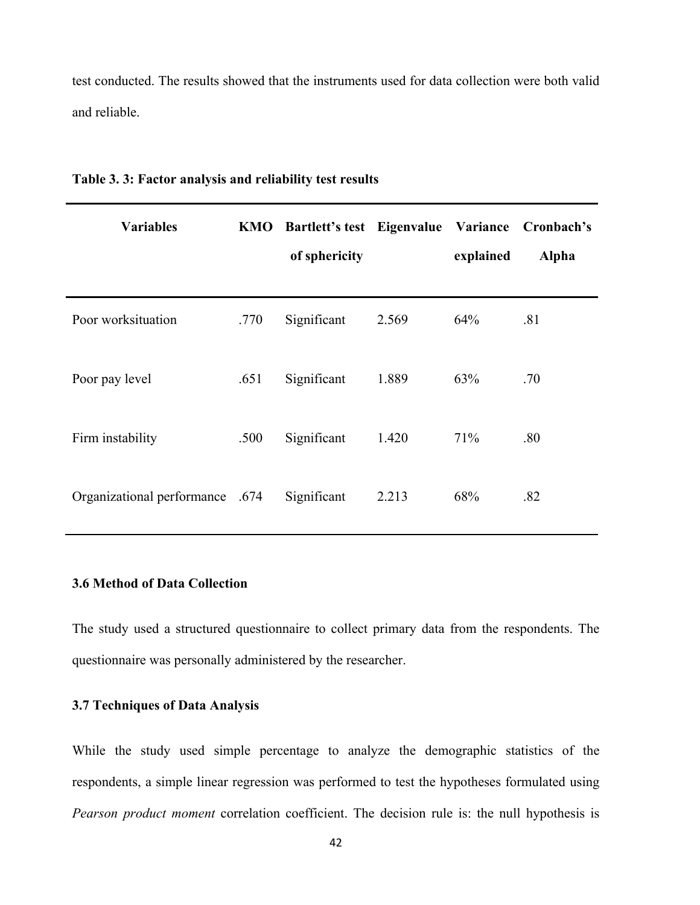test conducted. The results showed that the instruments used for data collection were both valid and reliable.

| <b>Variables</b>                | KMO  | Bartlett's test Eigenvalue Variance Cronbach's<br>of sphericity |       | explained | <b>Alpha</b> |
|---------------------------------|------|-----------------------------------------------------------------|-------|-----------|--------------|
| Poor worksituation              | .770 | Significant                                                     | 2.569 | 64%       | .81          |
| Poor pay level                  | .651 | Significant                                                     | 1.889 | 63%       | .70          |
| Firm instability                | .500 | Significant                                                     | 1.420 | 71%       | .80          |
| Organizational performance .674 |      | Significant                                                     | 2.213 | 68%       | .82          |

**Table 3. 3: Factor analysis and reliability test results**

#### **3.6 Method of Data Collection**

The study used a structured questionnaire to collect primary data from the respondents. The questionnaire was personally administered by the researcher.

# **3.7 Techniques of Data Analysis**

While the study used simple percentage to analyze the demographic statistics of the respondents, a simple linear regression was performed to test the hypotheses formulated using *Pearson product moment* correlation coefficient. The decision rule is: the null hypothesis is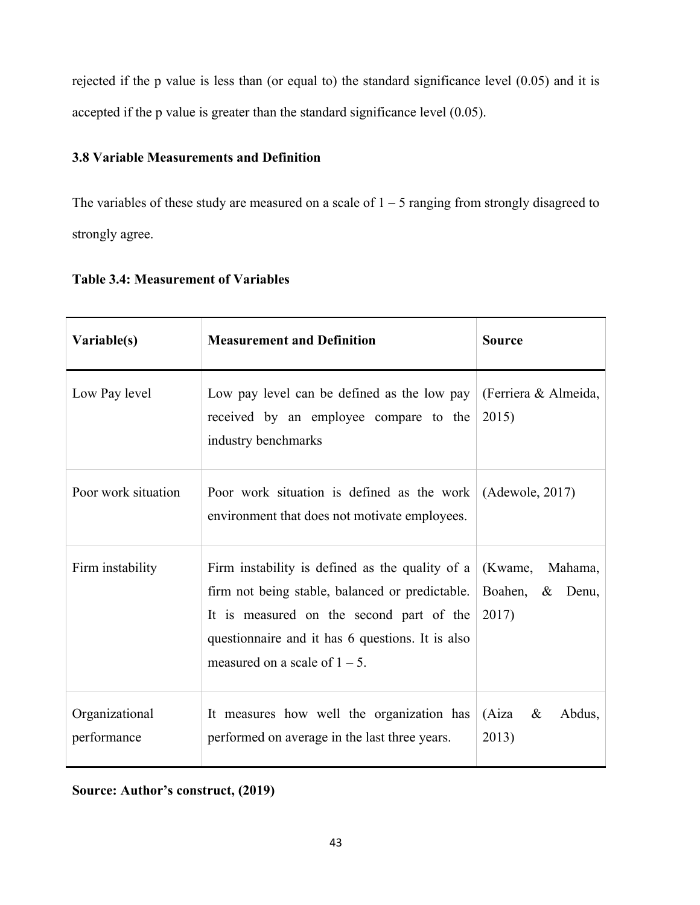rejected if the p value is less than (or equal to) the standard significance level (0.05) and it is accepted if the p value is greater than the standard significance level (0.05).

# **3.8 Variable Measurements and Definition**

The variables of these study are measured on a scale of  $1 - 5$  ranging from strongly disagreed to strongly agree.

| <b>Table 3.4: Measurement of Variables</b> |  |
|--------------------------------------------|--|
|                                            |  |

| Variable(s)                   | <b>Measurement and Definition</b>                                                                                                                                                                                                      | <b>Source</b>                               |
|-------------------------------|----------------------------------------------------------------------------------------------------------------------------------------------------------------------------------------------------------------------------------------|---------------------------------------------|
| Low Pay level                 | Low pay level can be defined as the low pay<br>received by an employee compare to the<br>industry benchmarks                                                                                                                           | (Ferriera & Almeida,<br>2015)               |
| Poor work situation           | Poor work situation is defined as the work $(Adewole, 2017)$<br>environment that does not motivate employees.                                                                                                                          |                                             |
| Firm instability              | Firm instability is defined as the quality of a<br>firm not being stable, balanced or predictable.<br>It is measured on the second part of the<br>questionnaire and it has 6 questions. It is also<br>measured on a scale of $1 - 5$ . | (Kwame, Mahama,<br>Boahen, & Denu,<br>2017) |
| Organizational<br>performance | It measures how well the organization has<br>performed on average in the last three years.                                                                                                                                             | $(Aiza \&$<br>Abdus,<br>2013)               |

**Source: Author's construct, (2019)**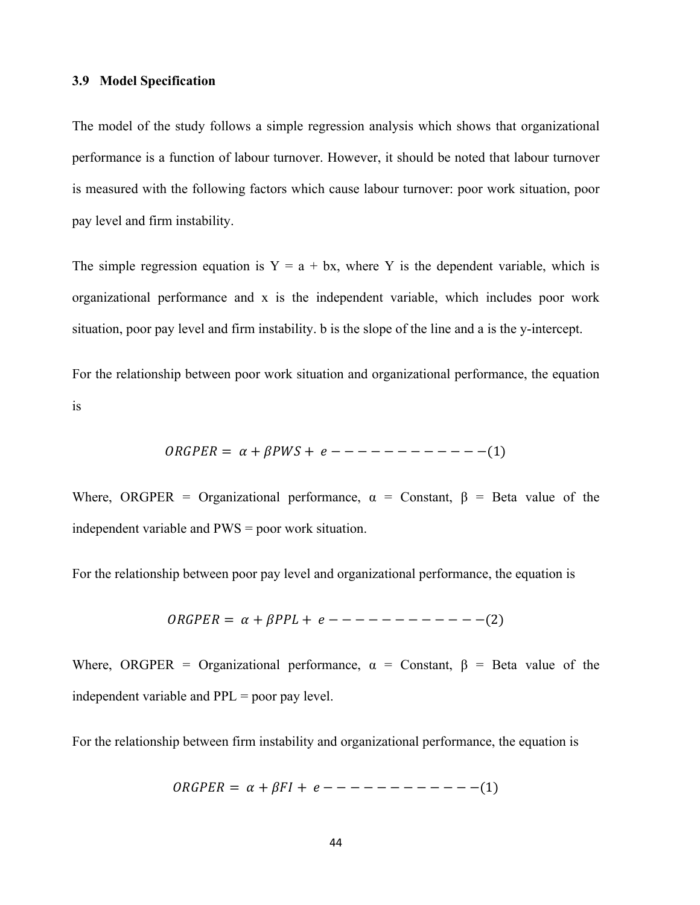#### **3.9 Model Specification**

The model of the study follows a simple regression analysis which shows that organizational performance is a function of labour turnover. However, it should be noted that labour turnover is measured with the following factors which cause labour turnover: poor work situation, poor pay level and firm instability.

The simple regression equation is  $Y = a + bx$ , where Y is the dependent variable, which is organizational performance and x is the independent variable, which includes poor work situation, poor pay level and firm instability. b is the slope of the line and a is the y-intercept.

For the relationship between poor work situation and organizational performance, the equation is

= + + − − − − − − − − − − − −(1)

Where, ORGPER = Organizational performance,  $\alpha$  = Constant,  $\beta$  = Beta value of the independent variable and  $PWS =$  poor work situation.

For the relationship between poor pay level and organizational performance, the equation is

$$
ORGPER = \alpha + \beta PPL + e --- --- --- --- --- (2)
$$

Where, ORGPER = Organizational performance,  $\alpha$  = Constant,  $\beta$  = Beta value of the independent variable and  $PPL =$  poor pay level.

For the relationship between firm instability and organizational performance, the equation is

 $ORGPER = \alpha + \beta FI + e - - - - - - - - - - - - - (1)$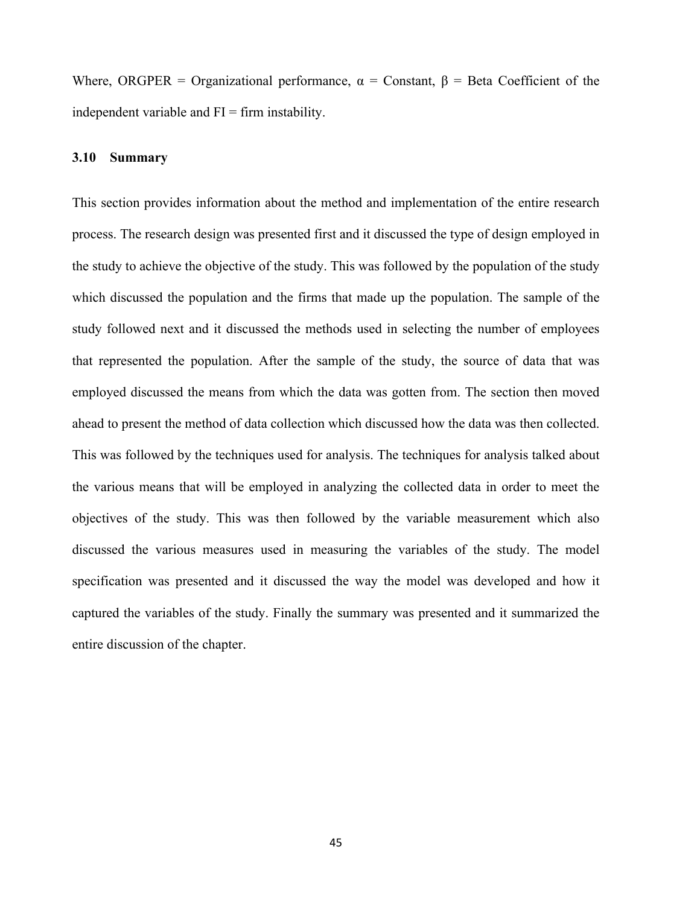Where, ORGPER = Organizational performance,  $\alpha$  = Constant,  $\beta$  = Beta Coefficient of the independent variable and  $FI = firm$  instability.

#### **3.10 Summary**

This section provides information about the method and implementation of the entire research process. The research design was presented first and it discussed the type of design employed in the study to achieve the objective of the study. This was followed by the population of the study which discussed the population and the firms that made up the population. The sample of the study followed next and it discussed the methods used in selecting the number of employees that represented the population. After the sample of the study, the source of data that was employed discussed the means from which the data was gotten from. The section then moved ahead to present the method of data collection which discussed how the data was then collected. This was followed by the techniques used for analysis. The techniques for analysis talked about the various means that will be employed in analyzing the collected data in order to meet the objectives of the study. This was then followed by the variable measurement which also discussed the various measures used in measuring the variables of the study. The model specification was presented and it discussed the way the model was developed and how it captured the variables of the study. Finally the summary was presented and it summarized the entire discussion of the chapter.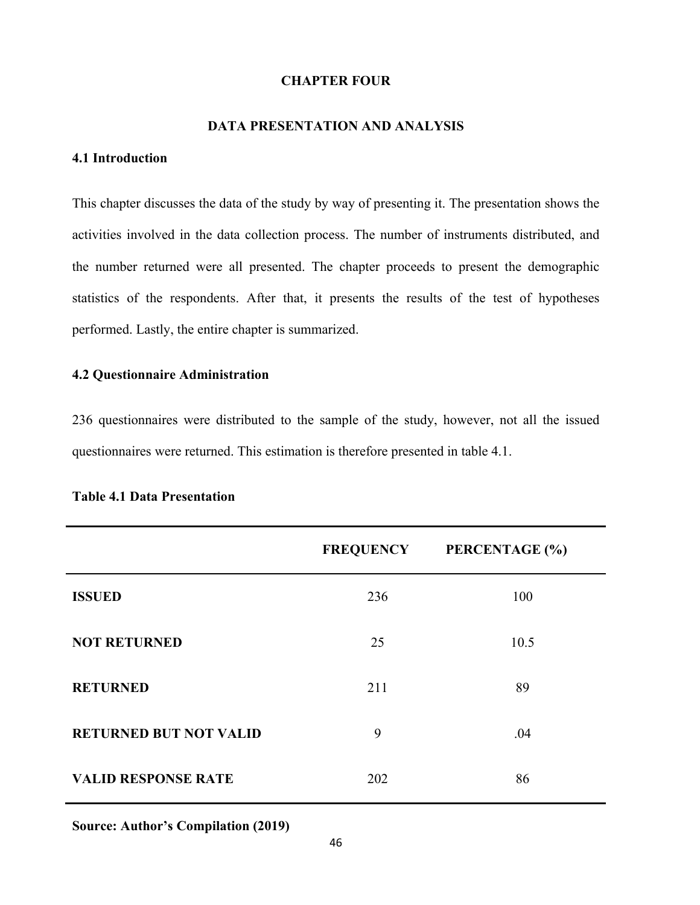#### **CHAPTER FOUR**

# **DATA PRESENTATION AND ANALYSIS**

### **4.1 Introduction**

This chapter discusses the data of the study by way of presenting it. The presentation shows the activities involved in the data collection process. The number of instruments distributed, and the number returned were all presented. The chapter proceeds to present the demographic statistics of the respondents. After that, it presents the results of the test of hypotheses performed. Lastly, the entire chapter is summarized.

# **4.2 Questionnaire Administration**

236 questionnaires were distributed to the sample of the study, however, not all the issued questionnaires were returned. This estimation is therefore presented in table 4.1.

|                               | <b>FREQUENCY</b> | PERCENTAGE (%) |
|-------------------------------|------------------|----------------|
| <b>ISSUED</b>                 | 236              | 100            |
| <b>NOT RETURNED</b>           | 25               | 10.5           |
| <b>RETURNED</b>               | 211              | 89             |
| <b>RETURNED BUT NOT VALID</b> | 9                | .04            |
| <b>VALID RESPONSE RATE</b>    | 202              | 86             |

# **Table 4.1 Data Presentation**

**Source: Author's Compilation (2019)**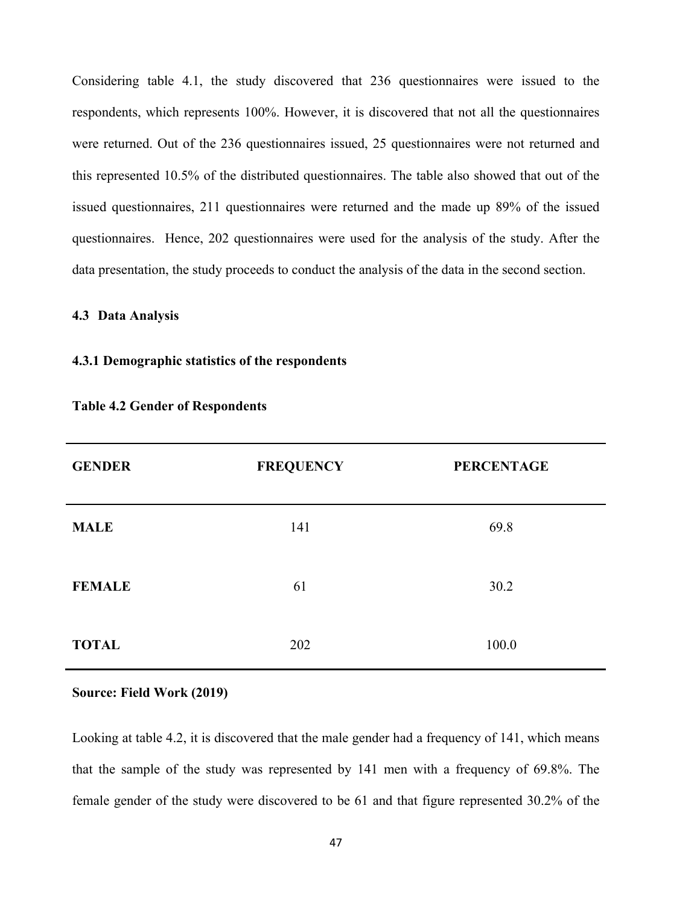Considering table 4.1, the study discovered that 236 questionnaires were issued to the respondents, which represents 100%. However, it is discovered that not all the questionnaires were returned. Out of the 236 questionnaires issued, 25 questionnaires were not returned and this represented 10.5% of the distributed questionnaires. The table also showed that out of the issued questionnaires, 211 questionnaires were returned and the made up 89% of the issued questionnaires. Hence, 202 questionnaires were used for the analysis of the study. After the data presentation, the study proceeds to conduct the analysis of the data in the second section.

# **4.3 Data Analysis**

#### **4.3.1 Demographic statistics of the respondents**

| <b>GENDER</b> | <b>FREQUENCY</b> | <b>PERCENTAGE</b> |
|---------------|------------------|-------------------|
| <b>MALE</b>   | 141              | 69.8              |
| <b>FEMALE</b> | 61               | 30.2              |
| <b>TOTAL</b>  | 202              | 100.0             |

#### **Table 4.2 Gender of Respondents**

#### **Source: Field Work (2019)**

Looking at table 4.2, it is discovered that the male gender had a frequency of 141, which means that the sample of the study was represented by 141 men with a frequency of 69.8%. The female gender of the study were discovered to be 61 and that figure represented 30.2% of the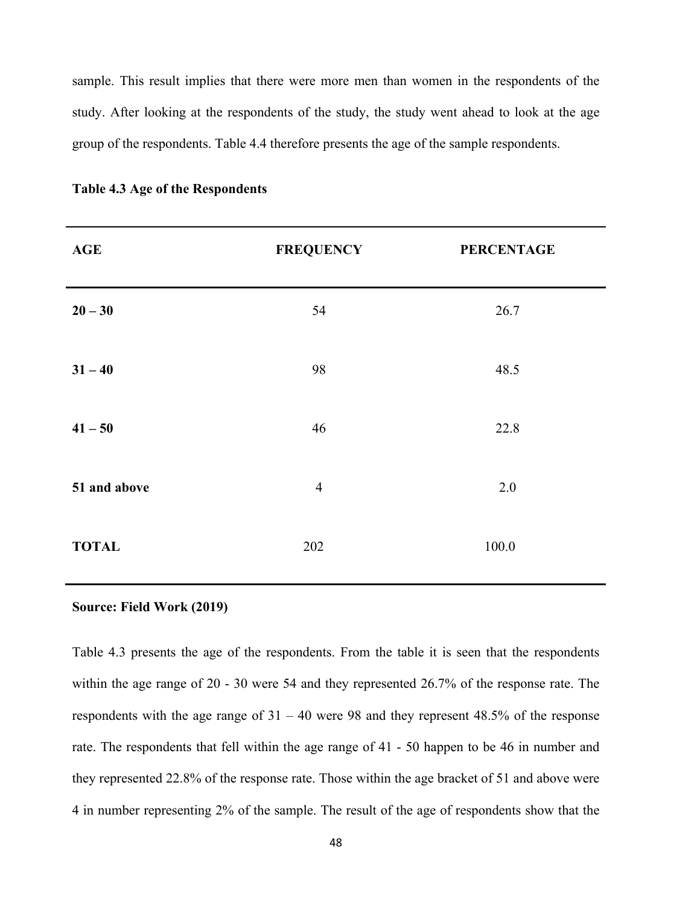sample. This result implies that there were more men than women in the respondents of the study. After looking at the respondents of the study, the study went ahead to look at the age group of the respondents. Table 4.4 therefore presents the age of the sample respondents.

| <b>AGE</b>   | <b>FREQUENCY</b> | <b>PERCENTAGE</b> |
|--------------|------------------|-------------------|
| $20 - 30$    | 54               | 26.7              |
| $31 - 40$    | 98               | 48.5              |
| $41 - 50$    | 46               | 22.8              |
| 51 and above | $\overline{4}$   | 2.0               |
| <b>TOTAL</b> | 202              | 100.0             |

**Table 4.3 Age of the Respondents**

#### **Source: Field Work (2019)**

Table 4.3 presents the age of the respondents. From the table it is seen that the respondents within the age range of 20 - 30 were 54 and they represented 26.7% of the response rate. The respondents with the age range of  $31 - 40$  were 98 and they represent 48.5% of the response rate. The respondents that fell within the age range of 41 - 50 happen to be 46 in number and they represented 22.8% of the response rate. Those within the age bracket of 51 and above were 4 in number representing 2% of the sample. The result of the age of respondents show that the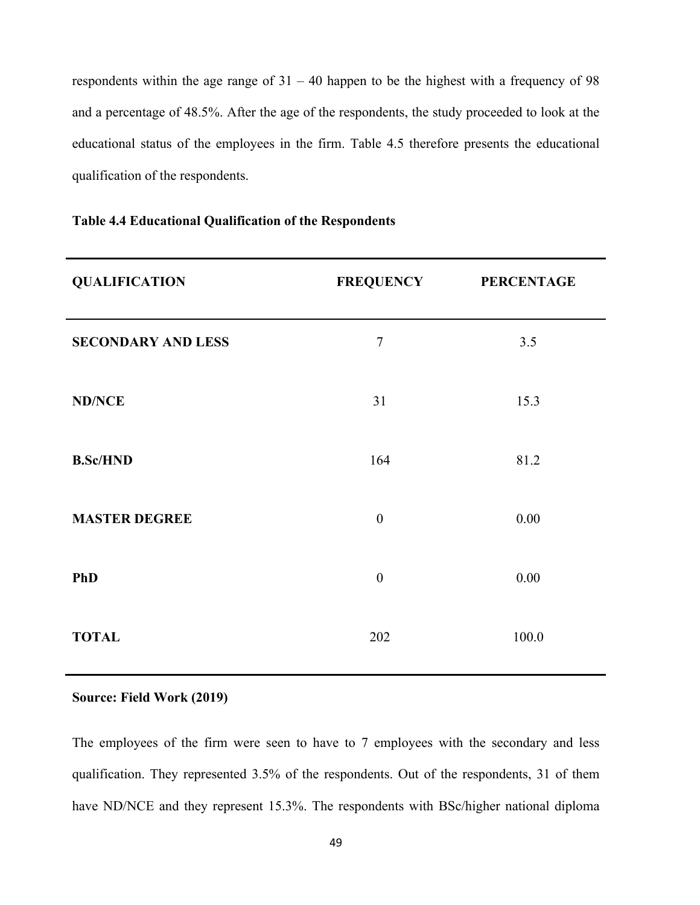respondents within the age range of  $31 - 40$  happen to be the highest with a frequency of 98 and a percentage of 48.5%. After the age of the respondents, the study proceeded to look at the educational status of the employees in the firm. Table 4.5 therefore presents the educational qualification of the respondents.

| <b>QUALIFICATION</b>      | <b>FREQUENCY</b> | <b>PERCENTAGE</b> |
|---------------------------|------------------|-------------------|
| <b>SECONDARY AND LESS</b> | $\overline{7}$   | 3.5               |
| <b>ND/NCE</b>             | 31               | 15.3              |
| <b>B.Sc/HND</b>           | 164              | 81.2              |
| <b>MASTER DEGREE</b>      | $\boldsymbol{0}$ | 0.00              |
| <b>PhD</b>                | $\mathbf{0}$     | 0.00              |
| <b>TOTAL</b>              | 202              | 100.0             |

#### **Table 4.4 Educational Qualification of the Respondents**

#### **Source: Field Work (2019)**

The employees of the firm were seen to have to 7 employees with the secondary and less qualification. They represented 3.5% of the respondents. Out of the respondents, 31 of them have ND/NCE and they represent 15.3%. The respondents with BSc/higher national diploma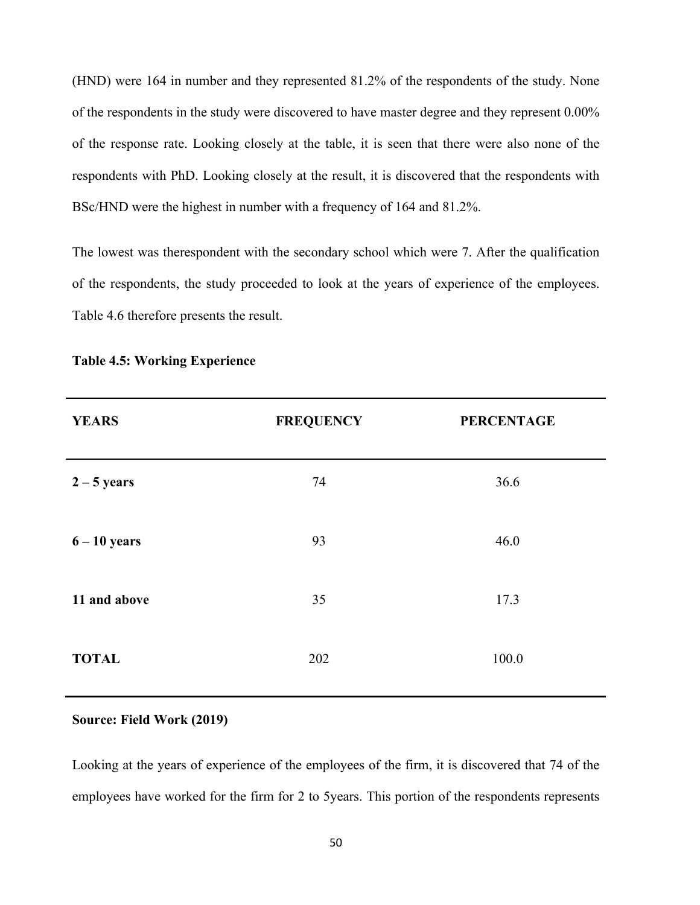(HND) were 164 in number and they represented 81.2% of the respondents of the study. None of the respondents in the study were discovered to have master degree and they represent 0.00% of the response rate. Looking closely at the table, it is seen that there were also none of the respondents with PhD. Looking closely at the result, it is discovered that the respondents with BSc/HND were the highest in number with a frequency of 164 and 81.2%.

The lowest was therespondent with the secondary school which were 7. After the qualification of the respondents, the study proceeded to look at the years of experience of the employees. Table 4.6 therefore presents the result.

| <b>YEARS</b>   | <b>FREQUENCY</b> | <b>PERCENTAGE</b> |
|----------------|------------------|-------------------|
| $2 - 5$ years  | 74               | 36.6              |
| $6 - 10$ years | 93               | 46.0              |
| 11 and above   | 35               | 17.3              |
| <b>TOTAL</b>   | 202              | 100.0             |

# **Table 4.5: Working Experience**

### **Source: Field Work (2019)**

Looking at the years of experience of the employees of the firm, it is discovered that 74 of the employees have worked for the firm for 2 to 5years. This portion of the respondents represents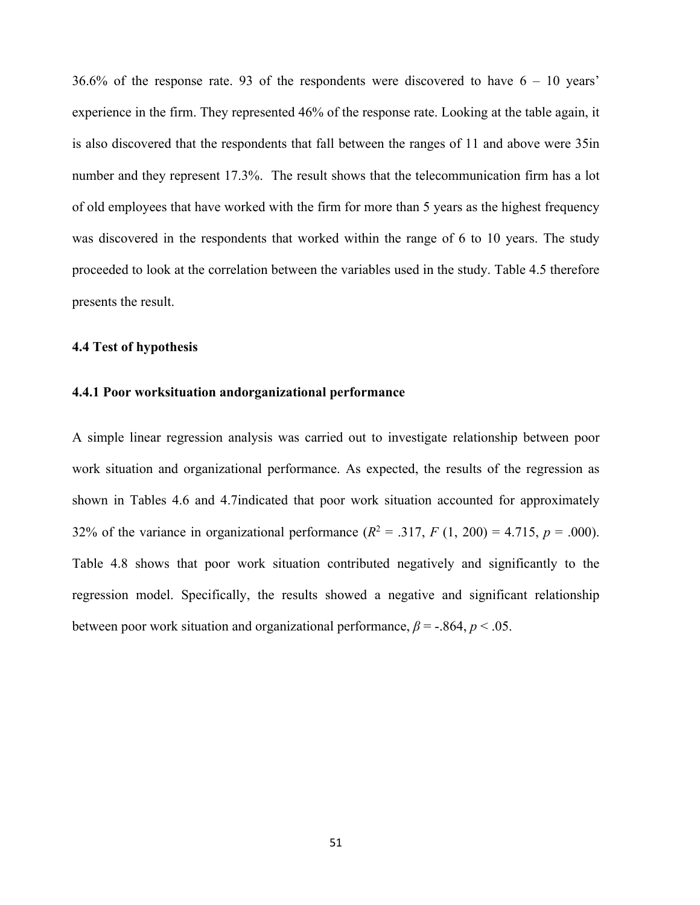36.6% of the response rate. 93 of the respondents were discovered to have  $6 - 10$  years' experience in the firm. They represented 46% of the response rate. Looking at the table again, it is also discovered that the respondents that fall between the ranges of 11 and above were 35in number and they represent 17.3%. The result shows that the telecommunication firm has a lot of old employees that have worked with the firm for more than 5 years as the highest frequency was discovered in the respondents that worked within the range of 6 to 10 years. The study proceeded to look at the correlation between the variables used in the study. Table 4.5 therefore presents the result.

#### **4.4 Test of hypothesis**

#### **4.4.1 Poor worksituation andorganizational performance**

A simple linear regression analysis was carried out to investigate relationship between poor work situation and organizational performance. As expected, the results of the regression as shown in Tables 4.6 and 4.7indicated that poor work situation accounted for approximately 32% of the variance in organizational performance  $(R^2 = .317, F(1, 200) = 4.715, p = .000)$ . Table 4.8 shows that poor work situation contributed negatively and significantly to the regression model. Specifically, the results showed a negative and significant relationship between poor work situation and organizational performance,  $\beta$  = -.864,  $p$  < .05.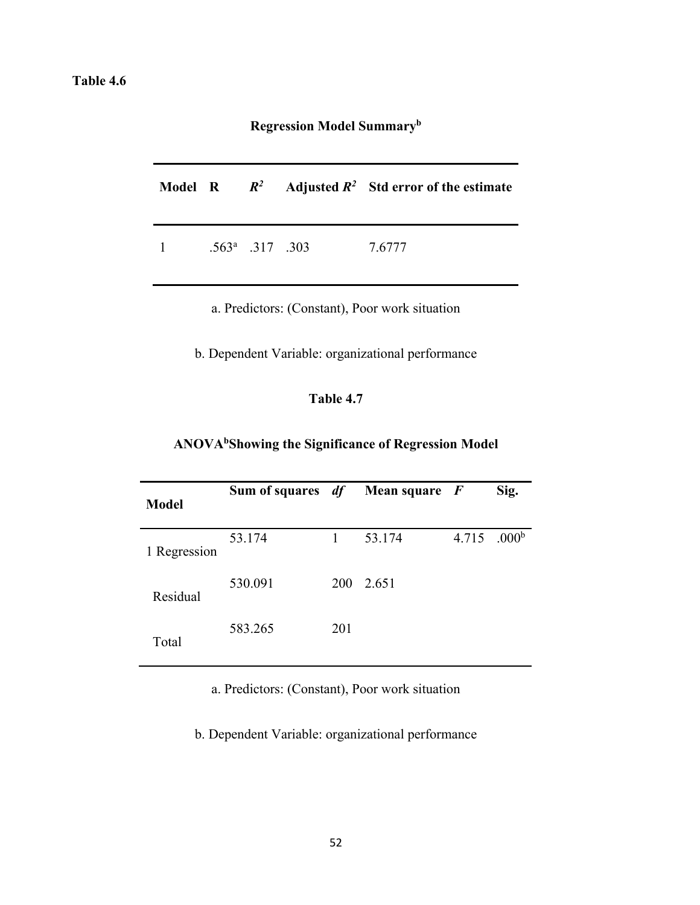# **Regression Model Summaryb**

|          |                          |  | Model R $R^2$ Adjusted $R^2$ Std error of the estimate |
|----------|--------------------------|--|--------------------------------------------------------|
| $\sim$ 1 | $.563^{\circ}$ .317 .303 |  | 7.6777                                                 |

a. Predictors: (Constant), Poor work situation

b. Dependent Variable: organizational performance

# **Table 4.7**

# **ANOVAbShowing the Significance of Regression Model**

| <b>Model</b> | Sum of squares <i>df</i> |            | Mean square $F$ |       | Sig.              |
|--------------|--------------------------|------------|-----------------|-------|-------------------|
| 1 Regression | 53.174                   | 1          | 53.174          | 4.715 | .000 <sup>b</sup> |
| Residual     | 530.091                  | <b>200</b> | 2.651           |       |                   |
| Total        | 583.265                  | 201        |                 |       |                   |

a. Predictors: (Constant), Poor work situation

b. Dependent Variable: organizational performance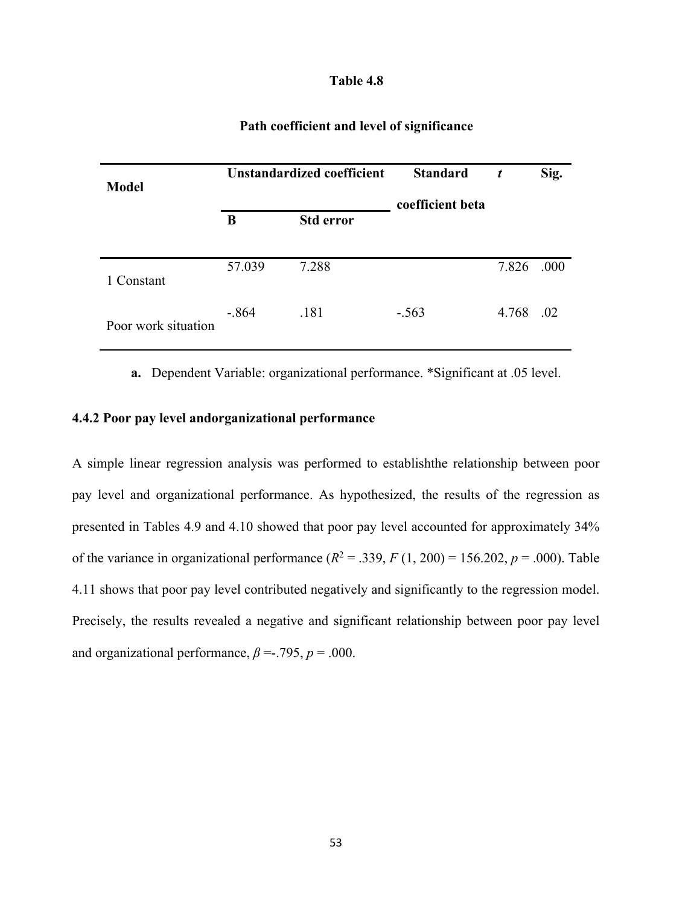| <b>Model</b>        | <b>Unstandardized coefficient</b> |                  | <b>Standard</b><br>coefficient beta | t     | Sig. |
|---------------------|-----------------------------------|------------------|-------------------------------------|-------|------|
|                     | B                                 | <b>Std error</b> |                                     |       |      |
| 1 Constant          | 57.039                            | 7.288            |                                     | 7.826 | .000 |
| Poor work situation | $-.864$                           | .181             | $-.563$                             | 4.768 | .02  |

# **Path coefficient and level of significance**

**a.** Dependent Variable: organizational performance. \*Significant at .05 level.

# **4.4.2 Poor pay level andorganizational performance**

A simple linear regression analysis was performed to establishthe relationship between poor pay level and organizational performance. As hypothesized, the results of the regression as presented in Tables 4.9 and 4.10 showed that poor pay level accounted for approximately 34% of the variance in organizational performance  $(R^2 = .339, F(1, 200) = 156.202, p = .000)$ . Table 4.11 shows that poor pay level contributed negatively and significantly to the regression model. Precisely, the results revealed a negative and significant relationship between poor pay level and organizational performance,  $\beta = -0.795$ ,  $p = 0.000$ .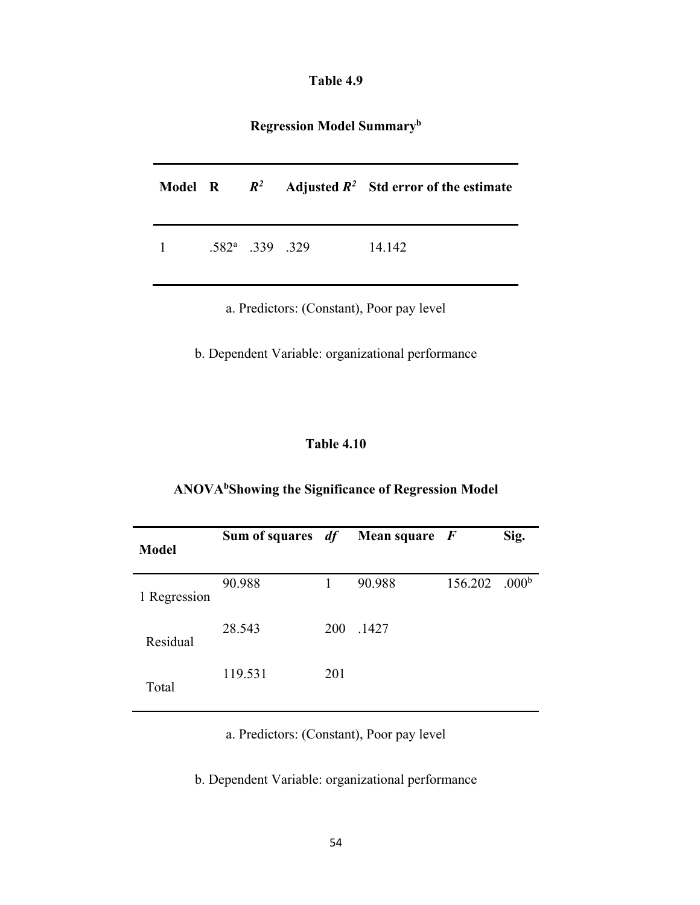| Table 4.9 |  |
|-----------|--|
|-----------|--|

**Regression Model Summaryb**

|                  |                          |  | Model R $R^2$ Adjusted $R^2$ Std error of the estimate |
|------------------|--------------------------|--|--------------------------------------------------------|
| $1 \quad \cdots$ | $.582^{\rm a}$ .339 .329 |  | 14.142                                                 |

a. Predictors: (Constant), Poor pay level

b. Dependent Variable: organizational performance

# **Table 4.10**

# **ANOVAbShowing the Significance of Regression Model**

| <b>Model</b> | Sum of squares <i>df</i> |            | <b>Mean square</b> $\boldsymbol{F}$ |                             | Sig. |
|--------------|--------------------------|------------|-------------------------------------|-----------------------------|------|
| 1 Regression | 90.988                   |            | 90.988                              | $156.202$ .000 <sup>b</sup> |      |
| Residual     | 28.543                   | <b>200</b> | .1427                               |                             |      |
| Total        | 119.531                  | 201        |                                     |                             |      |

a. Predictors: (Constant), Poor pay level

b. Dependent Variable: organizational performance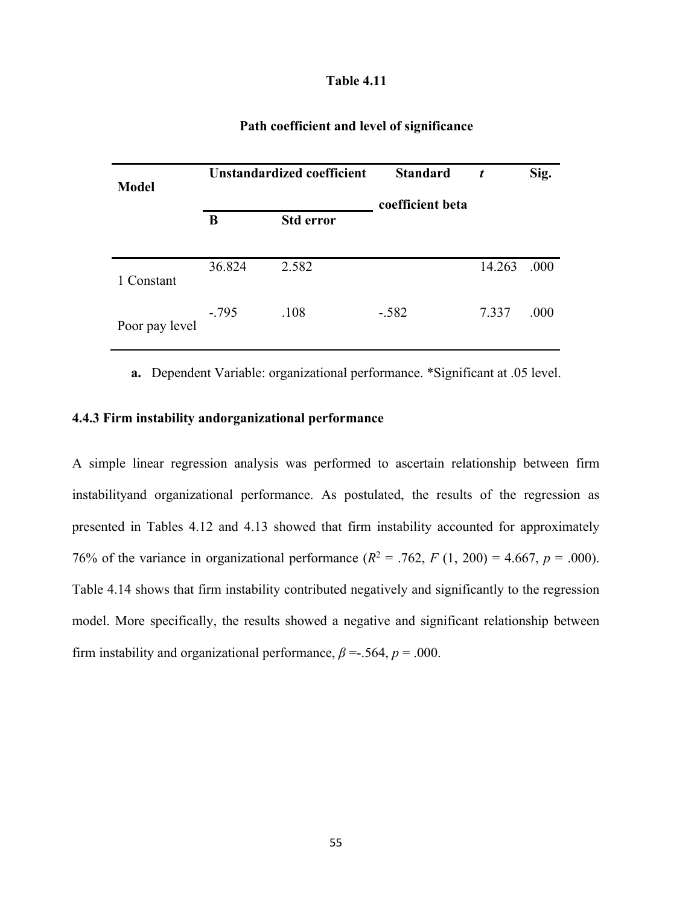| <b>Model</b>   |         | Unstandardized coefficient | <b>Standard</b><br>coefficient beta | t      | Sig. |
|----------------|---------|----------------------------|-------------------------------------|--------|------|
|                | B       | <b>Std error</b>           |                                     |        |      |
| 1 Constant     | 36.824  | 2.582                      |                                     | 14.263 | .000 |
| Poor pay level | $-.795$ | .108                       | $-.582$                             | 7.337  | .000 |

# **Path coefficient and level of significance**

**a.** Dependent Variable: organizational performance. \*Significant at .05 level.

# **4.4.3 Firm instability andorganizational performance**

A simple linear regression analysis was performed to ascertain relationship between firm instabilityand organizational performance. As postulated, the results of the regression as presented in Tables 4.12 and 4.13 showed that firm instability accounted for approximately 76% of the variance in organizational performance  $(R^2 = .762, F(1, 200) = 4.667, p = .000)$ . Table 4.14 shows that firm instability contributed negatively and significantly to the regression model. More specifically, the results showed a negative and significant relationship between firm instability and organizational performance,  $\beta = 0.564$ ,  $p = 0.000$ .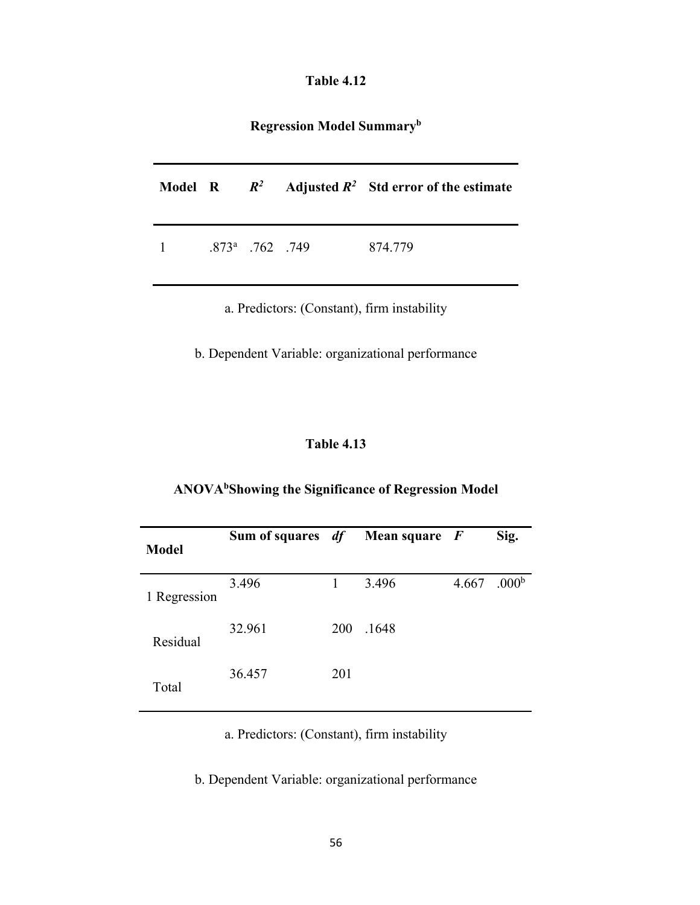**Regression Model Summaryb**

|                        |  | Model R $R^2$ Adjusted $R^2$ Std error of the estimate |
|------------------------|--|--------------------------------------------------------|
| 1 $.873^a$ . 762 . 749 |  | 874.779                                                |

a. Predictors: (Constant), firm instability

b. Dependent Variable: organizational performance

# **Table 4.13**

# **ANOVAbShowing the Significance of Regression Model**

| <b>Model</b> | Sum of squares $df$ Mean square $F$ |            |       |       | Sig.              |
|--------------|-------------------------------------|------------|-------|-------|-------------------|
| 1 Regression | 3.496                               | 1          | 3.496 | 4.667 | .000 <sup>b</sup> |
| Residual     | 32.961                              | <b>200</b> | .1648 |       |                   |
| Total        | 36.457                              | 201        |       |       |                   |

a. Predictors: (Constant), firm instability

b. Dependent Variable: organizational performance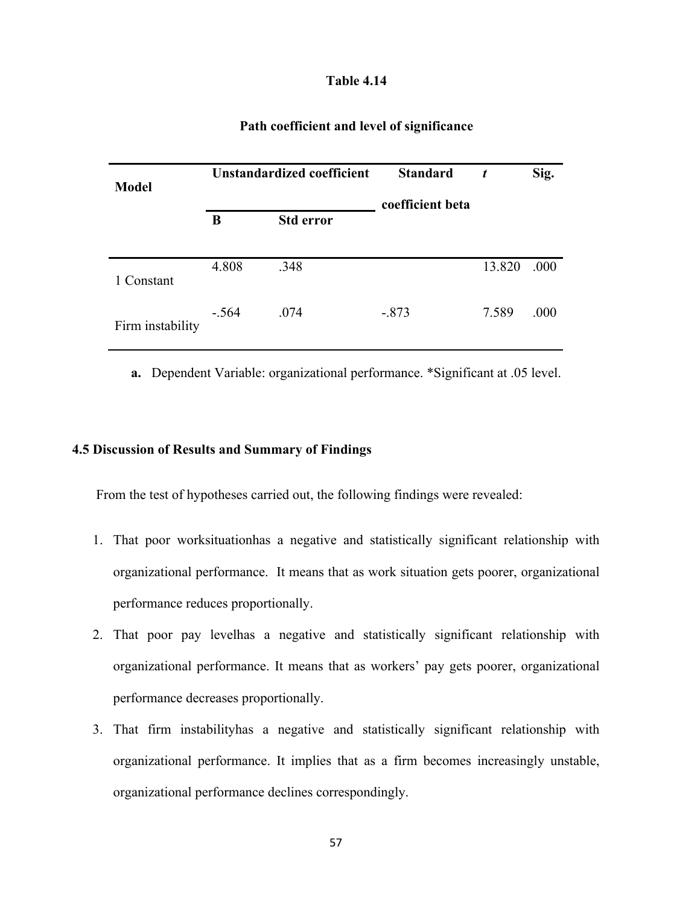| Path coefficient and level of significance |  |
|--------------------------------------------|--|
|                                            |  |

| <b>Model</b>     | <b>Unstandardized coefficient</b> |                  | <b>Standard</b><br>coefficient beta | t      | Sig. |
|------------------|-----------------------------------|------------------|-------------------------------------|--------|------|
|                  | B                                 | <b>Std error</b> |                                     |        |      |
| 1 Constant       | 4.808                             | .348             |                                     | 13.820 | .000 |
| Firm instability | $-.564$                           | .074             | $-.873$                             | 7.589  | .000 |

**a.** Dependent Variable: organizational performance. \*Significant at .05 level.

#### **4.5 Discussion of Results and Summary of Findings**

From the test of hypotheses carried out, the following findings were revealed:

- 1. That poor worksituationhas a negative and statistically significant relationship with organizational performance. It means that as work situation gets poorer, organizational performance reduces proportionally.
- 2. That poor pay levelhas a negative and statistically significant relationship with organizational performance. It means that as workers' pay gets poorer, organizational performance decreases proportionally.
- 3. That firm instabilityhas a negative and statistically significant relationship with organizational performance. It implies that as a firm becomes increasingly unstable, organizational performance declines correspondingly.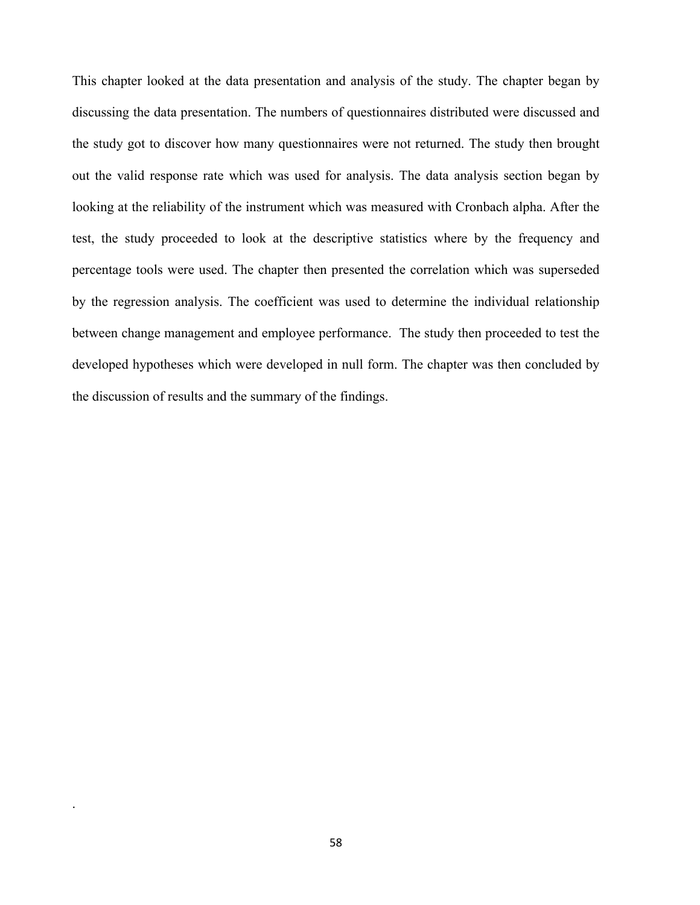This chapter looked at the data presentation and analysis of the study. The chapter began by discussing the data presentation. The numbers of questionnaires distributed were discussed and the study got to discover how many questionnaires were not returned. The study then brought out the valid response rate which was used for analysis. The data analysis section began by looking at the reliability of the instrument which was measured with Cronbach alpha. After the test, the study proceeded to look at the descriptive statistics where by the frequency and percentage tools were used. The chapter then presented the correlation which was superseded by the regression analysis. The coefficient was used to determine the individual relationship between change management and employee performance. The study then proceeded to test the developed hypotheses which were developed in null form. The chapter was then concluded by the discussion of results and the summary of the findings.

.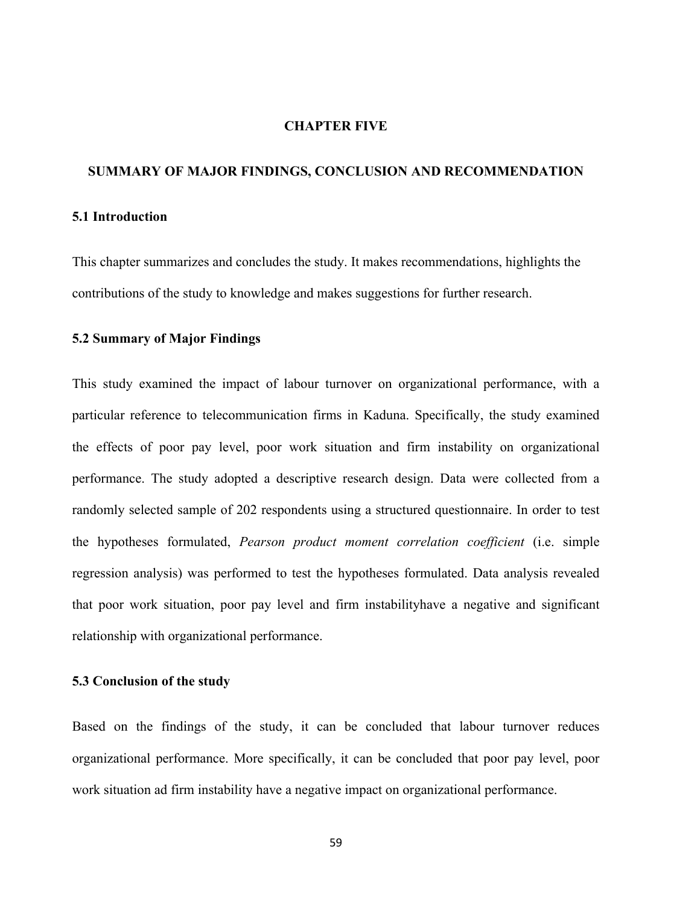#### **CHAPTER FIVE**

#### **SUMMARY OF MAJOR FINDINGS, CONCLUSION AND RECOMMENDATION**

#### **5.1 Introduction**

This chapter summarizes and concludes the study. It makes recommendations, highlights the contributions of the study to knowledge and makes suggestions for further research.

#### **5.2 Summary of Major Findings**

This study examined the impact of labour turnover on organizational performance, with a particular reference to telecommunication firms in Kaduna. Specifically, the study examined the effects of poor pay level, poor work situation and firm instability on organizational performance. The study adopted a descriptive research design. Data were collected from a randomly selected sample of 202 respondents using a structured questionnaire. In order to test the hypotheses formulated, *Pearson product moment correlation coefficient* (i.e. simple regression analysis) was performed to test the hypotheses formulated. Data analysis revealed that poor work situation, poor pay level and firm instabilityhave a negative and significant relationship with organizational performance.

#### **5.3 Conclusion of the study**

Based on the findings of the study, it can be concluded that labour turnover reduces organizational performance. More specifically, it can be concluded that poor pay level, poor work situation ad firm instability have a negative impact on organizational performance.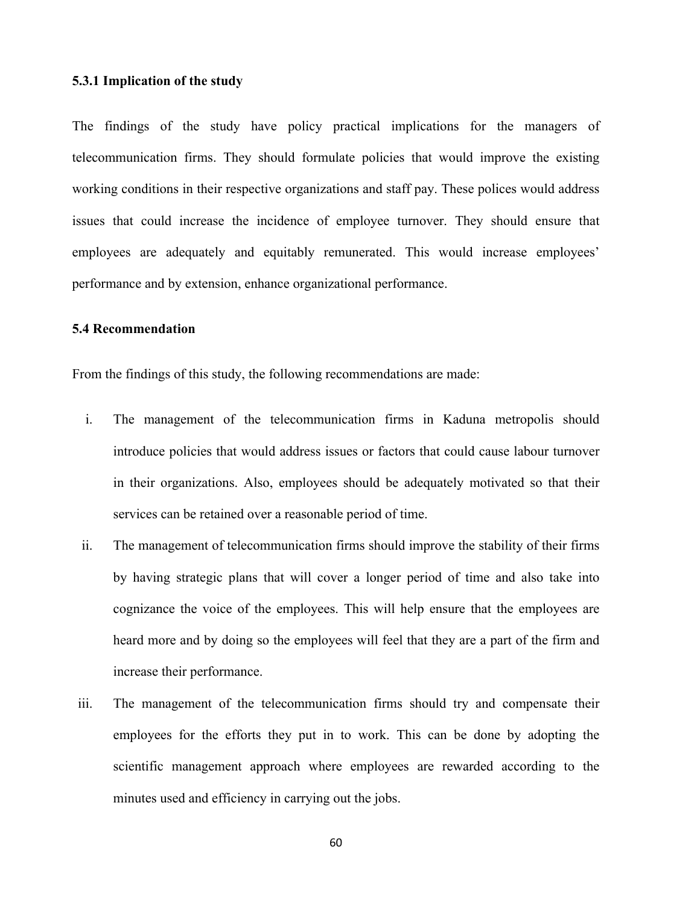#### **5.3.1 Implication of the study**

The findings of the study have policy practical implications for the managers of telecommunication firms. They should formulate policies that would improve the existing working conditions in their respective organizations and staff pay. These polices would address issues that could increase the incidence of employee turnover. They should ensure that employees are adequately and equitably remunerated. This would increase employees' performance and by extension, enhance organizational performance.

# **5.4 Recommendation**

From the findings of this study, the following recommendations are made:

- i. The management of the telecommunication firms in Kaduna metropolis should introduce policies that would address issues or factors that could cause labour turnover in their organizations. Also, employees should be adequately motivated so that their services can be retained over a reasonable period of time.
- ii. The management of telecommunication firms should improve the stability of their firms by having strategic plans that will cover a longer period of time and also take into cognizance the voice of the employees. This will help ensure that the employees are heard more and by doing so the employees will feel that they are a part of the firm and increase their performance.
- iii. The management of the telecommunication firms should try and compensate their employees for the efforts they put in to work. This can be done by adopting the scientific management approach where employees are rewarded according to the minutes used and efficiency in carrying out the jobs.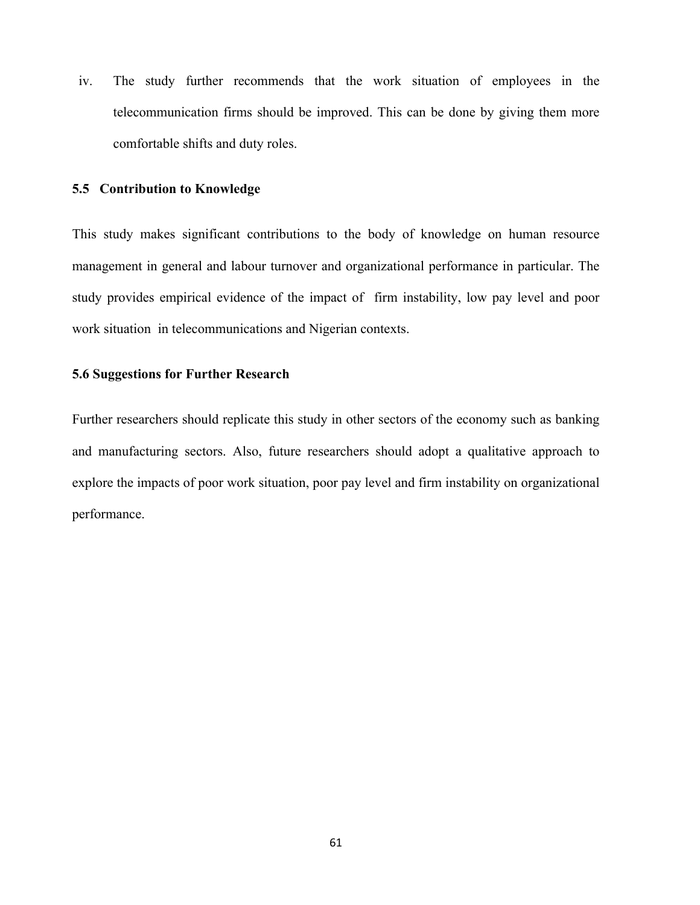iv. The study further recommends that the work situation of employees in the telecommunication firms should be improved. This can be done by giving them more comfortable shifts and duty roles.

#### **5.5 Contribution to Knowledge**

This study makes significant contributions to the body of knowledge on human resource management in general and labour turnover and organizational performance in particular. The study provides empirical evidence of the impact of firm instability, low pay level and poor work situation in telecommunications and Nigerian contexts.

#### **5.6 Suggestions for Further Research**

Further researchers should replicate this study in other sectors of the economy such as banking and manufacturing sectors. Also, future researchers should adopt a qualitative approach to explore the impacts of poor work situation, poor pay level and firm instability on organizational performance.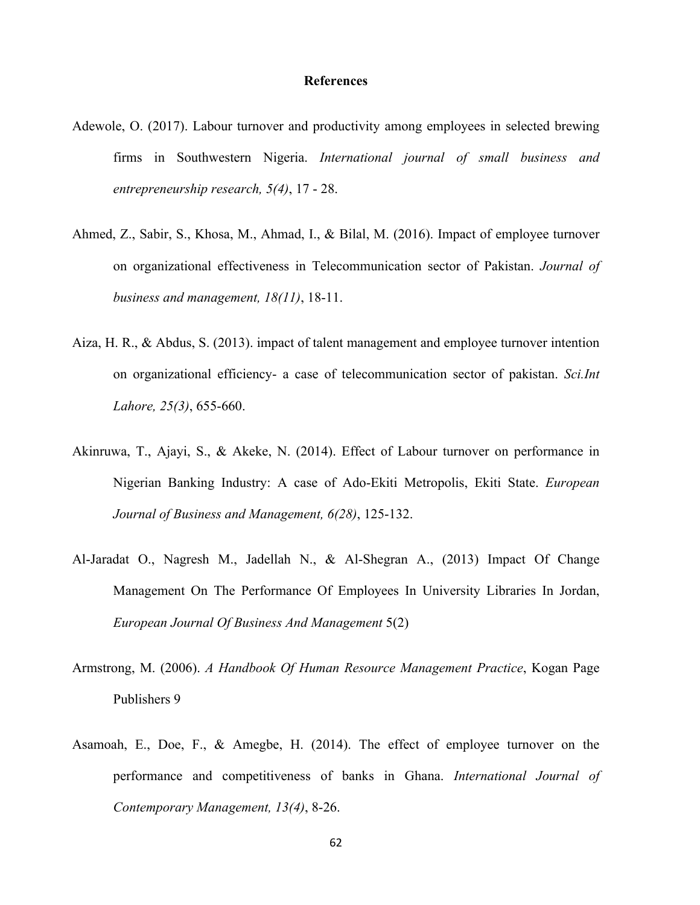#### **References**

- Adewole, O. (2017). Labour turnover and productivity among employees in selected brewing firms in Southwestern Nigeria. *International journal of small business and entrepreneurship research, 5(4)*, 17 - 28.
- Ahmed, Z., Sabir, S., Khosa, M., Ahmad, I., & Bilal, M. (2016). Impact of employee turnover on organizational effectiveness in Telecommunication sector of Pakistan. *Journal of business and management, 18(11)*, 18-11.
- Aiza, H. R., & Abdus, S. (2013). impact of talent management and employee turnover intention on organizational efficiency- a case of telecommunication sector of pakistan. *Sci.Int Lahore, 25(3)*, 655-660.
- Akinruwa, T., Ajayi, S., & Akeke, N. (2014). Effect of Labour turnover on performance in Nigerian Banking Industry: A case of Ado-Ekiti Metropolis, Ekiti State. *European Journal of Business and Management, 6(28)*, 125-132.
- Al-Jaradat O., Nagresh M., Jadellah N., & Al-Shegran A., (2013) Impact Of Change Management On The Performance Of Employees In University Libraries In Jordan, *European Journal Of Business And Management* 5(2)
- Armstrong, M. (2006). *A Handbook Of Human Resource Management Practice*, Kogan Page Publishers 9
- Asamoah, E., Doe, F., & Amegbe, H. (2014). The effect of employee turnover on the performance and competitiveness of banks in Ghana. *International Journal of Contemporary Management, 13(4)*, 8-26.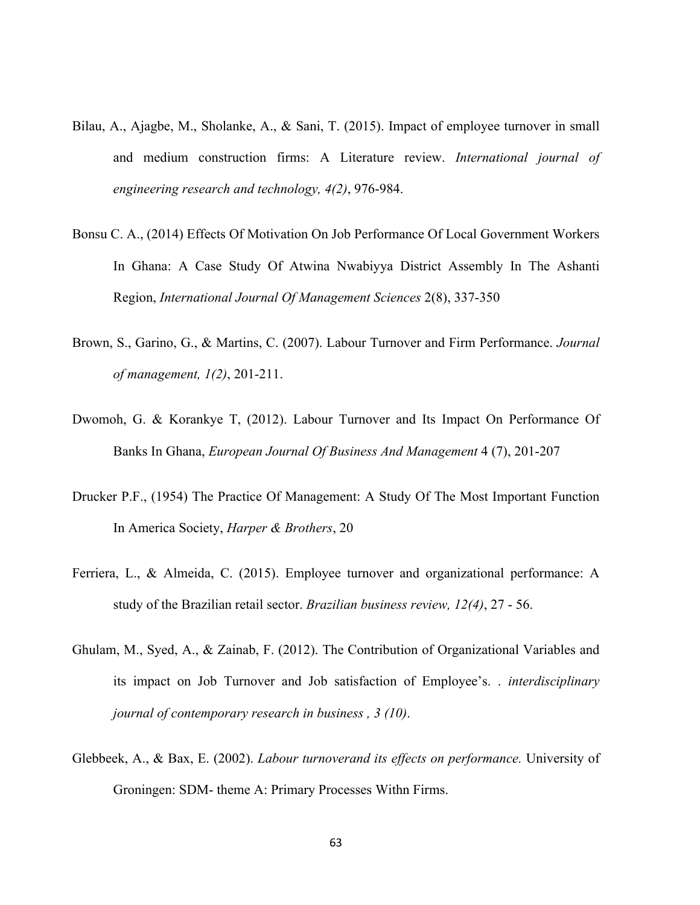- Bilau, A., Ajagbe, M., Sholanke, A., & Sani, T. (2015). Impact of employee turnover in small and medium construction firms: A Literature review. *International journal of engineering research and technology, 4(2)*, 976-984.
- Bonsu C. A., (2014) Effects Of Motivation On Job Performance Of Local Government Workers In Ghana: A Case Study Of Atwina Nwabiyya District Assembly In The Ashanti Region, *International Journal Of Management Sciences* 2(8), 337-350
- Brown, S., Garino, G., & Martins, C. (2007). Labour Turnover and Firm Performance. *Journal of management, 1(2)*, 201-211.
- Dwomoh, G. & Korankye T, (2012). Labour Turnover and Its Impact On Performance Of Banks In Ghana, *European Journal Of Business And Management* 4 (7), 201-207
- Drucker P.F., (1954) The Practice Of Management: A Study Of The Most Important Function In America Society, *Harper & Brothers*, 20
- Ferriera, L., & Almeida, C. (2015). Employee turnover and organizational performance: A study of the Brazilian retail sector. *Brazilian business review, 12(4)*, 27 - 56.
- Ghulam, M., Syed, A., & Zainab, F. (2012). The Contribution of Organizational Variables and its impact on Job Turnover and Job satisfaction of Employee's. . *interdisciplinary journal of contemporary research in business , 3 (10)*.
- Glebbeek, A., & Bax, E. (2002). *Labour turnoverand its effects on performance.* University of Groningen: SDM- theme A: Primary Processes Withn Firms.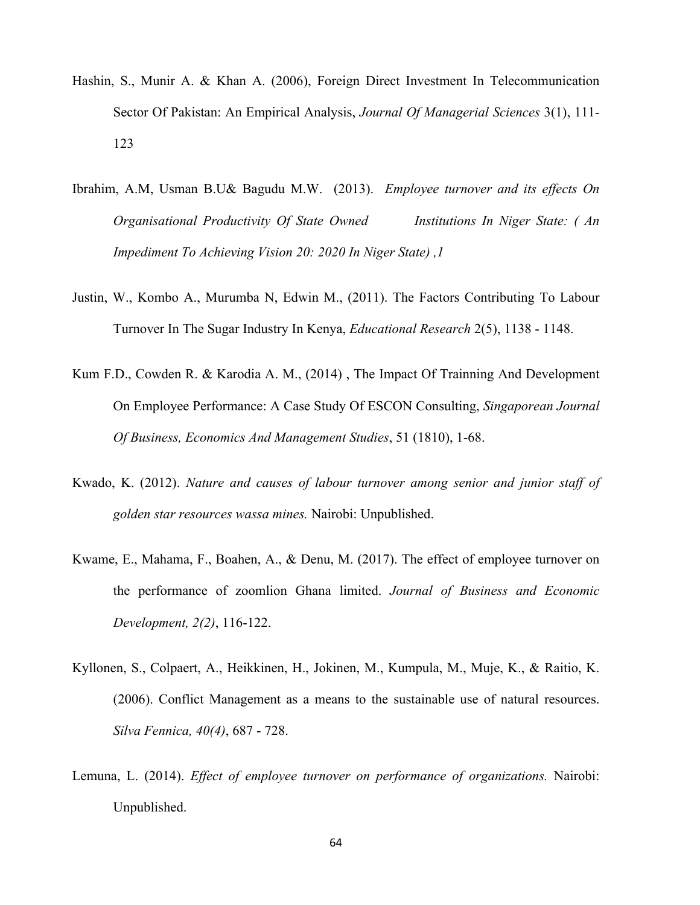- Hashin, S., Munir A. & Khan A. (2006), Foreign Direct Investment In Telecommunication Sector Of Pakistan: An Empirical Analysis, *Journal Of Managerial Sciences* 3(1), 111- 123
- Ibrahim, A.M, Usman B.U& Bagudu M.W. (2013). *Employee turnover and its effects On Organisational Productivity Of State Owned Institutions In Niger State: ( An Impediment To Achieving Vision 20: 2020 In Niger State) ,1*
- Justin, W., Kombo A., Murumba N, Edwin M., (2011). The Factors Contributing To Labour Turnover In The Sugar Industry In Kenya, *Educational Research* 2(5), 1138 - 1148.
- Kum F.D., Cowden R. & Karodia A. M., (2014) , The Impact Of Trainning And Development On Employee Performance: A Case Study Of ESCON Consulting, *Singaporean Journal Of Business, Economics And Management Studies*, 51 (1810), 1-68.
- Kwado, K. (2012). *Nature and causes of labour turnover among senior and junior staff of golden star resources wassa mines.* Nairobi: Unpublished.
- Kwame, E., Mahama, F., Boahen, A., & Denu, M. (2017). The effect of employee turnover on the performance of zoomlion Ghana limited. *Journal of Business and Economic Development, 2(2)*, 116-122.
- Kyllonen, S., Colpaert, A., Heikkinen, H., Jokinen, M., Kumpula, M., Muje, K., & Raitio, K. (2006). Conflict Management as a means to the sustainable use of natural resources. *Silva Fennica, 40(4)*, 687 - 728.
- Lemuna, L. (2014). *Effect of employee turnover on performance of organizations.* Nairobi: Unpublished.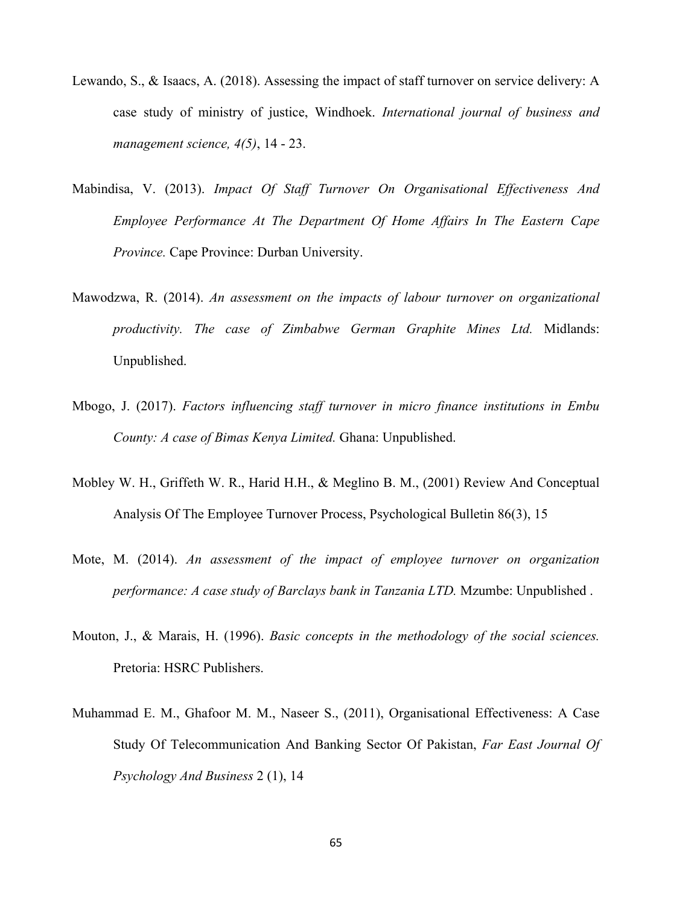- Lewando, S., & Isaacs, A. (2018). Assessing the impact of staff turnover on service delivery: A case study of ministry of justice, Windhoek. *International journal of business and management science, 4(5)*, 14 - 23.
- Mabindisa, V. (2013). *Impact Of Staff Turnover On Organisational Effectiveness And Employee Performance At The Department Of Home Affairs In The Eastern Cape Province.* Cape Province: Durban University.
- Mawodzwa, R. (2014). *An assessment on the impacts of labour turnover on organizational productivity. The case of Zimbabwe German Graphite Mines Ltd.* Midlands: Unpublished.
- Mbogo, J. (2017). *Factors influencing staff turnover in micro finance institutions in Embu County: A case of Bimas Kenya Limited.* Ghana: Unpublished.
- Mobley W. H., Griffeth W. R., Harid H.H., & Meglino B. M., (2001) Review And Conceptual Analysis Of The Employee Turnover Process, Psychological Bulletin 86(3), 15
- Mote, M. (2014). *An assessment of the impact of employee turnover on organization performance: A case study of Barclays bank in Tanzania LTD.* Mzumbe: Unpublished .
- Mouton, J., & Marais, H. (1996). *Basic concepts in the methodology of the social sciences.* Pretoria: HSRC Publishers.
- Muhammad E. M., Ghafoor M. M., Naseer S., (2011), Organisational Effectiveness: A Case Study Of Telecommunication And Banking Sector Of Pakistan, *Far East Journal Of Psychology And Business* 2 (1), 14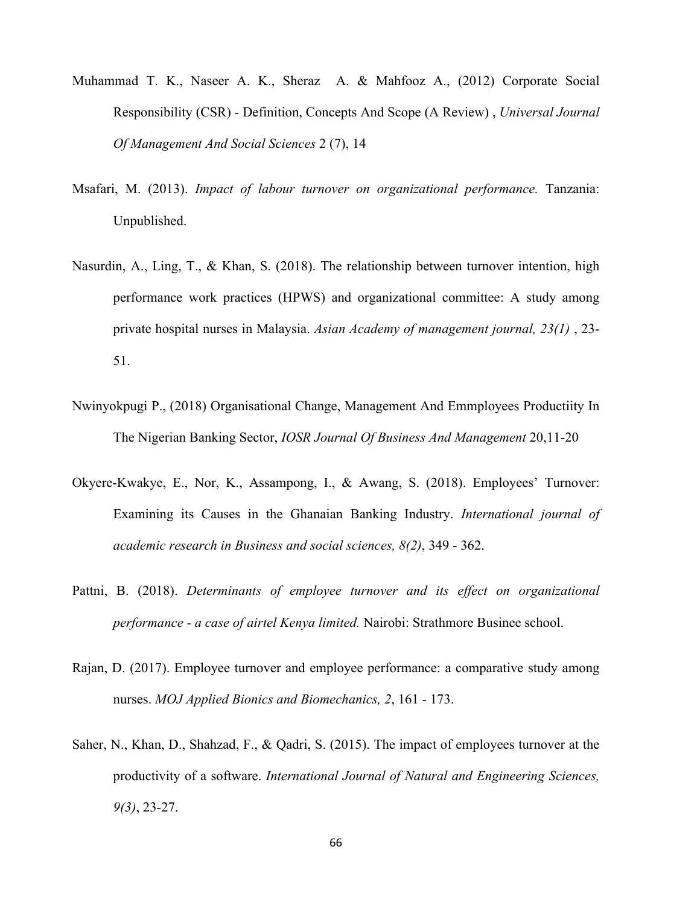- Muhammad T. K., Naseer A. K., Sheraz A. & Mahfooz A., (2012) Corporate Social Responsibility (CSR) - Definition, Concepts And Scope (A Review) , *Universal Journal Of Management And Social Sciences* 2 (7), 14
- Msafari, M. (2013). *Impact of labour turnover on organizational performance.* Tanzania: Unpublished.
- Nasurdin, A., Ling, T., & Khan, S. (2018). The relationship between turnover intention, high performance work practices (HPWS) and organizational committee: A study among private hospital nurses in Malaysia. *Asian Academy of management journal, 23(1)* , 23- 51.
- Nwinyokpugi P., (2018) Organisational Change, Management And Emmployees Productiity In The Nigerian Banking Sector, *IOSR Journal Of Business And Management* 20,11-20
- Okyere-Kwakye, E., Nor, K., Assampong, I., & Awang, S. (2018). Employees' Turnover: Examining its Causes in the Ghanaian Banking Industry. *International journal of academic research in Business and social sciences, 8(2)*, 349 - 362.
- Pattni, B. (2018). *Determinants of employee turnover and its effect on organizational performance - a case of airtel Kenya limited.* Nairobi: Strathmore Businee school.
- Rajan, D. (2017). Employee turnover and employee performance: a comparative study among nurses. *MOJ Applied Bionics and Biomechanics, 2*, 161 - 173.
- Saher, N., Khan, D., Shahzad, F., & Qadri, S. (2015). The impact of employees turnover at the productivity of a software. *International Journal of Natural and Engineering Sciences, 9(3)*, 23-27.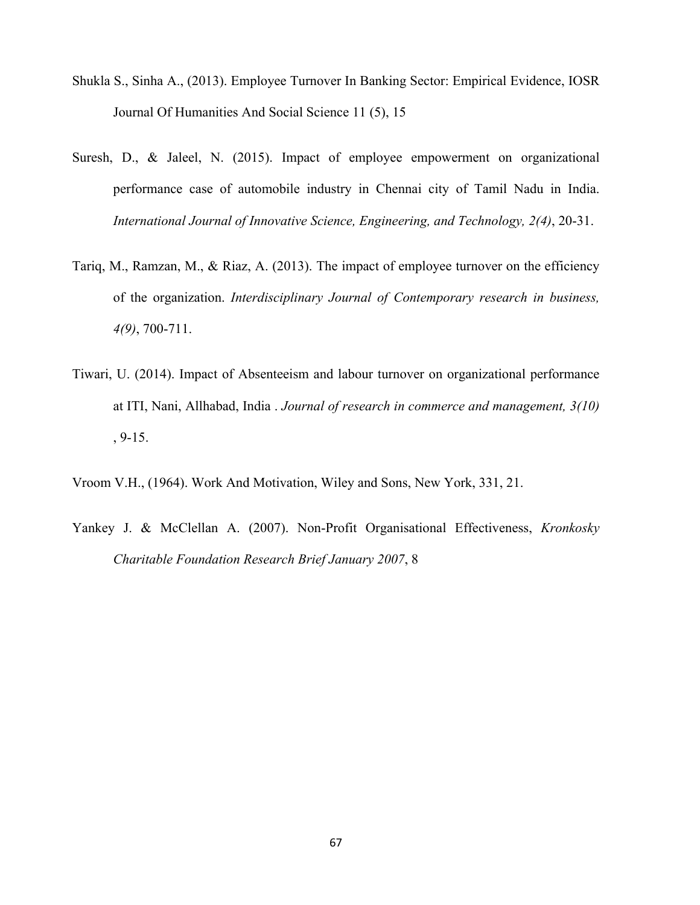- Shukla S., Sinha A., (2013). Employee Turnover In Banking Sector: Empirical Evidence, IOSR Journal Of Humanities And Social Science 11 (5), 15
- Suresh, D., & Jaleel, N. (2015). Impact of employee empowerment on organizational performance case of automobile industry in Chennai city of Tamil Nadu in India. *International Journal of Innovative Science, Engineering, and Technology, 2(4)*, 20-31.
- Tariq, M., Ramzan, M., & Riaz, A. (2013). The impact of employee turnover on the efficiency of the organization. *Interdisciplinary Journal of Contemporary research in business, 4(9)*, 700-711.
- Tiwari, U. (2014). Impact of Absenteeism and labour turnover on organizational performance at ITI, Nani, Allhabad, India . *Journal of research in commerce and management, 3(10)*  , 9-15.
- Vroom V.H., (1964). Work And Motivation, Wiley and Sons, New York, 331, 21.
- Yankey J. & McClellan A. (2007). Non-Profit Organisational Effectiveness, *Kronkosky Charitable Foundation Research Brief January 2007*, 8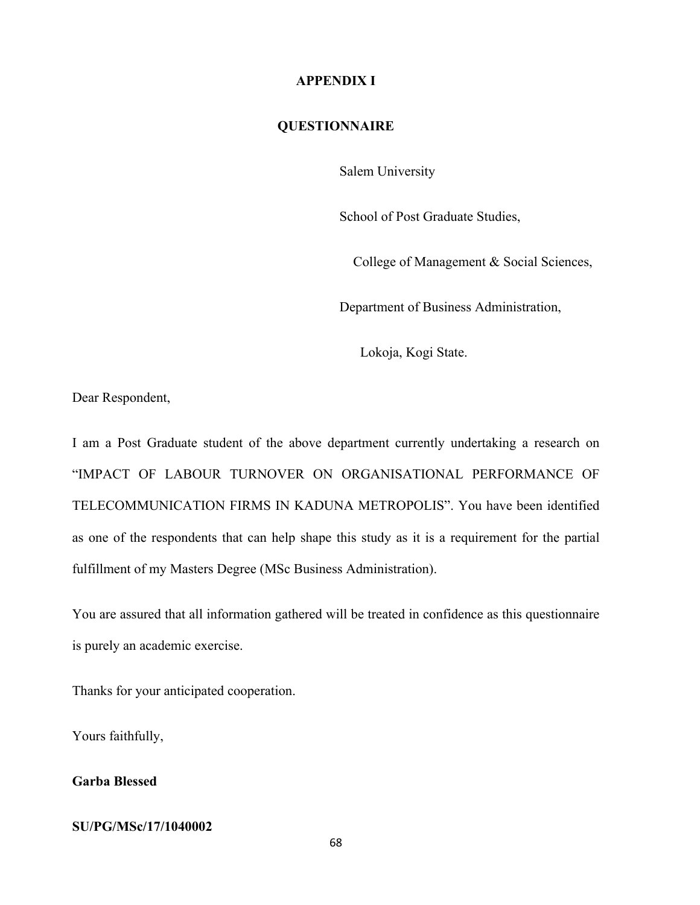#### **APPENDIX I**

### **QUESTIONNAIRE**

Salem University

School of Post Graduate Studies,

College of Management & Social Sciences,

Department of Business Administration,

Lokoja, Kogi State.

Dear Respondent,

I am a Post Graduate student of the above department currently undertaking a research on "IMPACT OF LABOUR TURNOVER ON ORGANISATIONAL PERFORMANCE OF TELECOMMUNICATION FIRMS IN KADUNA METROPOLIS". You have been identified as one of the respondents that can help shape this study as it is a requirement for the partial fulfillment of my Masters Degree (MSc Business Administration).

You are assured that all information gathered will be treated in confidence as this questionnaire is purely an academic exercise.

Thanks for your anticipated cooperation.

Yours faithfully,

# **Garba Blessed**

#### **SU/PG/MSc/17/1040002**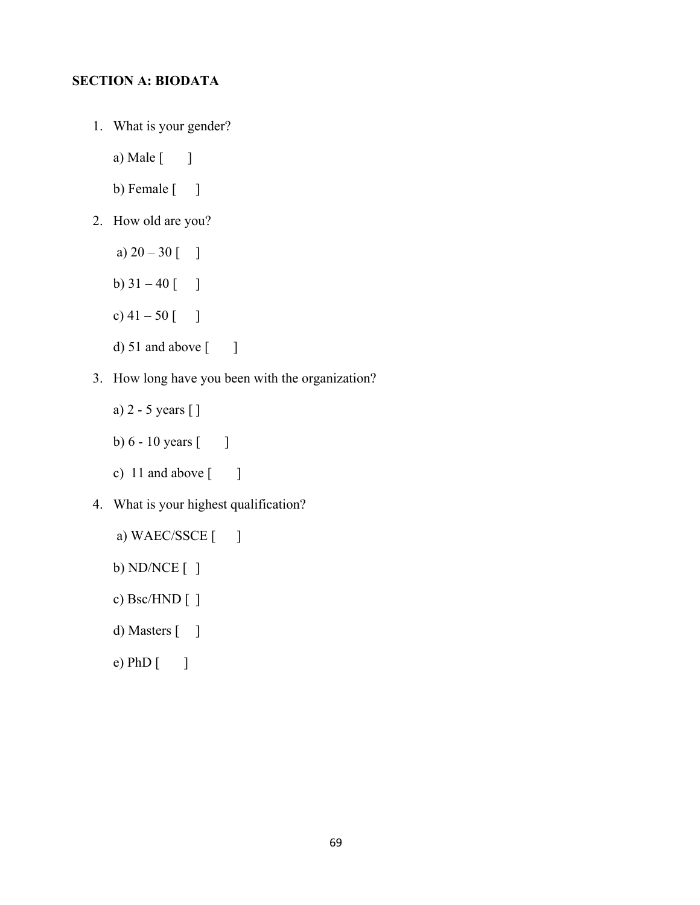# **SECTION A: BIODATA**

- 1. What is your gender?
	- a) Male [ ]
	- b) Female  $[$  ]
- 2. How old are you?
	- a)  $20 30$  [ ]
	- b)  $31 40$  [ ]
	- c)  $41 50$  [ ]
	- d)  $51$  and above  $\begin{bmatrix} 1 \end{bmatrix}$
- 3. How long have you been with the organization?
	- a) 2 5 years [ ]
	- b)  $6 10$  years  $\lceil \cdot \cdot \rceil$
	- c) 11 and above  $\begin{bmatrix} 1 \end{bmatrix}$
- 4. What is your highest qualification?
	- a) WAEC/SSCE [ ] b) ND/NCE [ ] c) Bsc/HND [ ] d) Masters [ ] e) PhD [ ]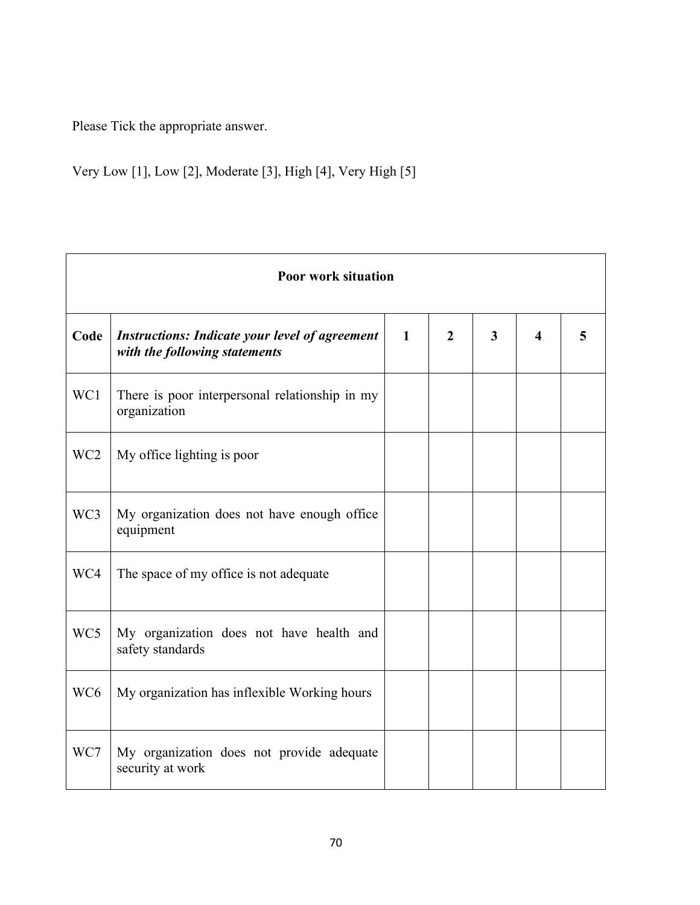Please Tick the appropriate answer.

Very Low [1], Low [2], Moderate [3], High [4], Very High [5]

| <b>Poor work situation</b> |                                                                                        |              |              |                         |   |   |  |
|----------------------------|----------------------------------------------------------------------------------------|--------------|--------------|-------------------------|---|---|--|
| Code                       | <b>Instructions: Indicate your level of agreement</b><br>with the following statements | $\mathbf{1}$ | $\mathbf{2}$ | $\overline{\mathbf{3}}$ | 4 | 5 |  |
| WC1                        | There is poor interpersonal relationship in my<br>organization                         |              |              |                         |   |   |  |
| WC <sub>2</sub>            | My office lighting is poor                                                             |              |              |                         |   |   |  |
| WC3                        | My organization does not have enough office<br>equipment                               |              |              |                         |   |   |  |
| WC4                        | The space of my office is not adequate                                                 |              |              |                         |   |   |  |
| WC5                        | My organization does not have health and<br>safety standards                           |              |              |                         |   |   |  |
| WC <sub>6</sub>            | My organization has inflexible Working hours                                           |              |              |                         |   |   |  |
| WC7                        | My organization does not provide adequate<br>security at work                          |              |              |                         |   |   |  |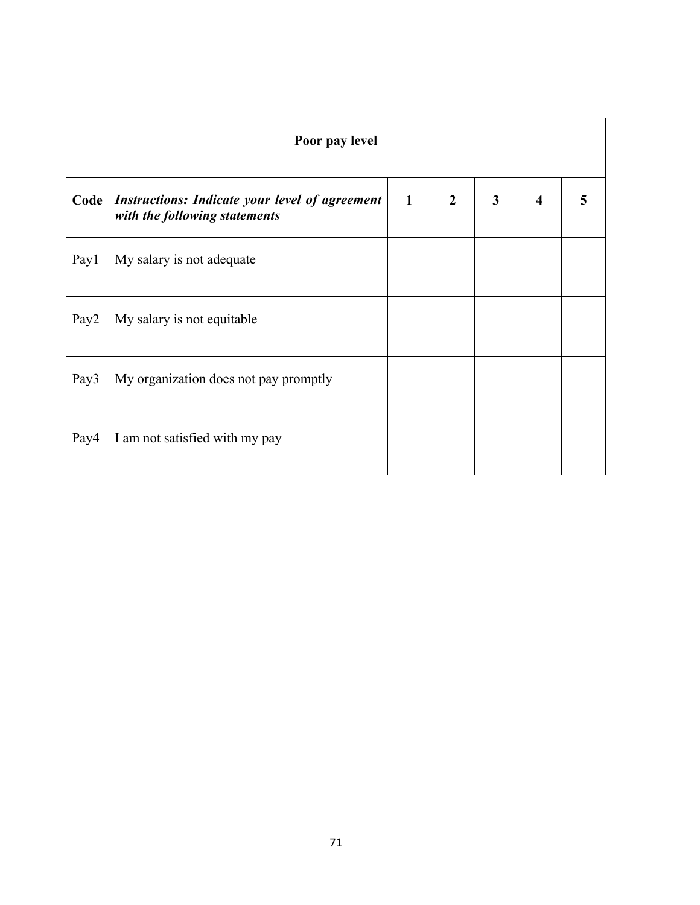| Poor pay level   |                                                                                        |              |                |              |                         |  |
|------------------|----------------------------------------------------------------------------------------|--------------|----------------|--------------|-------------------------|--|
| Code             | <b>Instructions: Indicate your level of agreement</b><br>with the following statements | $\mathbf{1}$ | $\overline{2}$ | $\mathbf{3}$ | $\overline{\mathbf{4}}$ |  |
| Pay1             | My salary is not adequate                                                              |              |                |              |                         |  |
| Pay <sub>2</sub> | My salary is not equitable                                                             |              |                |              |                         |  |
| Pay3             | My organization does not pay promptly                                                  |              |                |              |                         |  |
| Pay4             | I am not satisfied with my pay                                                         |              |                |              |                         |  |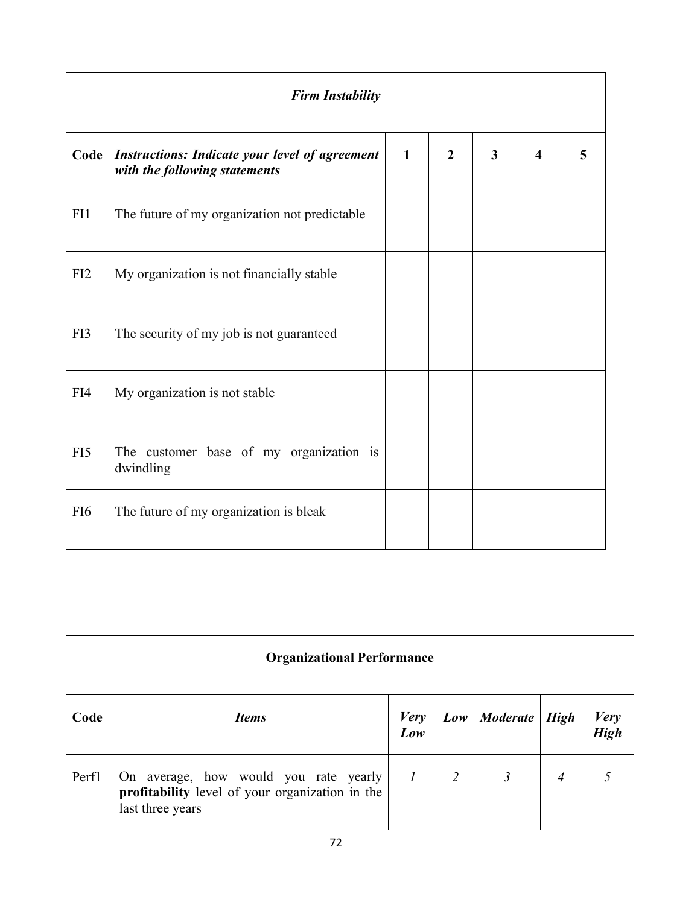| <b>Firm Instability</b> |                                                                                        |              |                |                         |                         |   |
|-------------------------|----------------------------------------------------------------------------------------|--------------|----------------|-------------------------|-------------------------|---|
| Code                    | <b>Instructions: Indicate your level of agreement</b><br>with the following statements | $\mathbf{1}$ | $\overline{2}$ | $\overline{\mathbf{3}}$ | $\overline{\mathbf{4}}$ | 5 |
| FI1                     | The future of my organization not predictable                                          |              |                |                         |                         |   |
| FI2                     | My organization is not financially stable                                              |              |                |                         |                         |   |
| FI3                     | The security of my job is not guaranteed                                               |              |                |                         |                         |   |
| FI4                     | My organization is not stable                                                          |              |                |                         |                         |   |
| FI5                     | The customer base of my organization is<br>dwindling                                   |              |                |                         |                         |   |
| FI <sub>6</sub>         | The future of my organization is bleak                                                 |              |                |                         |                         |   |

| <b>Organizational Performance</b> |                                                                                                              |                    |     |                 |                |              |  |
|-----------------------------------|--------------------------------------------------------------------------------------------------------------|--------------------|-----|-----------------|----------------|--------------|--|
| Code                              | <b>Items</b>                                                                                                 | <b>Very</b><br>Low | Low | <i>Moderate</i> | <b>High</b>    | Very<br>High |  |
| Perf1                             | On average, how would you rate yearly<br>profitability level of your organization in the<br>last three years | $\overline{1}$     | 2   |                 | $\overline{A}$ |              |  |